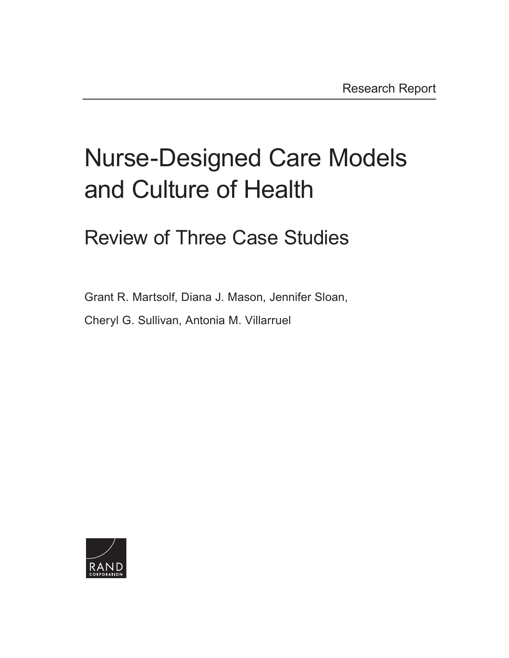# [Nurse-Designed Care Models](http://www.rand.org/pubs/research_reports/RR1811.html) and Culture of Health

# Review of Three Case Studies

Grant R. Martsolf, Diana J. Mason, Jennifer Sloan,

Cheryl G. Sullivan, Antonia M. Villarruel

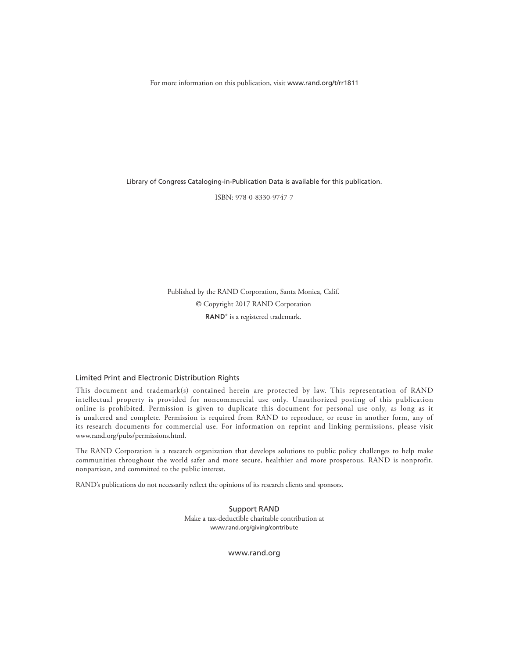For more information on this publication, visit [www.rand.org/t/rr1811](http://www.rand.org/t/rr1811)

Library of Congress Cataloging-in-Publication Data is available for this publication.

ISBN: 978-0-8330-9747-7

Published by the RAND Corporation, Santa Monica, Calif. © Copyright 2017 RAND Corporation RAND<sup>®</sup> is a registered trademark.

#### Limited Print and Electronic Distribution Rights

This document and trademark(s) contained herein are protected by law. This representation of RAND intellectual property is provided for noncommercial use only. Unauthorized posting of this publication online is prohibited. Permission is given to duplicate this document for personal use only, as long as it is unaltered and complete. Permission is required from RAND to reproduce, or reuse in another form, any of its research documents for commercial use. For information on reprint and linking permissions, please visit [www.rand.org/pubs/permissions.html.](http://www.rand.org/pubs/permissions.html)

The RAND Corporation is a research organization that develops solutions to public policy challenges to help make communities throughout the world safer and more secure, healthier and more prosperous. RAND is nonprofit, nonpartisan, and committed to the public interest.

RAND's publications do not necessarily reflect the opinions of its research clients and sponsors.

Support RAND Make a tax-deductible charitable contribution at [www.rand.org/giving/contribute](http://www.rand.org/giving/contribute)

[www.rand.org](http://www.rand.org)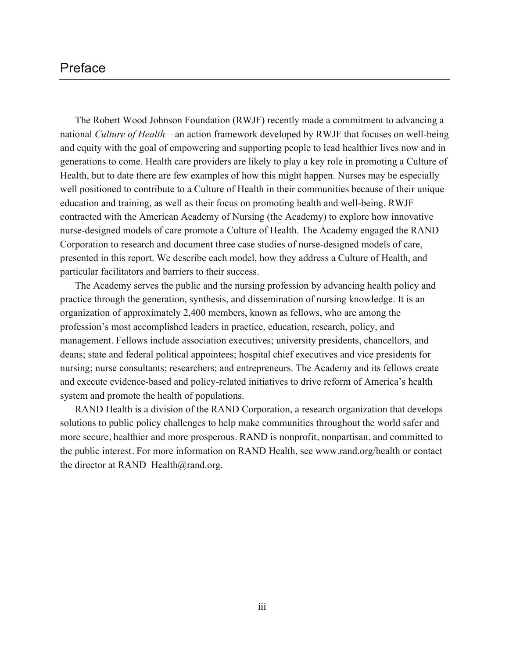# Preface

The Robert Wood Johnson Foundation (RWJF) recently made a commitment to advancing a national *Culture of Health*—an action framework developed by RWJF that focuses on well-being and equity with the goal of empowering and supporting people to lead healthier lives now and in generations to come. Health care providers are likely to play a key role in promoting a Culture of Health, but to date there are few examples of how this might happen. Nurses may be especially well positioned to contribute to a Culture of Health in their communities because of their unique education and training, as well as their focus on promoting health and well-being. RWJF contracted with the American Academy of Nursing (the Academy) to explore how innovative nurse-designed models of care promote a Culture of Health. The Academy engaged the RAND Corporation to research and document three case studies of nurse-designed models of care, presented in this report. We describe each model, how they address a Culture of Health, and particular facilitators and barriers to their success.

The Academy serves the public and the nursing profession by advancing health policy and practice through the generation, synthesis, and dissemination of nursing knowledge. It is an organization of approximately 2,400 members, known as fellows, who are among the profession's most accomplished leaders in practice, education, research, policy, and management. Fellows include association executives; university presidents, chancellors, and deans; state and federal political appointees; hospital chief executives and vice presidents for nursing; nurse consultants; researchers; and entrepreneurs. The Academy and its fellows create and execute evidence-based and policy-related initiatives to drive reform of America's health system and promote the health of populations.

RAND Health is a division of the RAND Corporation, a research organization that develops solutions to public policy challenges to help make communities throughout the world safer and more secure, healthier and more prosperous. RAND is nonprofit, nonpartisan, and committed to the public interest. For more information on RAND Health, see [www.rand.org/health](http://www.rand.org/health) or contact the director at RAND Health@rand.org.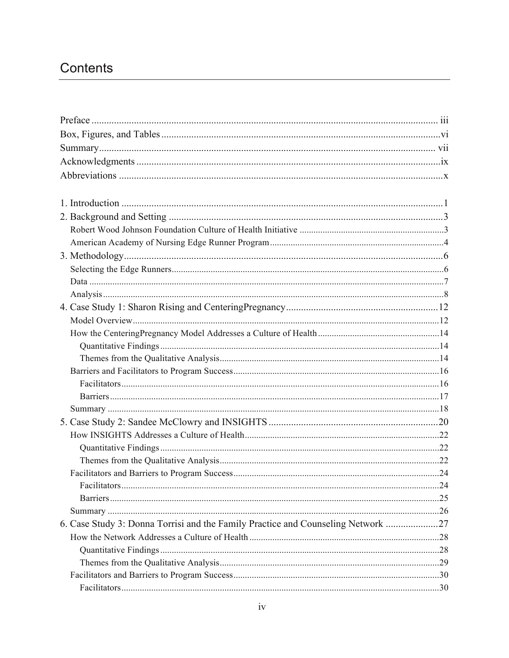# Contents

| <b>Facilitators</b>                                                           | . 24 |
|-------------------------------------------------------------------------------|------|
|                                                                               |      |
|                                                                               |      |
| 6. Case Study 3: Donna Torrisi and the Family Practice and Counseling Network |      |
|                                                                               |      |
|                                                                               |      |
|                                                                               |      |
|                                                                               |      |
|                                                                               |      |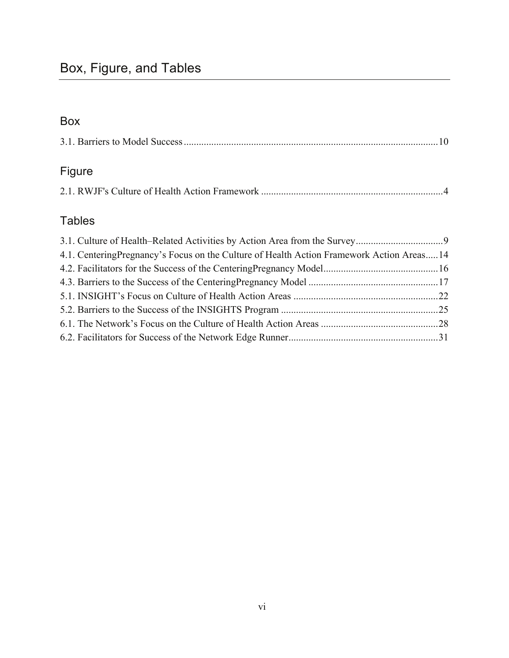# Box

|--|--|--|--|

# Figure

|--|

# Tables

| 4.1. Centering Pregnancy's Focus on the Culture of Health Action Framework Action Areas14 |  |
|-------------------------------------------------------------------------------------------|--|
|                                                                                           |  |
|                                                                                           |  |
|                                                                                           |  |
|                                                                                           |  |
|                                                                                           |  |
|                                                                                           |  |
|                                                                                           |  |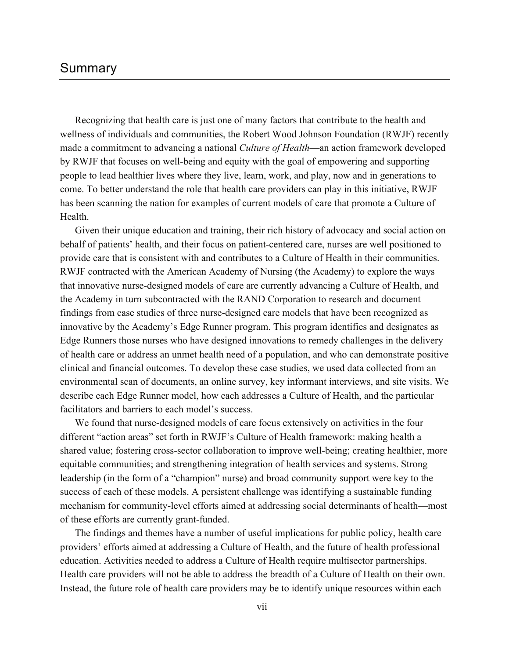# Summary

Recognizing that health care is just one of many factors that contribute to the health and wellness of individuals and communities, the Robert Wood Johnson Foundation (RWJF) recently made a commitment to advancing a national *Culture of Health*—an action framework developed by RWJF that focuses on well-being and equity with the goal of empowering and supporting people to lead healthier lives where they live, learn, work, and play, now and in generations to come. To better understand the role that health care providers can play in this initiative, RWJF has been scanning the nation for examples of current models of care that promote a Culture of **Health** 

Given their unique education and training, their rich history of advocacy and social action on behalf of patients' health, and their focus on patient-centered care, nurses are well positioned to provide care that is consistent with and contributes to a Culture of Health in their communities. RWJF contracted with the American Academy of Nursing (the Academy) to explore the ways that innovative nurse-designed models of care are currently advancing a Culture of Health, and the Academy in turn subcontracted with the RAND Corporation to research and document findings from case studies of three nurse-designed care models that have been recognized as innovative by the Academy's Edge Runner program. This program identifies and designates as Edge Runners those nurses who have designed innovations to remedy challenges in the delivery of health care or address an unmet health need of a population, and who can demonstrate positive clinical and financial outcomes. To develop these case studies, we used data collected from an environmental scan of documents, an online survey, key informant interviews, and site visits. We describe each Edge Runner model, how each addresses a Culture of Health, and the particular facilitators and barriers to each model's success.

We found that nurse-designed models of care focus extensively on activities in the four different "action areas" set forth in RWJF's Culture of Health framework: making health a shared value; fostering cross-sector collaboration to improve well-being; creating healthier, more equitable communities; and strengthening integration of health services and systems. Strong leadership (in the form of a "champion" nurse) and broad community support were key to the success of each of these models. A persistent challenge was identifying a sustainable funding mechanism for community-level efforts aimed at addressing social determinants of health—most of these efforts are currently grant-funded.

The findings and themes have a number of useful implications for public policy, health care providers' efforts aimed at addressing a Culture of Health, and the future of health professional education. Activities needed to address a Culture of Health require multisector partnerships. Health care providers will not be able to address the breadth of a Culture of Health on their own. Instead, the future role of health care providers may be to identify unique resources within each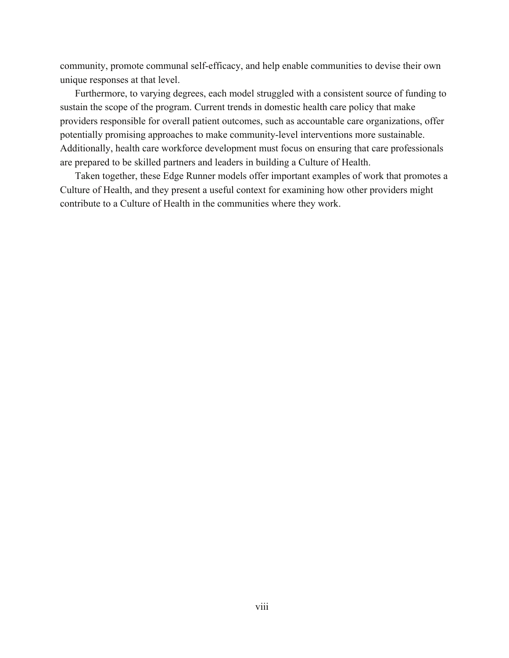community, promote communal self-efficacy, and help enable communities to devise their own unique responses at that level.

Furthermore, to varying degrees, each model struggled with a consistent source of funding to sustain the scope of the program. Current trends in domestic health care policy that make providers responsible for overall patient outcomes, such as accountable care organizations, offer potentially promising approaches to make community-level interventions more sustainable. Additionally, health care workforce development must focus on ensuring that care professionals are prepared to be skilled partners and leaders in building a Culture of Health.

Taken together, these Edge Runner models offer important examples of work that promotes a Culture of Health, and they present a useful context for examining how other providers might contribute to a Culture of Health in the communities where they work.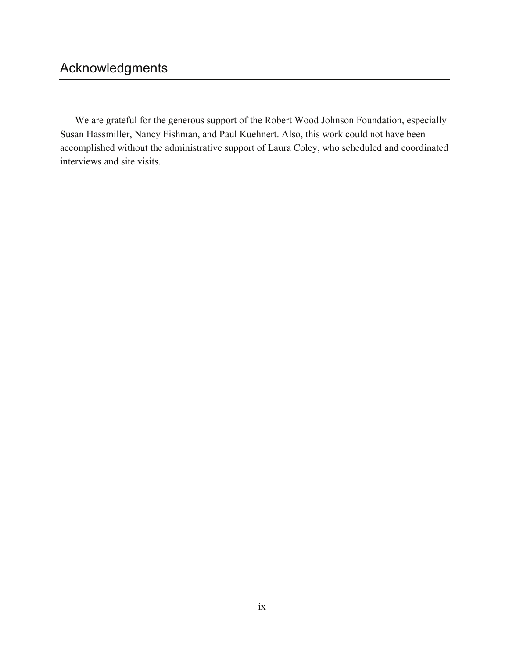# Acknowledgments

We are grateful for the generous support of the Robert Wood Johnson Foundation, especially Susan Hassmiller, Nancy Fishman, and Paul Kuehnert. Also, this work could not have been accomplished without the administrative support of Laura Coley, who scheduled and coordinated interviews and site visits.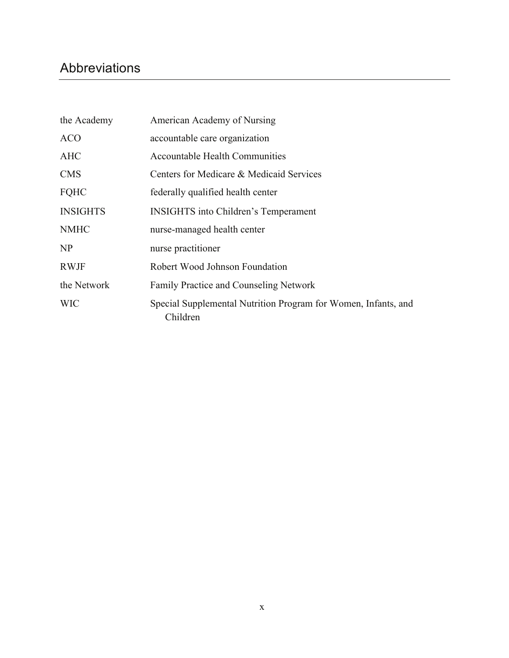# Abbreviations

| the Academy     | American Academy of Nursing                                                |
|-----------------|----------------------------------------------------------------------------|
| <b>ACO</b>      | accountable care organization                                              |
| <b>AHC</b>      | <b>Accountable Health Communities</b>                                      |
| <b>CMS</b>      | Centers for Medicare & Medicaid Services                                   |
| <b>FQHC</b>     | federally qualified health center                                          |
| <b>INSIGHTS</b> | <b>INSIGHTS</b> into Children's Temperament                                |
| <b>NMHC</b>     | nurse-managed health center                                                |
| NP              | nurse practitioner                                                         |
| <b>RWJF</b>     | Robert Wood Johnson Foundation                                             |
| the Network     | Family Practice and Counseling Network                                     |
| <b>WIC</b>      | Special Supplemental Nutrition Program for Women, Infants, and<br>Children |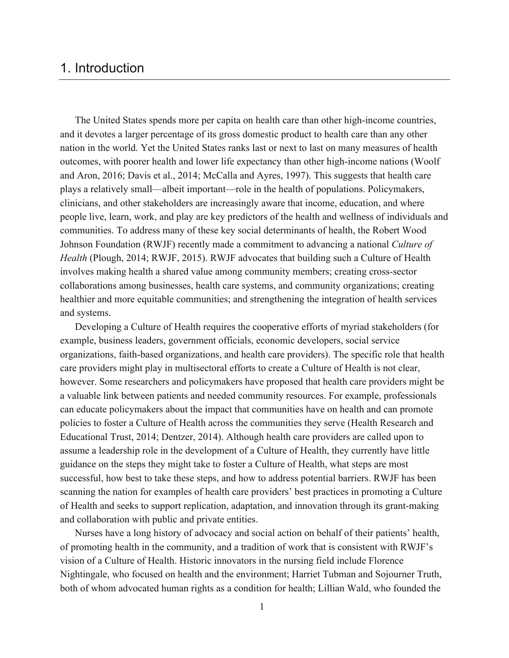# 1. Introduction

The United States spends more per capita on health care than other high-income countries, and it devotes a larger percentage of its gross domestic product to health care than any other nation in the world. Yet the United States ranks last or next to last on many measures of health outcomes, with poorer health and lower life expectancy than other high-income nations (Woolf and Aron, 2016; Davis et al., 2014; McCalla and Ayres, 1997). This suggests that health care plays a relatively small—albeit important—role in the health of populations. Policymakers, clinicians, and other stakeholders are increasingly aware that income, education, and where people live, learn, work, and play are key predictors of the health and wellness of individuals and communities. To address many of these key social determinants of health, the Robert Wood Johnson Foundation (RWJF) recently made a commitment to advancing a national *Culture of Health* (Plough, 2014; RWJF, 2015). RWJF advocates that building such a Culture of Health involves making health a shared value among community members; creating cross-sector collaborations among businesses, health care systems, and community organizations; creating healthier and more equitable communities; and strengthening the integration of health services and systems.

Developing a Culture of Health requires the cooperative efforts of myriad stakeholders (for example, business leaders, government officials, economic developers, social service organizations, faith-based organizations, and health care providers). The specific role that health care providers might play in multisectoral efforts to create a Culture of Health is not clear, however. Some researchers and policymakers have proposed that health care providers might be a valuable link between patients and needed community resources. For example, professionals can educate policymakers about the impact that communities have on health and can promote policies to foster a Culture of Health across the communities they serve (Health Research and Educational Trust, 2014; Dentzer, 2014). Although health care providers are called upon to assume a leadership role in the development of a Culture of Health, they currently have little guidance on the steps they might take to foster a Culture of Health, what steps are most successful, how best to take these steps, and how to address potential barriers. RWJF has been scanning the nation for examples of health care providers' best practices in promoting a Culture of Health and seeks to support replication, adaptation, and innovation through its grant-making and collaboration with public and private entities.

Nurses have a long history of advocacy and social action on behalf of their patients' health, of promoting health in the community, and a tradition of work that is consistent with RWJF's vision of a Culture of Health. Historic innovators in the nursing field include Florence Nightingale, who focused on health and the environment; Harriet Tubman and Sojourner Truth, both of whom advocated human rights as a condition for health; Lillian Wald, who founded the

1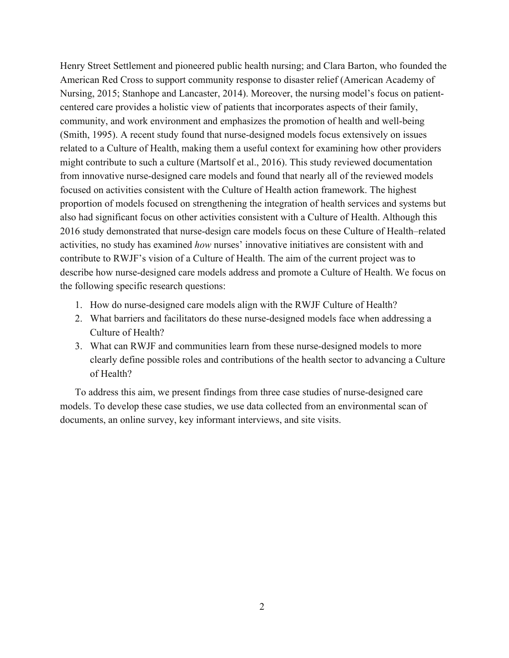Henry Street Settlement and pioneered public health nursing; and Clara Barton, who founded the American Red Cross to support community response to disaster relief (American Academy of Nursing, 2015; Stanhope and Lancaster, 2014). Moreover, the nursing model's focus on patientcentered care provides a holistic view of patients that incorporates aspects of their family, community, and work environment and emphasizes the promotion of health and well-being (Smith, 1995). A recent study found that nurse-designed models focus extensively on issues related to a Culture of Health, making them a useful context for examining how other providers might contribute to such a culture (Martsolf et al., 2016). This study reviewed documentation from innovative nurse-designed care models and found that nearly all of the reviewed models focused on activities consistent with the Culture of Health action framework. The highest proportion of models focused on strengthening the integration of health services and systems but also had significant focus on other activities consistent with a Culture of Health. Although this 2016 study demonstrated that nurse-design care models focus on these Culture of Health–related activities, no study has examined *how* nurses' innovative initiatives are consistent with and contribute to RWJF's vision of a Culture of Health. The aim of the current project was to describe how nurse-designed care models address and promote a Culture of Health. We focus on the following specific research questions:

- 1. How do nurse-designed care models align with the RWJF Culture of Health?
- 2. What barriers and facilitators do these nurse-designed models face when addressing a Culture of Health?
- 3. What can RWJF and communities learn from these nurse-designed models to more clearly define possible roles and contributions of the health sector to advancing a Culture of Health?

To address this aim, we present findings from three case studies of nurse-designed care models. To develop these case studies, we use data collected from an environmental scan of documents, an online survey, key informant interviews, and site visits.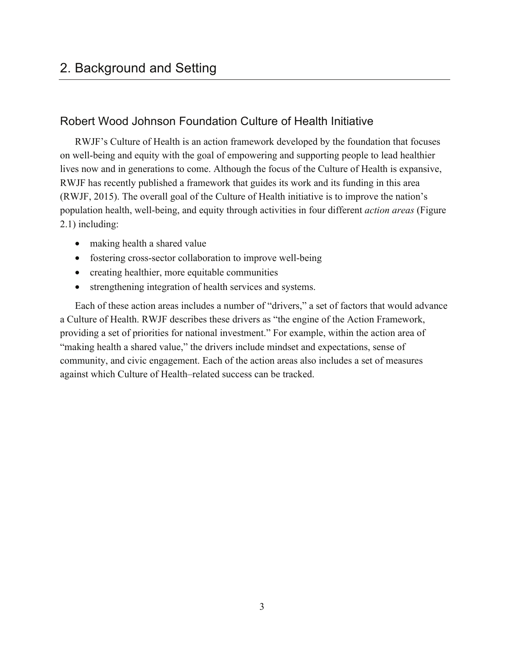# 2. Background and Setting

## Robert Wood Johnson Foundation Culture of Health Initiative

RWJF's Culture of Health is an action framework developed by the foundation that focuses on well-being and equity with the goal of empowering and supporting people to lead healthier lives now and in generations to come. Although the focus of the Culture of Health is expansive, RWJF has recently published a framework that guides its work and its funding in this area (RWJF, 2015). The overall goal of the Culture of Health initiative is to improve the nation's population health, well-being, and equity through activities in four different *action areas* (Figure 2.1) including:

- making health a shared value
- fostering cross-sector collaboration to improve well-being
- creating healthier, more equitable communities
- strengthening integration of health services and systems.

Each of these action areas includes a number of "drivers," a set of factors that would advance a Culture of Health. RWJF describes these drivers as "the engine of the Action Framework, providing a set of priorities for national investment." For example, within the action area of "making health a shared value," the drivers include mindset and expectations, sense of community, and civic engagement. Each of the action areas also includes a set of measures against which Culture of Health–related success can be tracked.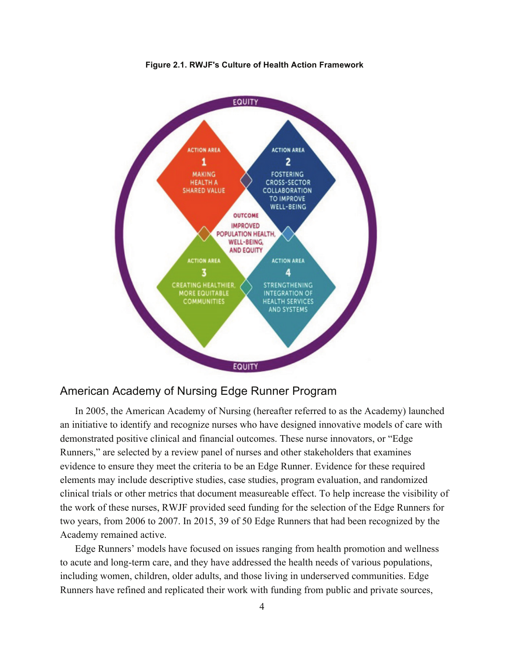

**Figure 2.1. RWJF's Culture of Health Action Framework**

## American Academy of Nursing Edge Runner Program

In 2005, the American Academy of Nursing (hereafter referred to as the Academy) launched an initiative to identify and recognize nurses who have designed innovative models of care with demonstrated positive clinical and financial outcomes. These nurse innovators, or "Edge Runners," are selected by a review panel of nurses and other stakeholders that examines evidence to ensure they meet the criteria to be an Edge Runner. Evidence for these required elements may include descriptive studies, case studies, program evaluation, and randomized clinical trials or other metrics that document measureable effect. To help increase the visibility of the work of these nurses, RWJF provided seed funding for the selection of the Edge Runners for two years, from 2006 to 2007. In 2015, 39 of 50 Edge Runners that had been recognized by the Academy remained active.

Edge Runners' models have focused on issues ranging from health promotion and wellness to acute and long-term care, and they have addressed the health needs of various populations, including women, children, older adults, and those living in underserved communities. Edge Runners have refined and replicated their work with funding from public and private sources,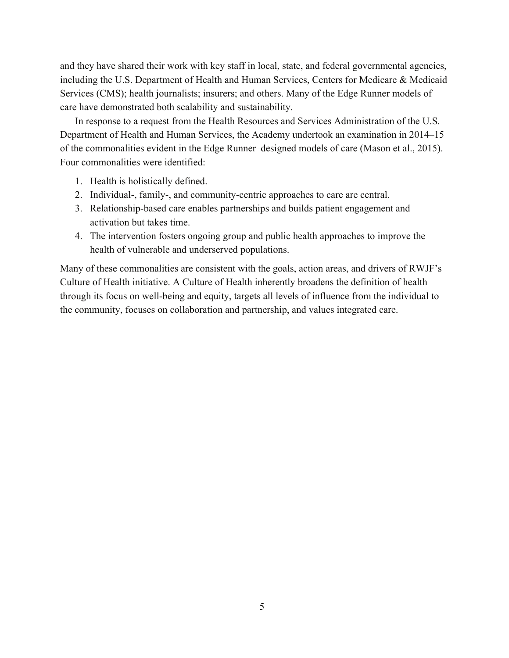and they have shared their work with key staff in local, state, and federal governmental agencies, including the U.S. Department of Health and Human Services, Centers for Medicare & Medicaid Services (CMS); health journalists; insurers; and others. Many of the Edge Runner models of care have demonstrated both scalability and sustainability.

In response to a request from the Health Resources and Services Administration of the U.S. Department of Health and Human Services, the Academy undertook an examination in 2014–15 of the commonalities evident in the Edge Runner–designed models of care (Mason et al., 2015). Four commonalities were identified:

- 1. Health is holistically defined.
- 2. Individual-, family-, and community-centric approaches to care are central.
- 3. Relationship-based care enables partnerships and builds patient engagement and activation but takes time.
- 4. The intervention fosters ongoing group and public health approaches to improve the health of vulnerable and underserved populations.

Many of these commonalities are consistent with the goals, action areas, and drivers of RWJF's Culture of Health initiative. A Culture of Health inherently broadens the definition of health through its focus on well-being and equity, targets all levels of influence from the individual to the community, focuses on collaboration and partnership, and values integrated care.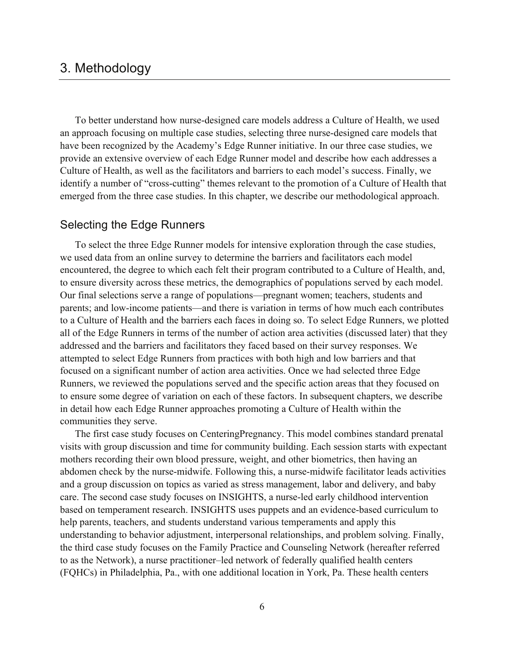# 3. Methodology

To better understand how nurse-designed care models address a Culture of Health, we used an approach focusing on multiple case studies, selecting three nurse-designed care models that have been recognized by the Academy's Edge Runner initiative. In our three case studies, we provide an extensive overview of each Edge Runner model and describe how each addresses a Culture of Health, as well as the facilitators and barriers to each model's success. Finally, we identify a number of "cross-cutting" themes relevant to the promotion of a Culture of Health that emerged from the three case studies. In this chapter, we describe our methodological approach.

## Selecting the Edge Runners

To select the three Edge Runner models for intensive exploration through the case studies, we used data from an online survey to determine the barriers and facilitators each model encountered, the degree to which each felt their program contributed to a Culture of Health, and, to ensure diversity across these metrics, the demographics of populations served by each model. Our final selections serve a range of populations—pregnant women; teachers, students and parents; and low-income patients—and there is variation in terms of how much each contributes to a Culture of Health and the barriers each faces in doing so. To select Edge Runners, we plotted all of the Edge Runners in terms of the number of action area activities (discussed later) that they addressed and the barriers and facilitators they faced based on their survey responses. We attempted to select Edge Runners from practices with both high and low barriers and that focused on a significant number of action area activities. Once we had selected three Edge Runners, we reviewed the populations served and the specific action areas that they focused on to ensure some degree of variation on each of these factors. In subsequent chapters, we describe in detail how each Edge Runner approaches promoting a Culture of Health within the communities they serve.

The first case study focuses on CenteringPregnancy. This model combines standard prenatal visits with group discussion and time for community building. Each session starts with expectant mothers recording their own blood pressure, weight, and other biometrics, then having an abdomen check by the nurse-midwife. Following this, a nurse-midwife facilitator leads activities and a group discussion on topics as varied as stress management, labor and delivery, and baby care. The second case study focuses on INSIGHTS, a nurse-led early childhood intervention based on temperament research. INSIGHTS uses puppets and an evidence-based curriculum to help parents, teachers, and students understand various temperaments and apply this understanding to behavior adjustment, interpersonal relationships, and problem solving. Finally, the third case study focuses on the Family Practice and Counseling Network (hereafter referred to as the Network), a nurse practitioner–led network of federally qualified health centers (FQHCs) in Philadelphia, Pa., with one additional location in York, Pa. These health centers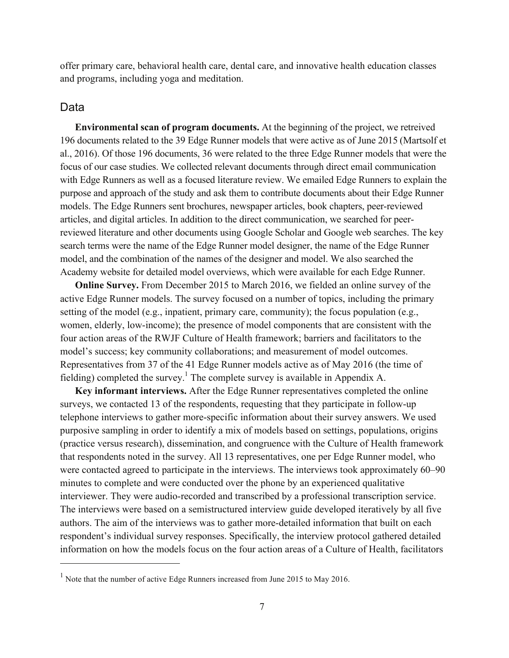offer primary care, behavioral health care, dental care, and innovative health education classes and programs, including yoga and meditation.

#### Data

 $\overline{a}$ 

**Environmental scan of program documents.** At the beginning of the project, we retreived 196 documents related to the 39 Edge Runner models that were active as of June 2015 (Martsolf et al., 2016). Of those 196 documents, 36 were related to the three Edge Runner models that were the focus of our case studies. We collected relevant documents through direct email communication with Edge Runners as well as a focused literature review. We emailed Edge Runners to explain the purpose and approach of the study and ask them to contribute documents about their Edge Runner models. The Edge Runners sent brochures, newspaper articles, book chapters, peer-reviewed articles, and digital articles. In addition to the direct communication, we searched for peerreviewed literature and other documents using Google Scholar and Google web searches. The key search terms were the name of the Edge Runner model designer, the name of the Edge Runner model, and the combination of the names of the designer and model. We also searched the Academy website for detailed model overviews, which were available for each Edge Runner.

**Online Survey.** From December 2015 to March 2016, we fielded an online survey of the active Edge Runner models. The survey focused on a number of topics, including the primary setting of the model (e.g., inpatient, primary care, community); the focus population (e.g., women, elderly, low-income); the presence of model components that are consistent with the four action areas of the RWJF Culture of Health framework; barriers and facilitators to the model's success; key community collaborations; and measurement of model outcomes. Representatives from 37 of the 41 Edge Runner models active as of May 2016 (the time of fielding) completed the survey.<sup>1</sup> The complete survey is available in Appendix A.

**Key informant interviews.** After the Edge Runner representatives completed the online surveys, we contacted 13 of the respondents, requesting that they participate in follow-up telephone interviews to gather more-specific information about their survey answers. We used purposive sampling in order to identify a mix of models based on settings, populations, origins (practice versus research), dissemination, and congruence with the Culture of Health framework that respondents noted in the survey. All 13 representatives, one per Edge Runner model, who were contacted agreed to participate in the interviews. The interviews took approximately 60–90 minutes to complete and were conducted over the phone by an experienced qualitative interviewer. They were audio-recorded and transcribed by a professional transcription service. The interviews were based on a semistructured interview guide developed iteratively by all five authors. The aim of the interviews was to gather more-detailed information that built on each respondent's individual survey responses. Specifically, the interview protocol gathered detailed information on how the models focus on the four action areas of a Culture of Health, facilitators

<sup>1</sup> Note that the number of active Edge Runners increased from June 2015 to May 2016.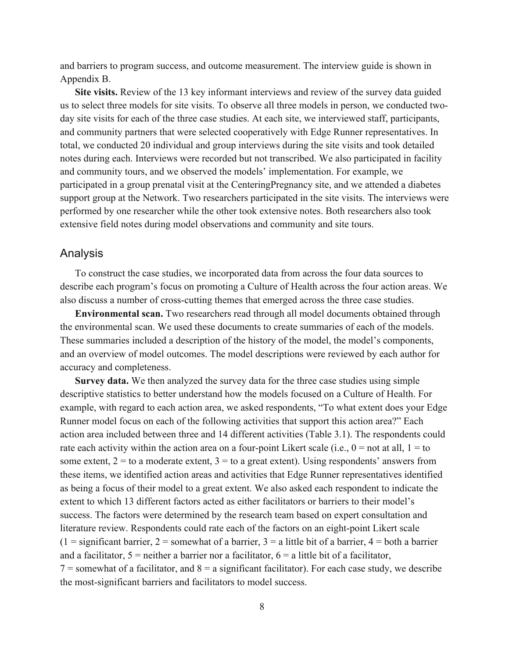and barriers to program success, and outcome measurement. The interview guide is shown in Appendix B.

**Site visits.** Review of the 13 key informant interviews and review of the survey data guided us to select three models for site visits. To observe all three models in person, we conducted twoday site visits for each of the three case studies. At each site, we interviewed staff, participants, and community partners that were selected cooperatively with Edge Runner representatives. In total, we conducted 20 individual and group interviews during the site visits and took detailed notes during each. Interviews were recorded but not transcribed. We also participated in facility and community tours, and we observed the models' implementation. For example, we participated in a group prenatal visit at the CenteringPregnancy site, and we attended a diabetes support group at the Network. Two researchers participated in the site visits. The interviews were performed by one researcher while the other took extensive notes. Both researchers also took extensive field notes during model observations and community and site tours.

#### Analysis

To construct the case studies, we incorporated data from across the four data sources to describe each program's focus on promoting a Culture of Health across the four action areas. We also discuss a number of cross-cutting themes that emerged across the three case studies.

**Environmental scan.** Two researchers read through all model documents obtained through the environmental scan. We used these documents to create summaries of each of the models. These summaries included a description of the history of the model, the model's components, and an overview of model outcomes. The model descriptions were reviewed by each author for accuracy and completeness.

**Survey data.** We then analyzed the survey data for the three case studies using simple descriptive statistics to better understand how the models focused on a Culture of Health. For example, with regard to each action area, we asked respondents, "To what extent does your Edge Runner model focus on each of the following activities that support this action area?" Each action area included between three and 14 different activities (Table 3.1). The respondents could rate each activity within the action area on a four-point Likert scale (i.e.,  $0 =$  not at all,  $1 =$  to some extent,  $2 =$  to a moderate extent,  $3 =$  to a great extent). Using respondents' answers from these items, we identified action areas and activities that Edge Runner representatives identified as being a focus of their model to a great extent. We also asked each respondent to indicate the extent to which 13 different factors acted as either facilitators or barriers to their model's success. The factors were determined by the research team based on expert consultation and literature review. Respondents could rate each of the factors on an eight-point Likert scale  $(1 =$  significant barrier, 2 = somewhat of a barrier, 3 = a little bit of a barrier, 4 = both a barrier and a facilitator,  $5$  = neither a barrier nor a facilitator,  $6$  = a little bit of a facilitator,  $7 =$  somewhat of a facilitator, and  $8 =$  a significant facilitator). For each case study, we describe the most-significant barriers and facilitators to model success.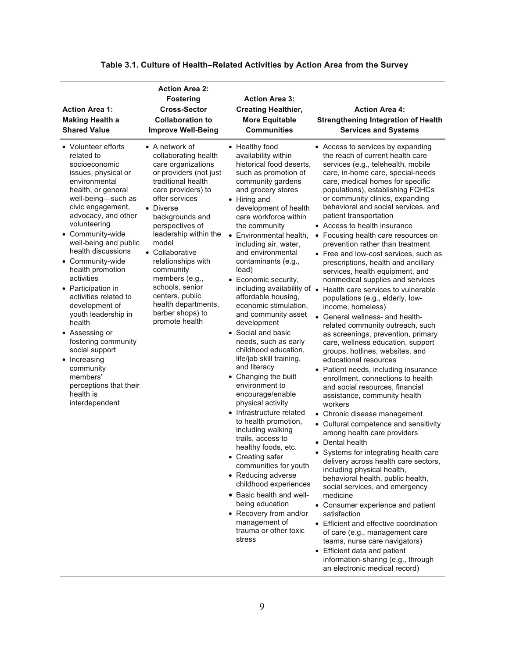| <b>Action Area 1:</b><br><b>Making Health a</b><br><b>Shared Value</b>                                                                                                                                                                                                                                                                                                                                                                                                                                                                                                                     | <b>Action Area 2:</b><br><b>Fostering</b><br><b>Cross-Sector</b><br><b>Collaboration to</b><br><b>Improve Well-Being</b>                                                                                                                                                                                                                                                                                                     | <b>Action Area 3:</b><br><b>Creating Healthier,</b><br><b>More Equitable</b><br><b>Communities</b>                                                                                                                                                                                                                                                                                                                                                                                                                                                                                                                                                                                                                                                                                                                                                                                                                                                                                                                               | <b>Action Area 4:</b><br><b>Strengthening Integration of Health</b><br><b>Services and Systems</b>                                                                                                                                                                                                                                                                                                                                                                                                                                                                                                                                                                                                                                                                                                                                                                                                                                                                                                                                                                                                                                                                                                                                                                                                                                                                                                                                                                                                                                                                                                                                                                         |
|--------------------------------------------------------------------------------------------------------------------------------------------------------------------------------------------------------------------------------------------------------------------------------------------------------------------------------------------------------------------------------------------------------------------------------------------------------------------------------------------------------------------------------------------------------------------------------------------|------------------------------------------------------------------------------------------------------------------------------------------------------------------------------------------------------------------------------------------------------------------------------------------------------------------------------------------------------------------------------------------------------------------------------|----------------------------------------------------------------------------------------------------------------------------------------------------------------------------------------------------------------------------------------------------------------------------------------------------------------------------------------------------------------------------------------------------------------------------------------------------------------------------------------------------------------------------------------------------------------------------------------------------------------------------------------------------------------------------------------------------------------------------------------------------------------------------------------------------------------------------------------------------------------------------------------------------------------------------------------------------------------------------------------------------------------------------------|----------------------------------------------------------------------------------------------------------------------------------------------------------------------------------------------------------------------------------------------------------------------------------------------------------------------------------------------------------------------------------------------------------------------------------------------------------------------------------------------------------------------------------------------------------------------------------------------------------------------------------------------------------------------------------------------------------------------------------------------------------------------------------------------------------------------------------------------------------------------------------------------------------------------------------------------------------------------------------------------------------------------------------------------------------------------------------------------------------------------------------------------------------------------------------------------------------------------------------------------------------------------------------------------------------------------------------------------------------------------------------------------------------------------------------------------------------------------------------------------------------------------------------------------------------------------------------------------------------------------------------------------------------------------------|
| • Volunteer efforts<br>related to<br>socioeconomic<br>issues, physical or<br>environmental<br>health, or general<br>well-being-such as<br>civic engagement,<br>advocacy, and other<br>volunteering<br>• Community-wide<br>well-being and public<br>health discussions<br>• Community-wide<br>health promotion<br>activities<br>• Participation in<br>activities related to<br>development of<br>youth leadership in<br>health<br>• Assessing or<br>fostering community<br>social support<br>• Increasing<br>community<br>members'<br>perceptions that their<br>health is<br>interdependent | $\bullet$ A network of<br>collaborating health<br>care organizations<br>or providers (not just<br>traditional health<br>care providers) to<br>offer services<br>• Diverse<br>backgrounds and<br>perspectives of<br>leadership within the<br>model<br>• Collaborative<br>relationships with<br>community<br>members (e.g.,<br>schools, senior<br>centers, public<br>health departments,<br>barber shops) to<br>promote health | • Healthy food<br>availability within<br>historical food deserts.<br>such as promotion of<br>community gardens<br>and grocery stores<br>• Hiring and<br>development of health<br>care workforce within<br>the community<br>• Environmental health,<br>including air, water,<br>and environmental<br>contaminants (e.g.,<br>lead)<br>• Economic security,<br>including availability of •<br>affordable housing,<br>economic stimulation,<br>and community asset<br>development<br>• Social and basic<br>needs, such as early<br>childhood education.<br>life/job skill training,<br>and literacy<br>• Changing the built<br>environment to<br>encourage/enable<br>physical activity<br>• Infrastructure related<br>to health promotion,<br>including walking<br>trails, access to<br>healthy foods, etc.<br>• Creating safer<br>communities for youth<br>• Reducing adverse<br>childhood experiences<br>• Basic health and well-<br>being education<br>• Recovery from and/or<br>management of<br>trauma or other toxic<br>stress | • Access to services by expanding<br>the reach of current health care<br>services (e.g., telehealth, mobile<br>care, in-home care, special-needs<br>care, medical homes for specific<br>populations), establishing FQHCs<br>or community clinics, expanding<br>behavioral and social services, and<br>patient transportation<br>• Access to health insurance<br>• Focusing health care resources on<br>prevention rather than treatment<br>• Free and low-cost services, such as<br>prescriptions, health and ancillary<br>services, health equipment, and<br>nonmedical supplies and services<br>Health care services to vulnerable<br>populations (e.g., elderly, low-<br>income, homeless)<br>• General wellness- and health-<br>related community outreach, such<br>as screenings, prevention, primary<br>care, wellness education, support<br>groups, hotlines, websites, and<br>educational resources<br>• Patient needs, including insurance<br>enrollment, connections to health<br>and social resources, financial<br>assistance, community health<br>workers<br>• Chronic disease management<br>• Cultural competence and sensitivity<br>among health care providers<br>• Dental health<br>• Systems for integrating health care<br>delivery across health care sectors,<br>including physical health,<br>behavioral health, public health,<br>social services, and emergency<br>medicine<br>• Consumer experience and patient<br>satisfaction<br>• Efficient and effective coordination<br>of care (e.g., management care<br>teams, nurse care navigators)<br>Efficient data and patient<br>information-sharing (e.g., through<br>an electronic medical record) |

## **Table 3.1. Culture of Health–Related Activities by Action Area from the Survey**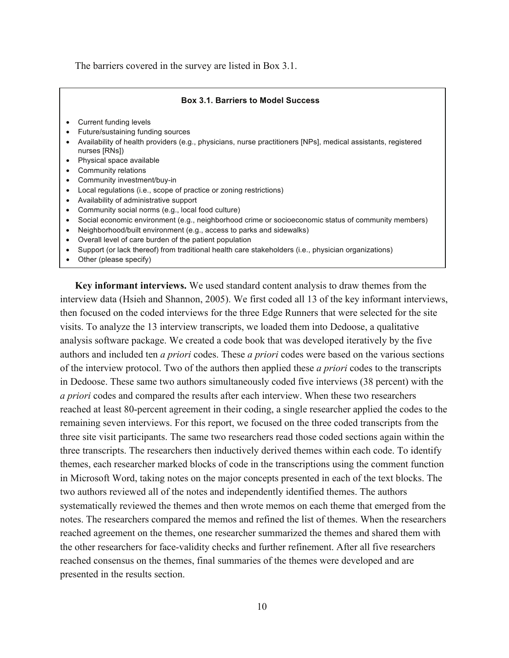The barriers covered in the survey are listed in Box 3.1.

#### **Box 3.1. Barriers to Model Success**

- Current funding levels
- Future/sustaining funding sources
- Availability of health providers (e.g., physicians, nurse practitioners [NPs], medical assistants, registered nurses [RNs])
- Physical space available
- Community relations
- Community investment/buy-in
- Local regulations (i.e., scope of practice or zoning restrictions)
- Availability of administrative support
- Community social norms (e.g., local food culture)
- Social economic environment (e.g., neighborhood crime or socioeconomic status of community members)
- Neighborhood/built environment (e.g., access to parks and sidewalks)
- Overall level of care burden of the patient population
- Support (or lack thereof) from traditional health care stakeholders (i.e., physician organizations)
- Other (please specify)

**Key informant interviews.** We used standard content analysis to draw themes from the interview data (Hsieh and Shannon, 2005). We first coded all 13 of the key informant interviews, then focused on the coded interviews for the three Edge Runners that were selected for the site visits. To analyze the 13 interview transcripts, we loaded them into Dedoose, a qualitative analysis software package. We created a code book that was developed iteratively by the five authors and included ten *a priori* codes. These *a priori* codes were based on the various sections of the interview protocol. Two of the authors then applied these *a priori* codes to the transcripts in Dedoose. These same two authors simultaneously coded five interviews (38 percent) with the *a priori* codes and compared the results after each interview. When these two researchers reached at least 80-percent agreement in their coding, a single researcher applied the codes to the remaining seven interviews. For this report, we focused on the three coded transcripts from the three site visit participants. The same two researchers read those coded sections again within the three transcripts. The researchers then inductively derived themes within each code. To identify themes, each researcher marked blocks of code in the transcriptions using the comment function in Microsoft Word, taking notes on the major concepts presented in each of the text blocks. The two authors reviewed all of the notes and independently identified themes. The authors systematically reviewed the themes and then wrote memos on each theme that emerged from the notes. The researchers compared the memos and refined the list of themes. When the researchers reached agreement on the themes, one researcher summarized the themes and shared them with the other researchers for face-validity checks and further refinement. After all five researchers reached consensus on the themes, final summaries of the themes were developed and are presented in the results section.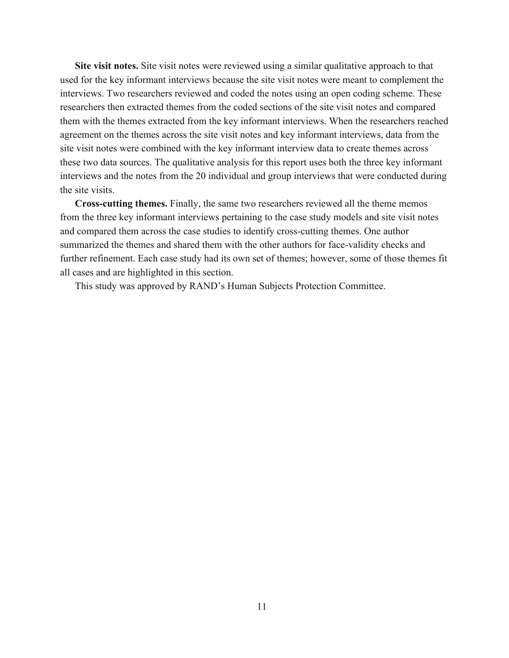**Site visit notes.** Site visit notes were reviewed using a similar qualitative approach to that used for the key informant interviews because the site visit notes were meant to complement the interviews. Two researchers reviewed and coded the notes using an open coding scheme. These researchers then extracted themes from the coded sections of the site visit notes and compared them with the themes extracted from the key informant interviews. When the researchers reached agreement on the themes across the site visit notes and key informant interviews, data from the site visit notes were combined with the key informant interview data to create themes across these two data sources. The qualitative analysis for this report uses both the three key informant interviews and the notes from the 20 individual and group interviews that were conducted during the site visits.

**Cross-cutting themes.** Finally, the same two researchers reviewed all the theme memos from the three key informant interviews pertaining to the case study models and site visit notes and compared them across the case studies to identify cross-cutting themes. One author summarized the themes and shared them with the other authors for face-validity checks and further refinement. Each case study had its own set of themes; however, some of those themes fit all cases and are highlighted in this section.

This study was approved by RAND's Human Subjects Protection Committee.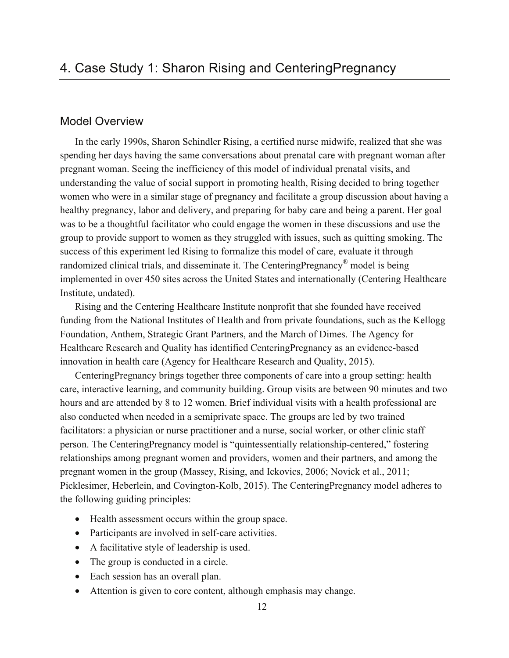## Model Overview

In the early 1990s, Sharon Schindler Rising, a certified nurse midwife, realized that she was spending her days having the same conversations about prenatal care with pregnant woman after pregnant woman. Seeing the inefficiency of this model of individual prenatal visits, and understanding the value of social support in promoting health, Rising decided to bring together women who were in a similar stage of pregnancy and facilitate a group discussion about having a healthy pregnancy, labor and delivery, and preparing for baby care and being a parent. Her goal was to be a thoughtful facilitator who could engage the women in these discussions and use the group to provide support to women as they struggled with issues, such as quitting smoking. The success of this experiment led Rising to formalize this model of care, evaluate it through randomized clinical trials, and disseminate it. The CenteringPregnancy® model is being implemented in over 450 sites across the United States and internationally (Centering Healthcare Institute, undated).

Rising and the Centering Healthcare Institute nonprofit that she founded have received funding from the National Institutes of Health and from private foundations, such as the Kellogg Foundation, Anthem, Strategic Grant Partners, and the March of Dimes. The Agency for Healthcare Research and Quality has identified CenteringPregnancy as an evidence-based innovation in health care (Agency for Healthcare Research and Quality, 2015).

CenteringPregnancy brings together three components of care into a group setting: health care, interactive learning, and community building. Group visits are between 90 minutes and two hours and are attended by 8 to 12 women. Brief individual visits with a health professional are also conducted when needed in a semiprivate space. The groups are led by two trained facilitators: a physician or nurse practitioner and a nurse, social worker, or other clinic staff person. The CenteringPregnancy model is "quintessentially relationship-centered," fostering relationships among pregnant women and providers, women and their partners, and among the pregnant women in the group (Massey, Rising, and Ickovics, 2006; Novick et al., 2011; Picklesimer, Heberlein, and Covington-Kolb, 2015). The CenteringPregnancy model adheres to the following guiding principles:

- Health assessment occurs within the group space.
- Participants are involved in self-care activities.
- A facilitative style of leadership is used.
- The group is conducted in a circle.
- Each session has an overall plan.
- Attention is given to core content, although emphasis may change.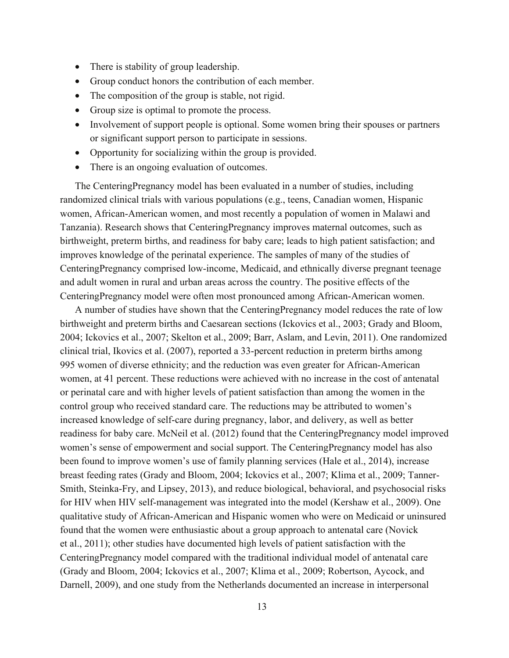- There is stability of group leadership.
- Group conduct honors the contribution of each member.
- The composition of the group is stable, not rigid.
- Group size is optimal to promote the process.
- Involvement of support people is optional. Some women bring their spouses or partners or significant support person to participate in sessions.
- Opportunity for socializing within the group is provided.
- There is an ongoing evaluation of outcomes.

The CenteringPregnancy model has been evaluated in a number of studies, including randomized clinical trials with various populations (e.g., teens, Canadian women, Hispanic women, African-American women, and most recently a population of women in Malawi and Tanzania). Research shows that CenteringPregnancy improves maternal outcomes, such as birthweight, preterm births, and readiness for baby care; leads to high patient satisfaction; and improves knowledge of the perinatal experience. The samples of many of the studies of CenteringPregnancy comprised low-income, Medicaid, and ethnically diverse pregnant teenage and adult women in rural and urban areas across the country. The positive effects of the CenteringPregnancy model were often most pronounced among African-American women.

A number of studies have shown that the CenteringPregnancy model reduces the rate of low birthweight and preterm births and Caesarean sections (Ickovics et al., 2003; Grady and Bloom, 2004; Ickovics et al., 2007; Skelton et al., 2009; Barr, Aslam, and Levin, 2011). One randomized clinical trial, Ikovics et al. (2007), reported a 33-percent reduction in preterm births among 995 women of diverse ethnicity; and the reduction was even greater for African-American women, at 41 percent. These reductions were achieved with no increase in the cost of antenatal or perinatal care and with higher levels of patient satisfaction than among the women in the control group who received standard care. The reductions may be attributed to women's increased knowledge of self-care during pregnancy, labor, and delivery, as well as better readiness for baby care. McNeil et al. (2012) found that the CenteringPregnancy model improved women's sense of empowerment and social support. The CenteringPregnancy model has also been found to improve women's use of family planning services (Hale et al., 2014), increase breast feeding rates (Grady and Bloom, 2004; Ickovics et al., 2007; Klima et al., 2009; Tanner-Smith, Steinka-Fry, and Lipsey, 2013), and reduce biological, behavioral, and psychosocial risks for HIV when HIV self-management was integrated into the model (Kershaw et al., 2009). One qualitative study of African-American and Hispanic women who were on Medicaid or uninsured found that the women were enthusiastic about a group approach to antenatal care (Novick et al., 2011); other studies have documented high levels of patient satisfaction with the CenteringPregnancy model compared with the traditional individual model of antenatal care (Grady and Bloom, 2004; Ickovics et al., 2007; Klima et al., 2009; Robertson, Aycock, and Darnell, 2009), and one study from the Netherlands documented an increase in interpersonal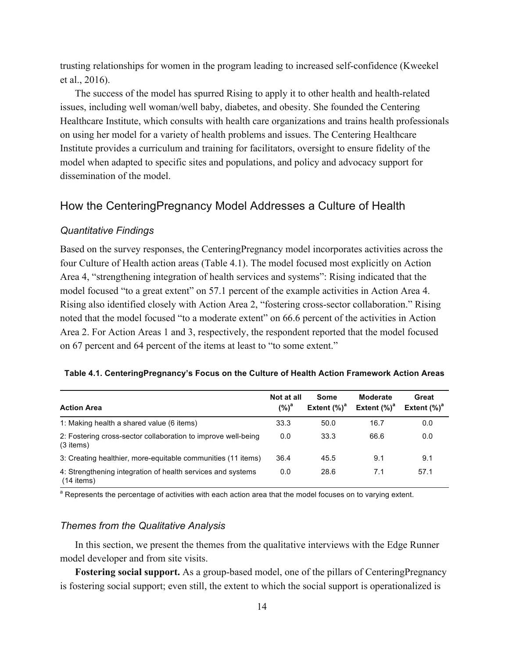trusting relationships for women in the program leading to increased self-confidence (Kweekel et al., 2016).

The success of the model has spurred Rising to apply it to other health and health-related issues, including well woman/well baby, diabetes, and obesity. She founded the Centering Healthcare Institute, which consults with health care organizations and trains health professionals on using her model for a variety of health problems and issues. The Centering Healthcare Institute provides a curriculum and training for facilitators, oversight to ensure fidelity of the model when adapted to specific sites and populations, and policy and advocacy support for dissemination of the model.

## How the CenteringPregnancy Model Addresses a Culture of Health

#### *Quantitative Findings*

Based on the survey responses, the CenteringPregnancy model incorporates activities across the four Culture of Health action areas (Table 4.1). The model focused most explicitly on Action Area 4, "strengthening integration of health services and systems": Rising indicated that the model focused "to a great extent" on 57.1 percent of the example activities in Action Area 4. Rising also identified closely with Action Area 2, "fostering cross-sector collaboration." Rising noted that the model focused "to a moderate extent" on 66.6 percent of the activities in Action Area 2. For Action Areas 1 and 3, respectively, the respondent reported that the model focused on 67 percent and 64 percent of the items at least to "to some extent."

|  |  |  |  |  |  | Table 4.1. CenteringPregnancy's Focus on the Culture of Health Action Framework Action Areas |  |  |  |  |  |  |  |  |
|--|--|--|--|--|--|----------------------------------------------------------------------------------------------|--|--|--|--|--|--|--|--|
|--|--|--|--|--|--|----------------------------------------------------------------------------------------------|--|--|--|--|--|--|--|--|

| <b>Action Area</b>                                                           | Not at all<br>$(%)^a$ | Some<br>Extent $(%)^d$ | <b>Moderate</b><br>Extent $(%)^a$ | Great<br>Extent $(\%)^d$ |
|------------------------------------------------------------------------------|-----------------------|------------------------|-----------------------------------|--------------------------|
| 1: Making health a shared value (6 items)                                    | 33.3                  | 50.0                   | 16.7                              | 0.0                      |
| 2: Fostering cross-sector collaboration to improve well-being<br>$(3$ items) | 0.0                   | 33.3                   | 66.6                              | 0.0                      |
| 3: Creating healthier, more-equitable communities (11 items)                 | 36.4                  | 45.5                   | 9.1                               | 9.1                      |
| 4: Strengthening integration of health services and systems<br>$(14$ items)  | 0.0                   | 28.6                   | 7.1                               | 57.1                     |

<sup>a</sup> Represents the percentage of activities with each action area that the model focuses on to varying extent.

#### *Themes from the Qualitative Analysis*

In this section, we present the themes from the qualitative interviews with the Edge Runner model developer and from site visits.

**Fostering social support.** As a group-based model, one of the pillars of CenteringPregnancy is fostering social support; even still, the extent to which the social support is operationalized is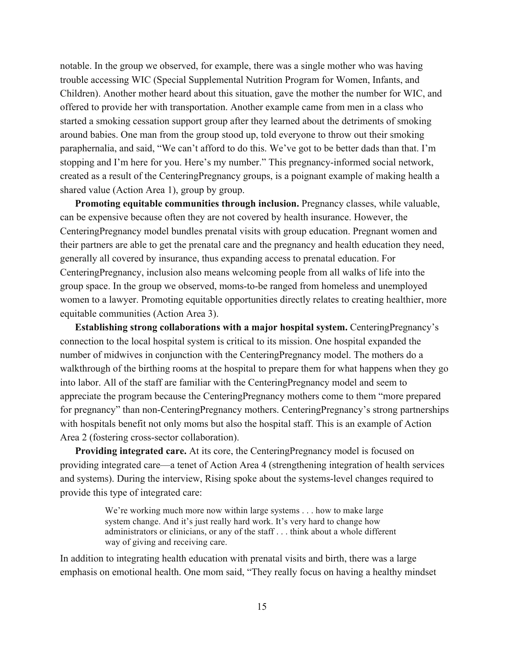notable. In the group we observed, for example, there was a single mother who was having trouble accessing WIC (Special Supplemental Nutrition Program for Women, Infants, and Children). Another mother heard about this situation, gave the mother the number for WIC, and offered to provide her with transportation. Another example came from men in a class who started a smoking cessation support group after they learned about the detriments of smoking around babies. One man from the group stood up, told everyone to throw out their smoking paraphernalia, and said, "We can't afford to do this. We've got to be better dads than that. I'm stopping and I'm here for you. Here's my number." This pregnancy-informed social network, created as a result of the CenteringPregnancy groups, is a poignant example of making health a shared value (Action Area 1), group by group.

**Promoting equitable communities through inclusion.** Pregnancy classes, while valuable, can be expensive because often they are not covered by health insurance. However, the CenteringPregnancy model bundles prenatal visits with group education. Pregnant women and their partners are able to get the prenatal care and the pregnancy and health education they need, generally all covered by insurance, thus expanding access to prenatal education. For CenteringPregnancy, inclusion also means welcoming people from all walks of life into the group space. In the group we observed, moms-to-be ranged from homeless and unemployed women to a lawyer. Promoting equitable opportunities directly relates to creating healthier, more equitable communities (Action Area 3).

**Establishing strong collaborations with a major hospital system.** CenteringPregnancy's connection to the local hospital system is critical to its mission. One hospital expanded the number of midwives in conjunction with the CenteringPregnancy model. The mothers do a walkthrough of the birthing rooms at the hospital to prepare them for what happens when they go into labor. All of the staff are familiar with the CenteringPregnancy model and seem to appreciate the program because the CenteringPregnancy mothers come to them "more prepared for pregnancy" than non-CenteringPregnancy mothers. CenteringPregnancy's strong partnerships with hospitals benefit not only moms but also the hospital staff. This is an example of Action Area 2 (fostering cross-sector collaboration).

**Providing integrated care.** At its core, the CenteringPregnancy model is focused on providing integrated care—a tenet of Action Area 4 (strengthening integration of health services and systems). During the interview, Rising spoke about the systems-level changes required to provide this type of integrated care:

> We're working much more now within large systems . . . how to make large system change. And it's just really hard work. It's very hard to change how administrators or clinicians, or any of the staff . . . think about a whole different way of giving and receiving care.

In addition to integrating health education with prenatal visits and birth, there was a large emphasis on emotional health. One mom said, "They really focus on having a healthy mindset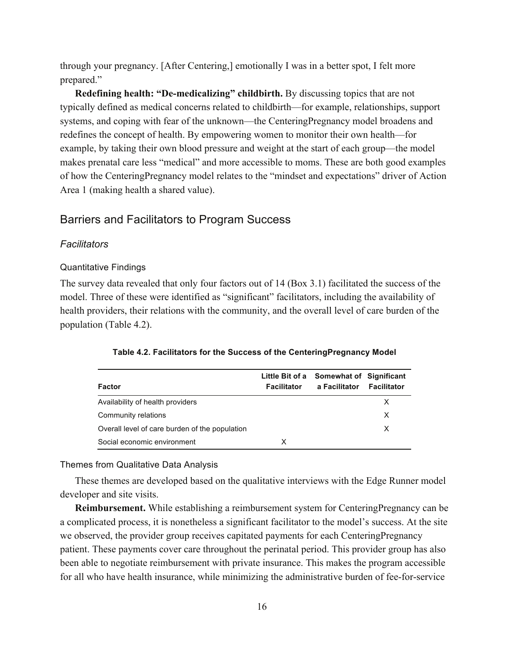through your pregnancy. [After Centering,] emotionally I was in a better spot, I felt more prepared."

**Redefining health: "De-medicalizing" childbirth.** By discussing topics that are not typically defined as medical concerns related to childbirth—for example, relationships, support systems, and coping with fear of the unknown—the CenteringPregnancy model broadens and redefines the concept of health. By empowering women to monitor their own health—for example, by taking their own blood pressure and weight at the start of each group—the model makes prenatal care less "medical" and more accessible to moms. These are both good examples of how the CenteringPregnancy model relates to the "mindset and expectations" driver of Action Area 1 (making health a shared value).

#### Barriers and Facilitators to Program Success

#### *Facilitators*

#### Quantitative Findings

The survey data revealed that only four factors out of 14 (Box 3.1) facilitated the success of the model. Three of these were identified as "significant" facilitators, including the availability of health providers, their relations with the community, and the overall level of care burden of the population (Table 4.2).

| Factor                                         | Little Bit of a<br><b>Facilitator</b> | Somewhat of Significant<br>a Facilitator | <b>Facilitator</b> |
|------------------------------------------------|---------------------------------------|------------------------------------------|--------------------|
| Availability of health providers               |                                       |                                          | X                  |
| Community relations                            |                                       |                                          | X                  |
| Overall level of care burden of the population |                                       |                                          | x                  |
| Social economic environment                    | x                                     |                                          |                    |

**Table 4.2. Facilitators for the Success of the CenteringPregnancy Model**

#### Themes from Qualitative Data Analysis

These themes are developed based on the qualitative interviews with the Edge Runner model developer and site visits.

**Reimbursement.** While establishing a reimbursement system for CenteringPregnancy can be a complicated process, it is nonetheless a significant facilitator to the model's success. At the site we observed, the provider group receives capitated payments for each CenteringPregnancy patient. These payments cover care throughout the perinatal period. This provider group has also been able to negotiate reimbursement with private insurance. This makes the program accessible for all who have health insurance, while minimizing the administrative burden of fee-for-service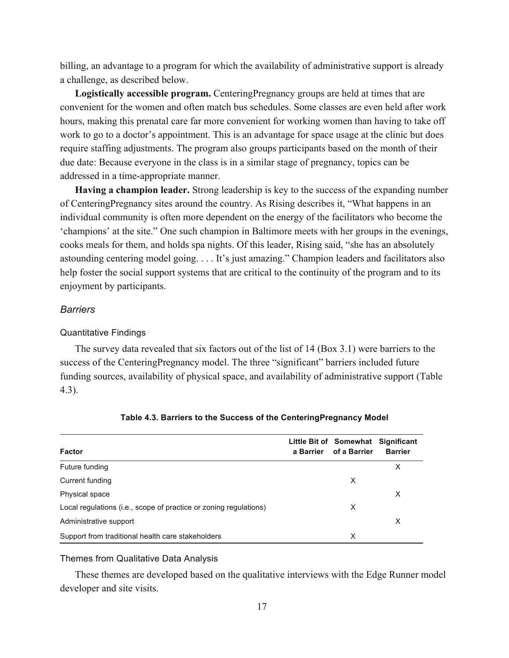billing, an advantage to a program for which the availability of administrative support is already a challenge, as described below.

**Logistically accessible program.** CenteringPregnancy groups are held at times that are convenient for the women and often match bus schedules. Some classes are even held after work hours, making this prenatal care far more convenient for working women than having to take off work to go to a doctor's appointment. This is an advantage for space usage at the clinic but does require staffing adjustments. The program also groups participants based on the month of their due date: Because everyone in the class is in a similar stage of pregnancy, topics can be addressed in a time-appropriate manner.

**Having a champion leader.** Strong leadership is key to the success of the expanding number of CenteringPregnancy sites around the country. As Rising describes it, "What happens in an individual community is often more dependent on the energy of the facilitators who become the 'champions' at the site." One such champion in Baltimore meets with her groups in the evenings, cooks meals for them, and holds spa nights. Of this leader, Rising said, "she has an absolutely astounding centering model going. . . . It's just amazing." Champion leaders and facilitators also help foster the social support systems that are critical to the continuity of the program and to its enjoyment by participants.

#### *Barriers*

#### Quantitative Findings

The survey data revealed that six factors out of the list of 14 (Box 3.1) were barriers to the success of the CenteringPregnancy model. The three "significant" barriers included future funding sources, availability of physical space, and availability of administrative support (Table 4.3).

| <b>Factor</b>                                                     | a Barrier | Little Bit of Somewhat Significant<br>of a Barrier | <b>Barrier</b> |
|-------------------------------------------------------------------|-----------|----------------------------------------------------|----------------|
| Future funding                                                    |           |                                                    | X              |
| Current funding                                                   |           | X                                                  |                |
| Physical space                                                    |           |                                                    | X              |
| Local regulations (i.e., scope of practice or zoning regulations) |           | X                                                  |                |
| Administrative support                                            |           |                                                    | X              |
| Support from traditional health care stakeholders                 |           | X                                                  |                |

#### **Table 4.3. Barriers to the Success of the CenteringPregnancy Model**

#### Themes from Qualitative Data Analysis

These themes are developed based on the qualitative interviews with the Edge Runner model developer and site visits.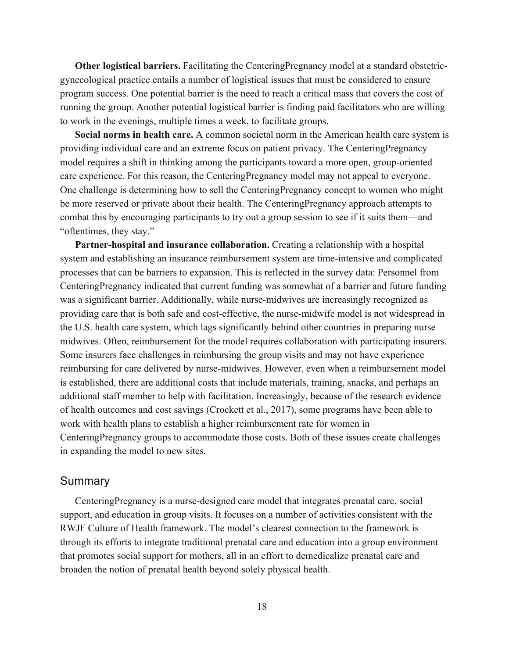**Other logistical barriers.** Facilitating the CenteringPregnancy model at a standard obstetricgynecological practice entails a number of logistical issues that must be considered to ensure program success. One potential barrier is the need to reach a critical mass that covers the cost of running the group. Another potential logistical barrier is finding paid facilitators who are willing to work in the evenings, multiple times a week, to facilitate groups.

**Social norms in health care.** A common societal norm in the American health care system is providing individual care and an extreme focus on patient privacy. The CenteringPregnancy model requires a shift in thinking among the participants toward a more open, group-oriented care experience. For this reason, the CenteringPregnancy model may not appeal to everyone. One challenge is determining how to sell the CenteringPregnancy concept to women who might be more reserved or private about their health. The CenteringPregnancy approach attempts to combat this by encouraging participants to try out a group session to see if it suits them—and "oftentimes, they stay."

Partner-hospital and insurance collaboration. Creating a relationship with a hospital system and establishing an insurance reimbursement system are time-intensive and complicated processes that can be barriers to expansion. This is reflected in the survey data: Personnel from CenteringPregnancy indicated that current funding was somewhat of a barrier and future funding was a significant barrier. Additionally, while nurse-midwives are increasingly recognized as providing care that is both safe and cost-effective, the nurse-midwife model is not widespread in the U.S. health care system, which lags significantly behind other countries in preparing nurse midwives. Often, reimbursement for the model requires collaboration with participating insurers. Some insurers face challenges in reimbursing the group visits and may not have experience reimbursing for care delivered by nurse-midwives. However, even when a reimbursement model is established, there are additional costs that include materials, training, snacks, and perhaps an additional staff member to help with facilitation. Increasingly, because of the research evidence of health outcomes and cost savings (Crockett et al., 2017), some programs have been able to work with health plans to establish a higher reimbursement rate for women in CenteringPregnancy groups to accommodate those costs. Both of these issues create challenges in expanding the model to new sites.

#### **Summary**

CenteringPregnancy is a nurse-designed care model that integrates prenatal care, social support, and education in group visits. It focuses on a number of activities consistent with the RWJF Culture of Health framework. The model's clearest connection to the framework is through its efforts to integrate traditional prenatal care and education into a group environment that promotes social support for mothers, all in an effort to demedicalize prenatal care and broaden the notion of prenatal health beyond solely physical health.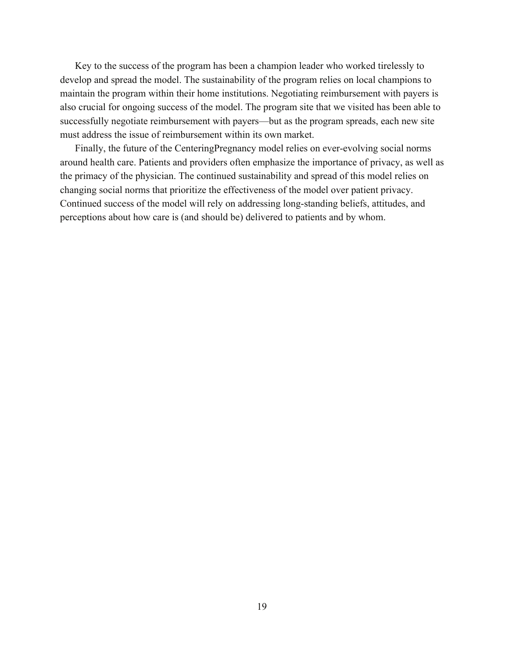Key to the success of the program has been a champion leader who worked tirelessly to develop and spread the model. The sustainability of the program relies on local champions to maintain the program within their home institutions. Negotiating reimbursement with payers is also crucial for ongoing success of the model. The program site that we visited has been able to successfully negotiate reimbursement with payers—but as the program spreads, each new site must address the issue of reimbursement within its own market.

Finally, the future of the CenteringPregnancy model relies on ever-evolving social norms around health care. Patients and providers often emphasize the importance of privacy, as well as the primacy of the physician. The continued sustainability and spread of this model relies on changing social norms that prioritize the effectiveness of the model over patient privacy. Continued success of the model will rely on addressing long-standing beliefs, attitudes, and perceptions about how care is (and should be) delivered to patients and by whom.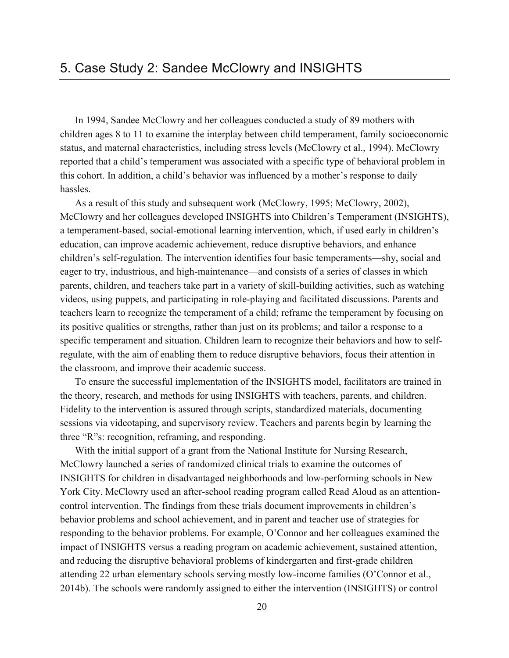In 1994, Sandee McClowry and her colleagues conducted a study of 89 mothers with children ages 8 to 11 to examine the interplay between child temperament, family socioeconomic status, and maternal characteristics, including stress levels (McClowry et al., 1994). McClowry reported that a child's temperament was associated with a specific type of behavioral problem in this cohort. In addition, a child's behavior was influenced by a mother's response to daily hassles.

As a result of this study and subsequent work (McClowry, 1995; McClowry, 2002), McClowry and her colleagues developed INSIGHTS into Children's Temperament (INSIGHTS), a temperament-based, social-emotional learning intervention, which, if used early in children's education, can improve academic achievement, reduce disruptive behaviors, and enhance children's self-regulation. The intervention identifies four basic temperaments—shy, social and eager to try, industrious, and high-maintenance—and consists of a series of classes in which parents, children, and teachers take part in a variety of skill-building activities, such as watching videos, using puppets, and participating in role-playing and facilitated discussions. Parents and teachers learn to recognize the temperament of a child; reframe the temperament by focusing on its positive qualities or strengths, rather than just on its problems; and tailor a response to a specific temperament and situation. Children learn to recognize their behaviors and how to selfregulate, with the aim of enabling them to reduce disruptive behaviors, focus their attention in the classroom, and improve their academic success.

To ensure the successful implementation of the INSIGHTS model, facilitators are trained in the theory, research, and methods for using INSIGHTS with teachers, parents, and children. Fidelity to the intervention is assured through scripts, standardized materials, documenting sessions via videotaping, and supervisory review. Teachers and parents begin by learning the three "R"s: recognition, reframing, and responding.

With the initial support of a grant from the National Institute for Nursing Research, McClowry launched a series of randomized clinical trials to examine the outcomes of INSIGHTS for children in disadvantaged neighborhoods and low-performing schools in New York City. McClowry used an after-school reading program called Read Aloud as an attentioncontrol intervention. The findings from these trials document improvements in children's behavior problems and school achievement, and in parent and teacher use of strategies for responding to the behavior problems. For example, O'Connor and her colleagues examined the impact of INSIGHTS versus a reading program on academic achievement, sustained attention, and reducing the disruptive behavioral problems of kindergarten and first-grade children attending 22 urban elementary schools serving mostly low-income families (O'Connor et al., 2014b). The schools were randomly assigned to either the intervention (INSIGHTS) or control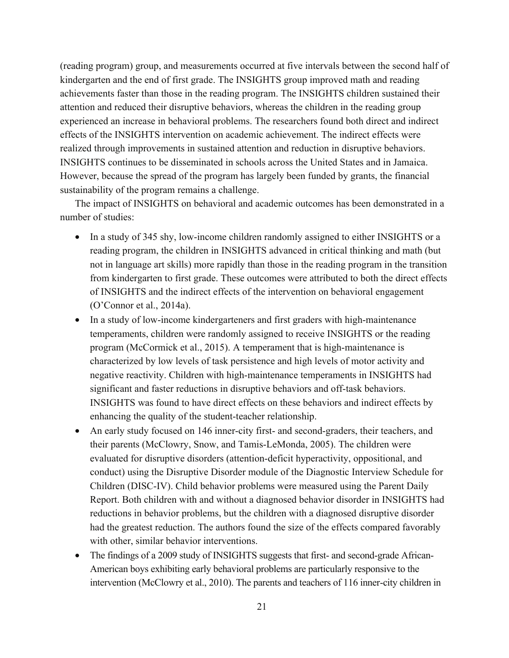(reading program) group, and measurements occurred at five intervals between the second half of kindergarten and the end of first grade. The INSIGHTS group improved math and reading achievements faster than those in the reading program. The INSIGHTS children sustained their attention and reduced their disruptive behaviors, whereas the children in the reading group experienced an increase in behavioral problems. The researchers found both direct and indirect effects of the INSIGHTS intervention on academic achievement. The indirect effects were realized through improvements in sustained attention and reduction in disruptive behaviors. INSIGHTS continues to be disseminated in schools across the United States and in Jamaica. However, because the spread of the program has largely been funded by grants, the financial sustainability of the program remains a challenge.

The impact of INSIGHTS on behavioral and academic outcomes has been demonstrated in a number of studies:

- In a study of 345 shy, low-income children randomly assigned to either INSIGHTS or a reading program, the children in INSIGHTS advanced in critical thinking and math (but not in language art skills) more rapidly than those in the reading program in the transition from kindergarten to first grade. These outcomes were attributed to both the direct effects of INSIGHTS and the indirect effects of the intervention on behavioral engagement (O'Connor et al., 2014a).
- In a study of low-income kindergarteners and first graders with high-maintenance temperaments, children were randomly assigned to receive INSIGHTS or the reading program (McCormick et al., 2015). A temperament that is high-maintenance is characterized by low levels of task persistence and high levels of motor activity and negative reactivity. Children with high-maintenance temperaments in INSIGHTS had significant and faster reductions in disruptive behaviors and off-task behaviors. INSIGHTS was found to have direct effects on these behaviors and indirect effects by enhancing the quality of the student-teacher relationship.
- An early study focused on 146 inner-city first- and second-graders, their teachers, and their parents (McClowry, Snow, and Tamis-LeMonda, 2005). The children were evaluated for disruptive disorders (attention-deficit hyperactivity, oppositional, and conduct) using the Disruptive Disorder module of the Diagnostic Interview Schedule for Children (DISC-IV). Child behavior problems were measured using the Parent Daily Report. Both children with and without a diagnosed behavior disorder in INSIGHTS had reductions in behavior problems, but the children with a diagnosed disruptive disorder had the greatest reduction. The authors found the size of the effects compared favorably with other, similar behavior interventions.
- The findings of a 2009 study of INSIGHTS suggests that first- and second-grade African-American boys exhibiting early behavioral problems are particularly responsive to the intervention (McClowry et al., 2010). The parents and teachers of 116 inner-city children in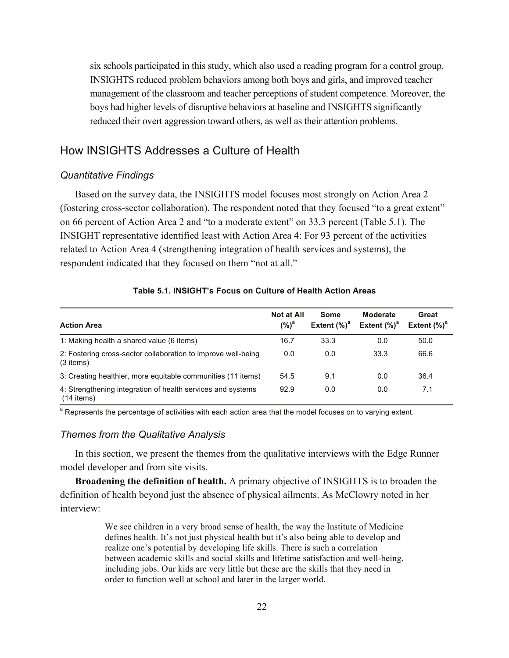six schools participated in this study, which also used a reading program for a control group. INSIGHTS reduced problem behaviors among both boys and girls, and improved teacher management of the classroom and teacher perceptions of student competence. Moreover, the boys had higher levels of disruptive behaviors at baseline and INSIGHTS significantly reduced their overt aggression toward others, as well as their attention problems.

## How INSIGHTS Addresses a Culture of Health

#### *Quantitative Findings*

Based on the survey data, the INSIGHTS model focuses most strongly on Action Area 2 (fostering cross-sector collaboration). The respondent noted that they focused "to a great extent" on 66 percent of Action Area 2 and "to a moderate extent" on 33.3 percent (Table 5.1). The INSIGHT representative identified least with Action Area 4: For 93 percent of the activities related to Action Area 4 (strengthening integration of health services and systems), the respondent indicated that they focused on them "not at all."

#### **Table 5.1. INSIGHT's Focus on Culture of Health Action Areas**

| <b>Action Area</b>                                                           | <b>Not at All</b><br>$(%)^a$ | Some<br>Extent $(%)^a$ | <b>Moderate</b><br>Extent $(\%)^a$ | Great<br>Extent $(\%)^a$ |
|------------------------------------------------------------------------------|------------------------------|------------------------|------------------------------------|--------------------------|
| 1: Making health a shared value (6 items)                                    | 16.7                         | 33.3                   | 0.0                                | 50.0                     |
| 2: Fostering cross-sector collaboration to improve well-being<br>$(3$ items) | 0.0                          | 0.0                    | 33.3                               | 66.6                     |
| 3: Creating healthier, more equitable communities (11 items)                 | 54.5                         | 9.1                    | 0.0                                | 36.4                     |
| 4: Strengthening integration of health services and systems<br>(14 items)    | 92.9                         | 0.0                    | 0.0                                | 7.1                      |

<sup>a</sup> Represents the percentage of activities with each action area that the model focuses on to varying extent.

#### *Themes from the Qualitative Analysis*

In this section, we present the themes from the qualitative interviews with the Edge Runner model developer and from site visits.

**Broadening the definition of health.** A primary objective of INSIGHTS is to broaden the definition of health beyond just the absence of physical ailments. As McClowry noted in her interview:

> We see children in a very broad sense of health, the way the Institute of Medicine defines health. It's not just physical health but it's also being able to develop and realize one's potential by developing life skills. There is such a correlation between academic skills and social skills and lifetime satisfaction and well-being, including jobs. Our kids are very little but these are the skills that they need in order to function well at school and later in the larger world.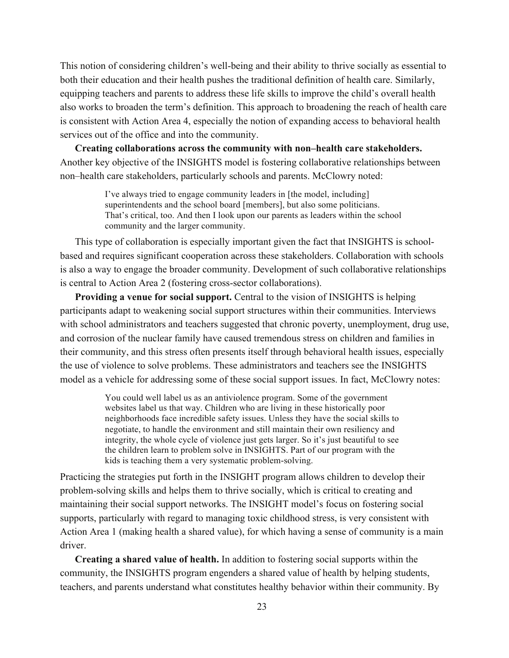This notion of considering children's well-being and their ability to thrive socially as essential to both their education and their health pushes the traditional definition of health care. Similarly, equipping teachers and parents to address these life skills to improve the child's overall health also works to broaden the term's definition. This approach to broadening the reach of health care is consistent with Action Area 4, especially the notion of expanding access to behavioral health services out of the office and into the community.

**Creating collaborations across the community with non–health care stakeholders.**  Another key objective of the INSIGHTS model is fostering collaborative relationships between non–health care stakeholders, particularly schools and parents. McClowry noted:

> I've always tried to engage community leaders in [the model, including] superintendents and the school board [members], but also some politicians. That's critical, too. And then I look upon our parents as leaders within the school community and the larger community.

This type of collaboration is especially important given the fact that INSIGHTS is schoolbased and requires significant cooperation across these stakeholders. Collaboration with schools is also a way to engage the broader community. Development of such collaborative relationships is central to Action Area 2 (fostering cross-sector collaborations).

**Providing a venue for social support.** Central to the vision of INSIGHTS is helping participants adapt to weakening social support structures within their communities. Interviews with school administrators and teachers suggested that chronic poverty, unemployment, drug use, and corrosion of the nuclear family have caused tremendous stress on children and families in their community, and this stress often presents itself through behavioral health issues, especially the use of violence to solve problems. These administrators and teachers see the INSIGHTS model as a vehicle for addressing some of these social support issues. In fact, McClowry notes:

> You could well label us as an antiviolence program. Some of the government websites label us that way. Children who are living in these historically poor neighborhoods face incredible safety issues. Unless they have the social skills to negotiate, to handle the environment and still maintain their own resiliency and integrity, the whole cycle of violence just gets larger. So it's just beautiful to see the children learn to problem solve in INSIGHTS. Part of our program with the kids is teaching them a very systematic problem-solving.

Practicing the strategies put forth in the INSIGHT program allows children to develop their problem-solving skills and helps them to thrive socially, which is critical to creating and maintaining their social support networks. The INSIGHT model's focus on fostering social supports, particularly with regard to managing toxic childhood stress, is very consistent with Action Area 1 (making health a shared value), for which having a sense of community is a main driver.

**Creating a shared value of health.** In addition to fostering social supports within the community, the INSIGHTS program engenders a shared value of health by helping students, teachers, and parents understand what constitutes healthy behavior within their community. By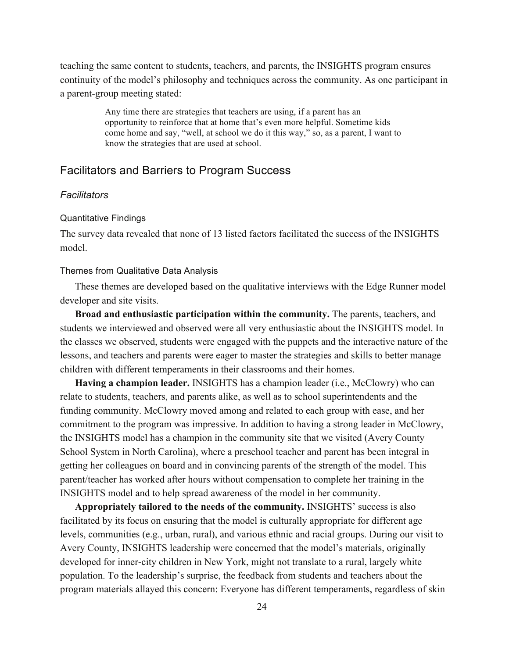teaching the same content to students, teachers, and parents, the INSIGHTS program ensures continuity of the model's philosophy and techniques across the community. As one participant in a parent-group meeting stated:

> Any time there are strategies that teachers are using, if a parent has an opportunity to reinforce that at home that's even more helpful. Sometime kids come home and say, "well, at school we do it this way," so, as a parent, I want to know the strategies that are used at school.

### Facilitators and Barriers to Program Success

#### *Facilitators*

#### Quantitative Findings

The survey data revealed that none of 13 listed factors facilitated the success of the INSIGHTS model.

#### Themes from Qualitative Data Analysis

These themes are developed based on the qualitative interviews with the Edge Runner model developer and site visits.

**Broad and enthusiastic participation within the community.** The parents, teachers, and students we interviewed and observed were all very enthusiastic about the INSIGHTS model. In the classes we observed, students were engaged with the puppets and the interactive nature of the lessons, and teachers and parents were eager to master the strategies and skills to better manage children with different temperaments in their classrooms and their homes.

**Having a champion leader.** INSIGHTS has a champion leader (i.e., McClowry) who can relate to students, teachers, and parents alike, as well as to school superintendents and the funding community. McClowry moved among and related to each group with ease, and her commitment to the program was impressive. In addition to having a strong leader in McClowry, the INSIGHTS model has a champion in the community site that we visited (Avery County School System in North Carolina), where a preschool teacher and parent has been integral in getting her colleagues on board and in convincing parents of the strength of the model. This parent/teacher has worked after hours without compensation to complete her training in the INSIGHTS model and to help spread awareness of the model in her community.

**Appropriately tailored to the needs of the community.** INSIGHTS' success is also facilitated by its focus on ensuring that the model is culturally appropriate for different age levels, communities (e.g., urban, rural), and various ethnic and racial groups. During our visit to Avery County, INSIGHTS leadership were concerned that the model's materials, originally developed for inner-city children in New York, might not translate to a rural, largely white population. To the leadership's surprise, the feedback from students and teachers about the program materials allayed this concern: Everyone has different temperaments, regardless of skin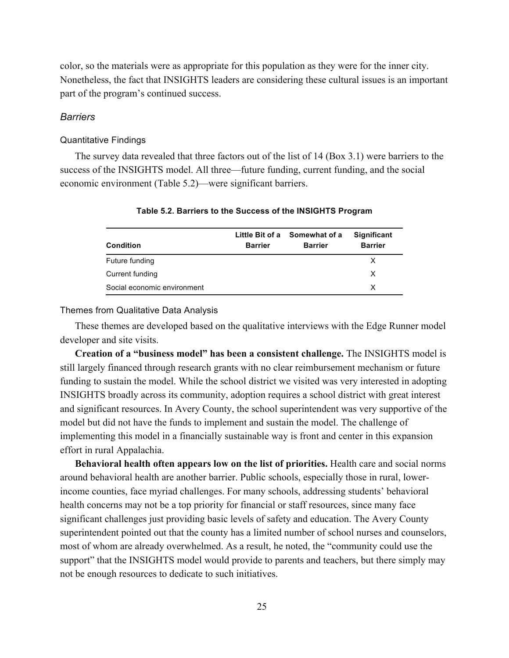color, so the materials were as appropriate for this population as they were for the inner city. Nonetheless, the fact that INSIGHTS leaders are considering these cultural issues is an important part of the program's continued success.

#### *Barriers*

#### Quantitative Findings

The survey data revealed that three factors out of the list of 14 (Box 3.1) were barriers to the success of the INSIGHTS model. All three—future funding, current funding, and the social economic environment (Table 5.2)—were significant barriers.

| <b>Condition</b>            | <b>Barrier</b> | Little Bit of a Somewhat of a<br><b>Barrier</b> | <b>Significant</b><br><b>Barrier</b> |
|-----------------------------|----------------|-------------------------------------------------|--------------------------------------|
| Future funding              |                |                                                 | x                                    |
| Current funding             |                |                                                 | x                                    |
| Social economic environment |                |                                                 | x                                    |

#### **Table 5.2. Barriers to the Success of the INSIGHTS Program**

#### Themes from Qualitative Data Analysis

These themes are developed based on the qualitative interviews with the Edge Runner model developer and site visits.

**Creation of a "business model" has been a consistent challenge.** The INSIGHTS model is still largely financed through research grants with no clear reimbursement mechanism or future funding to sustain the model. While the school district we visited was very interested in adopting INSIGHTS broadly across its community, adoption requires a school district with great interest and significant resources. In Avery County, the school superintendent was very supportive of the model but did not have the funds to implement and sustain the model. The challenge of implementing this model in a financially sustainable way is front and center in this expansion effort in rural Appalachia.

**Behavioral health often appears low on the list of priorities.** Health care and social norms around behavioral health are another barrier. Public schools, especially those in rural, lowerincome counties, face myriad challenges. For many schools, addressing students' behavioral health concerns may not be a top priority for financial or staff resources, since many face significant challenges just providing basic levels of safety and education. The Avery County superintendent pointed out that the county has a limited number of school nurses and counselors, most of whom are already overwhelmed. As a result, he noted, the "community could use the support" that the INSIGHTS model would provide to parents and teachers, but there simply may not be enough resources to dedicate to such initiatives.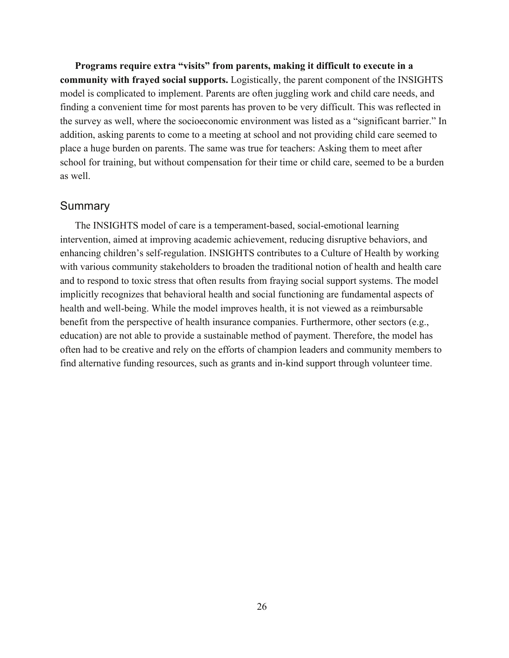**Programs require extra "visits" from parents, making it difficult to execute in a community with frayed social supports.** Logistically, the parent component of the INSIGHTS model is complicated to implement. Parents are often juggling work and child care needs, and finding a convenient time for most parents has proven to be very difficult. This was reflected in the survey as well, where the socioeconomic environment was listed as a "significant barrier." In addition, asking parents to come to a meeting at school and not providing child care seemed to place a huge burden on parents. The same was true for teachers: Asking them to meet after school for training, but without compensation for their time or child care, seemed to be a burden as well.

### Summary

The INSIGHTS model of care is a temperament-based, social-emotional learning intervention, aimed at improving academic achievement, reducing disruptive behaviors, and enhancing children's self-regulation. INSIGHTS contributes to a Culture of Health by working with various community stakeholders to broaden the traditional notion of health and health care and to respond to toxic stress that often results from fraying social support systems. The model implicitly recognizes that behavioral health and social functioning are fundamental aspects of health and well-being. While the model improves health, it is not viewed as a reimbursable benefit from the perspective of health insurance companies. Furthermore, other sectors (e.g., education) are not able to provide a sustainable method of payment. Therefore, the model has often had to be creative and rely on the efforts of champion leaders and community members to find alternative funding resources, such as grants and in-kind support through volunteer time.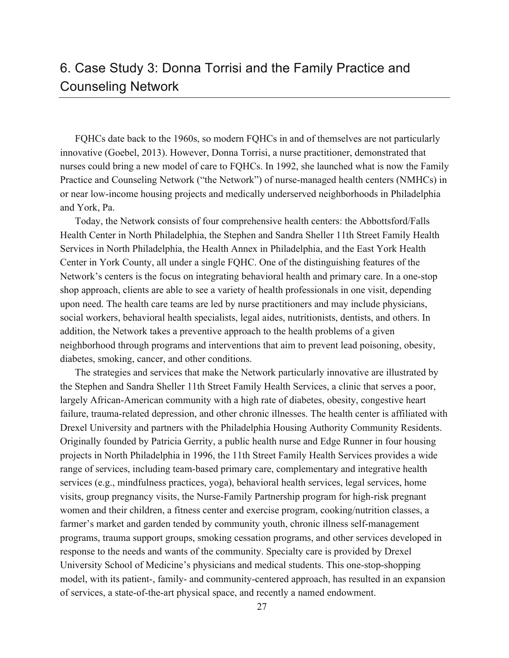# 6. Case Study 3: Donna Torrisi and the Family Practice and Counseling Network

FQHCs date back to the 1960s, so modern FQHCs in and of themselves are not particularly innovative (Goebel, 2013). However, Donna Torrisi, a nurse practitioner, demonstrated that nurses could bring a new model of care to FQHCs. In 1992, she launched what is now the Family Practice and Counseling Network ("the Network") of nurse-managed health centers (NMHCs) in or near low-income housing projects and medically underserved neighborhoods in Philadelphia and York, Pa.

Today, the Network consists of four comprehensive health centers: the Abbottsford/Falls Health Center in North Philadelphia, the Stephen and Sandra Sheller 11th Street Family Health Services in North Philadelphia, the Health Annex in Philadelphia, and the East York Health Center in York County, all under a single FQHC. One of the distinguishing features of the Network's centers is the focus on integrating behavioral health and primary care. In a one-stop shop approach, clients are able to see a variety of health professionals in one visit, depending upon need. The health care teams are led by nurse practitioners and may include physicians, social workers, behavioral health specialists, legal aides, nutritionists, dentists, and others. In addition, the Network takes a preventive approach to the health problems of a given neighborhood through programs and interventions that aim to prevent lead poisoning, obesity, diabetes, smoking, cancer, and other conditions.

The strategies and services that make the Network particularly innovative are illustrated by the Stephen and Sandra Sheller 11th Street Family Health Services, a clinic that serves a poor, largely African-American community with a high rate of diabetes, obesity, congestive heart failure, trauma-related depression, and other chronic illnesses. The health center is affiliated with Drexel University and partners with the Philadelphia Housing Authority Community Residents. Originally founded by Patricia Gerrity, a public health nurse and Edge Runner in four housing projects in North Philadelphia in 1996, the 11th Street Family Health Services provides a wide range of services, including team-based primary care, complementary and integrative health services (e.g., mindfulness practices, yoga), behavioral health services, legal services, home visits, group pregnancy visits, the Nurse-Family Partnership program for high-risk pregnant women and their children, a fitness center and exercise program, cooking/nutrition classes, a farmer's market and garden tended by community youth, chronic illness self-management programs, trauma support groups, smoking cessation programs, and other services developed in response to the needs and wants of the community. Specialty care is provided by Drexel University School of Medicine's physicians and medical students. This one-stop-shopping model, with its patient-, family- and community-centered approach, has resulted in an expansion of services, a state-of-the-art physical space, and recently a named endowment.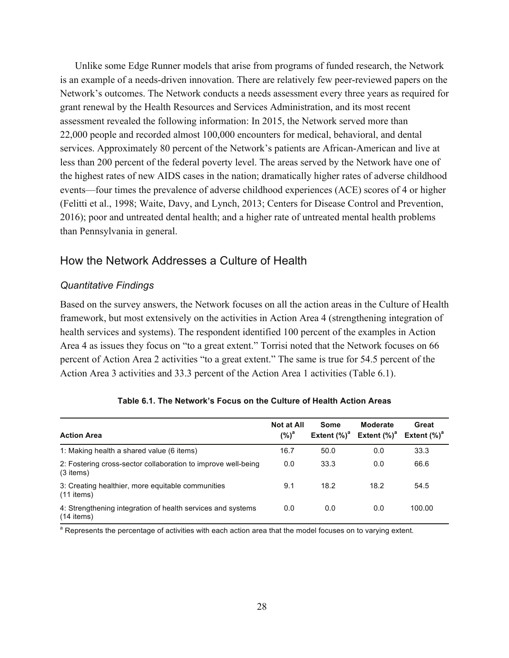Unlike some Edge Runner models that arise from programs of funded research, the Network is an example of a needs-driven innovation. There are relatively few peer-reviewed papers on the Network's outcomes. The Network conducts a needs assessment every three years as required for grant renewal by the Health Resources and Services Administration, and its most recent assessment revealed the following information: In 2015, the Network served more than 22,000 people and recorded almost 100,000 encounters for medical, behavioral, and dental services. Approximately 80 percent of the Network's patients are African-American and live at less than 200 percent of the federal poverty level. The areas served by the Network have one of the highest rates of new AIDS cases in the nation; dramatically higher rates of adverse childhood events—four times the prevalence of adverse childhood experiences (ACE) scores of 4 or higher (Felitti et al., 1998; Waite, Davy, and Lynch, 2013; Centers for Disease Control and Prevention, 2016); poor and untreated dental health; and a higher rate of untreated mental health problems than Pennsylvania in general.

# How the Network Addresses a Culture of Health

## *Quantitative Findings*

Based on the survey answers, the Network focuses on all the action areas in the Culture of Health framework, but most extensively on the activities in Action Area 4 (strengthening integration of health services and systems). The respondent identified 100 percent of the examples in Action Area 4 as issues they focus on "to a great extent." Torrisi noted that the Network focuses on 66 percent of Action Area 2 activities "to a great extent." The same is true for 54.5 percent of the Action Area 3 activities and 33.3 percent of the Action Area 1 activities (Table 6.1).

| <b>Action Area</b>                                                           | <b>Not at All</b><br>$(\%)^a$ | Some<br>Extent $(\%)^d$ | <b>Moderate</b><br>Extent $(\%)^d$ | Great<br>Extent $(\%)^d$ |
|------------------------------------------------------------------------------|-------------------------------|-------------------------|------------------------------------|--------------------------|
| 1: Making health a shared value (6 items)                                    | 16.7                          | 50.0                    | 0.0                                | 33.3                     |
| 2: Fostering cross-sector collaboration to improve well-being<br>$(3$ items) | 0.0                           | 33.3                    | 0.0                                | 66.6                     |
| 3: Creating healthier, more equitable communities<br>$(11$ items)            | 9.1                           | 18.2                    | 18.2                               | 54.5                     |
| 4: Strengthening integration of health services and systems<br>$(14$ items)  | 0.0                           | 0.0                     | 0.0                                | 100.00                   |

<sup>a</sup> Represents the percentage of activities with each action area that the model focuses on to varying extent.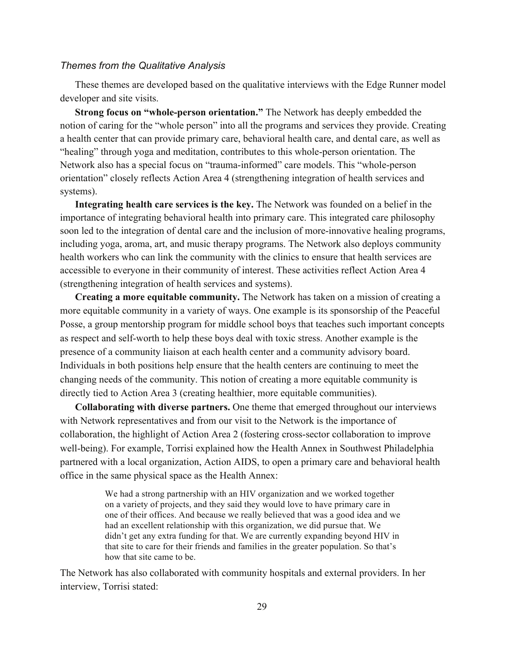### *Themes from the Qualitative Analysis*

These themes are developed based on the qualitative interviews with the Edge Runner model developer and site visits.

**Strong focus on "whole-person orientation."** The Network has deeply embedded the notion of caring for the "whole person" into all the programs and services they provide. Creating a health center that can provide primary care, behavioral health care, and dental care, as well as "healing" through yoga and meditation, contributes to this whole-person orientation. The Network also has a special focus on "trauma-informed" care models. This "whole-person orientation" closely reflects Action Area 4 (strengthening integration of health services and systems).

**Integrating health care services is the key.** The Network was founded on a belief in the importance of integrating behavioral health into primary care. This integrated care philosophy soon led to the integration of dental care and the inclusion of more-innovative healing programs, including yoga, aroma, art, and music therapy programs. The Network also deploys community health workers who can link the community with the clinics to ensure that health services are accessible to everyone in their community of interest. These activities reflect Action Area 4 (strengthening integration of health services and systems).

**Creating a more equitable community.** The Network has taken on a mission of creating a more equitable community in a variety of ways. One example is its sponsorship of the Peaceful Posse, a group mentorship program for middle school boys that teaches such important concepts as respect and self-worth to help these boys deal with toxic stress. Another example is the presence of a community liaison at each health center and a community advisory board. Individuals in both positions help ensure that the health centers are continuing to meet the changing needs of the community. This notion of creating a more equitable community is directly tied to Action Area 3 (creating healthier, more equitable communities).

**Collaborating with diverse partners.** One theme that emerged throughout our interviews with Network representatives and from our visit to the Network is the importance of collaboration, the highlight of Action Area 2 (fostering cross-sector collaboration to improve well-being). For example, Torrisi explained how the Health Annex in Southwest Philadelphia partnered with a local organization, Action AIDS, to open a primary care and behavioral health office in the same physical space as the Health Annex:

> We had a strong partnership with an HIV organization and we worked together on a variety of projects, and they said they would love to have primary care in one of their offices. And because we really believed that was a good idea and we had an excellent relationship with this organization, we did pursue that. We didn't get any extra funding for that. We are currently expanding beyond HIV in that site to care for their friends and families in the greater population. So that's how that site came to be.

The Network has also collaborated with community hospitals and external providers. In her interview, Torrisi stated: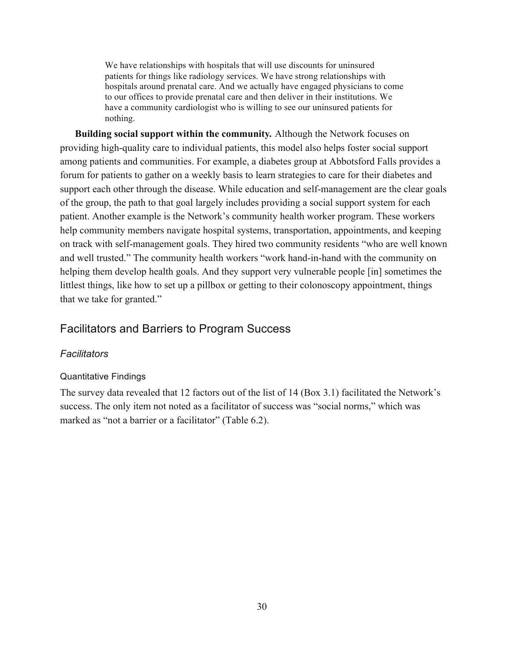We have relationships with hospitals that will use discounts for uninsured patients for things like radiology services. We have strong relationships with hospitals around prenatal care. And we actually have engaged physicians to come to our offices to provide prenatal care and then deliver in their institutions. We have a community cardiologist who is willing to see our uninsured patients for nothing.

**Building social support within the community***.* Although the Network focuses on providing high-quality care to individual patients, this model also helps foster social support among patients and communities. For example, a diabetes group at Abbotsford Falls provides a forum for patients to gather on a weekly basis to learn strategies to care for their diabetes and support each other through the disease. While education and self-management are the clear goals of the group, the path to that goal largely includes providing a social support system for each patient. Another example is the Network's community health worker program. These workers help community members navigate hospital systems, transportation, appointments, and keeping on track with self-management goals. They hired two community residents "who are well known and well trusted." The community health workers "work hand-in-hand with the community on helping them develop health goals. And they support very vulnerable people [in] sometimes the littlest things, like how to set up a pillbox or getting to their colonoscopy appointment, things that we take for granted."

# Facilitators and Barriers to Program Success

## *Facilitators*

## Quantitative Findings

The survey data revealed that 12 factors out of the list of 14 (Box 3.1) facilitated the Network's success. The only item not noted as a facilitator of success was "social norms," which was marked as "not a barrier or a facilitator" (Table 6.2).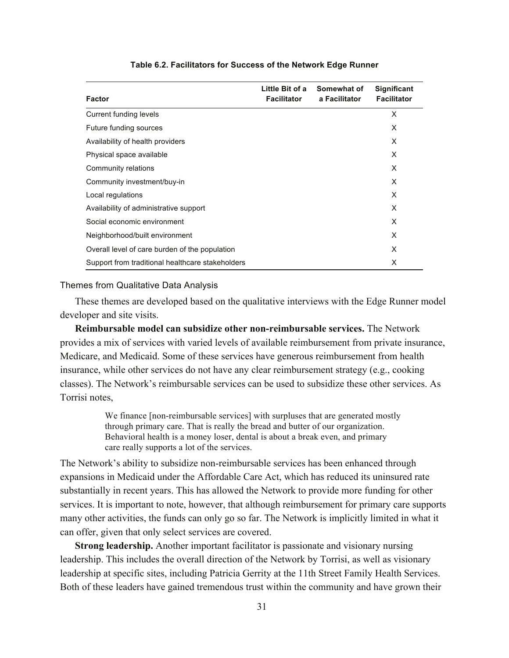| <b>Factor</b>                                    | Little Bit of a<br><b>Facilitator</b> | Somewhat of<br>a Facilitator | <b>Significant</b><br><b>Facilitator</b> |
|--------------------------------------------------|---------------------------------------|------------------------------|------------------------------------------|
| Current funding levels                           |                                       |                              | X                                        |
| Future funding sources                           |                                       |                              | X                                        |
| Availability of health providers                 |                                       |                              | X                                        |
| Physical space available                         |                                       |                              | X                                        |
| Community relations                              |                                       |                              | X                                        |
| Community investment/buy-in                      |                                       |                              | X                                        |
| Local regulations                                |                                       |                              | X                                        |
| Availability of administrative support           |                                       |                              | X                                        |
| Social economic environment                      |                                       |                              | X                                        |
| Neighborhood/built environment                   |                                       |                              | X                                        |
| Overall level of care burden of the population   |                                       |                              | X                                        |
| Support from traditional healthcare stakeholders |                                       |                              | X                                        |

#### **Table 6.2. Facilitators for Success of the Network Edge Runner**

#### Themes from Qualitative Data Analysis

These themes are developed based on the qualitative interviews with the Edge Runner model developer and site visits.

**Reimbursable model can subsidize other non-reimbursable services.** The Network provides a mix of services with varied levels of available reimbursement from private insurance, Medicare, and Medicaid. Some of these services have generous reimbursement from health insurance, while other services do not have any clear reimbursement strategy (e.g., cooking classes). The Network's reimbursable services can be used to subsidize these other services. As Torrisi notes,

> We finance [non-reimbursable services] with surpluses that are generated mostly through primary care. That is really the bread and butter of our organization. Behavioral health is a money loser, dental is about a break even, and primary care really supports a lot of the services.

The Network's ability to subsidize non-reimbursable services has been enhanced through expansions in Medicaid under the Affordable Care Act, which has reduced its uninsured rate substantially in recent years. This has allowed the Network to provide more funding for other services. It is important to note, however, that although reimbursement for primary care supports many other activities, the funds can only go so far. The Network is implicitly limited in what it can offer, given that only select services are covered.

**Strong leadership.** Another important facilitator is passionate and visionary nursing leadership. This includes the overall direction of the Network by Torrisi, as well as visionary leadership at specific sites, including Patricia Gerrity at the 11th Street Family Health Services. Both of these leaders have gained tremendous trust within the community and have grown their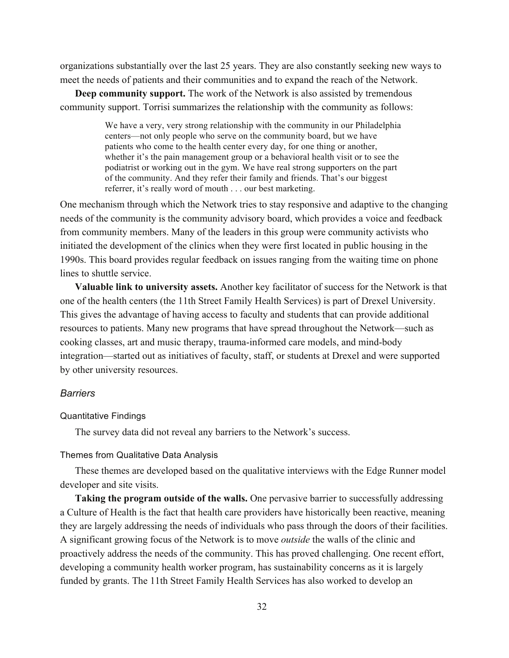organizations substantially over the last 25 years. They are also constantly seeking new ways to meet the needs of patients and their communities and to expand the reach of the Network.

**Deep community support.** The work of the Network is also assisted by tremendous community support. Torrisi summarizes the relationship with the community as follows:

> We have a very, very strong relationship with the community in our Philadelphia centers—not only people who serve on the community board, but we have patients who come to the health center every day, for one thing or another, whether it's the pain management group or a behavioral health visit or to see the podiatrist or working out in the gym. We have real strong supporters on the part of the community. And they refer their family and friends. That's our biggest referrer, it's really word of mouth . . . our best marketing.

One mechanism through which the Network tries to stay responsive and adaptive to the changing needs of the community is the community advisory board, which provides a voice and feedback from community members. Many of the leaders in this group were community activists who initiated the development of the clinics when they were first located in public housing in the 1990s. This board provides regular feedback on issues ranging from the waiting time on phone lines to shuttle service.

**Valuable link to university assets.** Another key facilitator of success for the Network is that one of the health centers (the 11th Street Family Health Services) is part of Drexel University. This gives the advantage of having access to faculty and students that can provide additional resources to patients. Many new programs that have spread throughout the Network—such as cooking classes, art and music therapy, trauma-informed care models, and mind-body integration—started out as initiatives of faculty, staff, or students at Drexel and were supported by other university resources.

### *Barriers*

#### Quantitative Findings

The survey data did not reveal any barriers to the Network's success.

### Themes from Qualitative Data Analysis

These themes are developed based on the qualitative interviews with the Edge Runner model developer and site visits.

**Taking the program outside of the walls.** One pervasive barrier to successfully addressing a Culture of Health is the fact that health care providers have historically been reactive, meaning they are largely addressing the needs of individuals who pass through the doors of their facilities. A significant growing focus of the Network is to move *outside* the walls of the clinic and proactively address the needs of the community. This has proved challenging. One recent effort, developing a community health worker program, has sustainability concerns as it is largely funded by grants. The 11th Street Family Health Services has also worked to develop an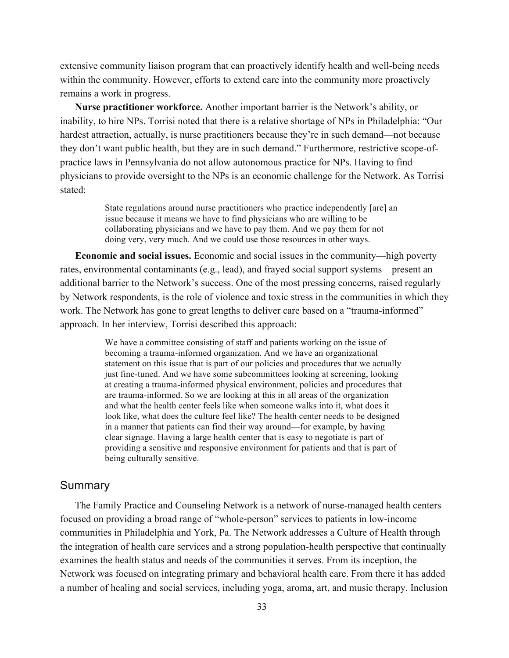extensive community liaison program that can proactively identify health and well-being needs within the community. However, efforts to extend care into the community more proactively remains a work in progress.

**Nurse practitioner workforce.** Another important barrier is the Network's ability, or inability, to hire NPs. Torrisi noted that there is a relative shortage of NPs in Philadelphia: "Our hardest attraction, actually, is nurse practitioners because they're in such demand—not because they don't want public health, but they are in such demand." Furthermore, restrictive scope-ofpractice laws in Pennsylvania do not allow autonomous practice for NPs. Having to find physicians to provide oversight to the NPs is an economic challenge for the Network. As Torrisi stated:

> State regulations around nurse practitioners who practice independently [are] an issue because it means we have to find physicians who are willing to be collaborating physicians and we have to pay them. And we pay them for not doing very, very much. And we could use those resources in other ways.

**Economic and social issues.** Economic and social issues in the community—high poverty rates, environmental contaminants (e.g., lead), and frayed social support systems—present an additional barrier to the Network's success. One of the most pressing concerns, raised regularly by Network respondents, is the role of violence and toxic stress in the communities in which they work. The Network has gone to great lengths to deliver care based on a "trauma-informed" approach. In her interview, Torrisi described this approach:

> We have a committee consisting of staff and patients working on the issue of becoming a trauma-informed organization. And we have an organizational statement on this issue that is part of our policies and procedures that we actually just fine-tuned. And we have some subcommittees looking at screening, looking at creating a trauma-informed physical environment, policies and procedures that are trauma-informed. So we are looking at this in all areas of the organization and what the health center feels like when someone walks into it, what does it look like, what does the culture feel like? The health center needs to be designed in a manner that patients can find their way around—for example, by having clear signage. Having a large health center that is easy to negotiate is part of providing a sensitive and responsive environment for patients and that is part of being culturally sensitive.

# Summary

The Family Practice and Counseling Network is a network of nurse-managed health centers focused on providing a broad range of "whole-person" services to patients in low-income communities in Philadelphia and York, Pa. The Network addresses a Culture of Health through the integration of health care services and a strong population-health perspective that continually examines the health status and needs of the communities it serves. From its inception, the Network was focused on integrating primary and behavioral health care. From there it has added a number of healing and social services, including yoga, aroma, art, and music therapy. Inclusion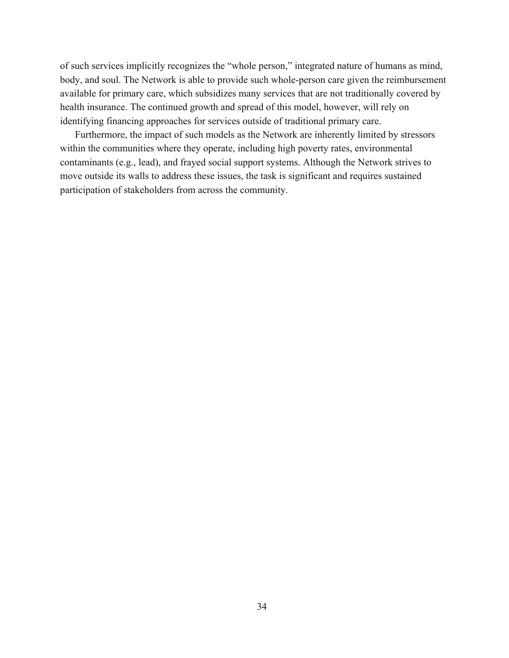of such services implicitly recognizes the "whole person," integrated nature of humans as mind, body, and soul. The Network is able to provide such whole-person care given the reimbursement available for primary care, which subsidizes many services that are not traditionally covered by health insurance. The continued growth and spread of this model, however, will rely on identifying financing approaches for services outside of traditional primary care.

Furthermore, the impact of such models as the Network are inherently limited by stressors within the communities where they operate, including high poverty rates, environmental contaminants (e.g., lead), and frayed social support systems. Although the Network strives to move outside its walls to address these issues, the task is significant and requires sustained participation of stakeholders from across the community.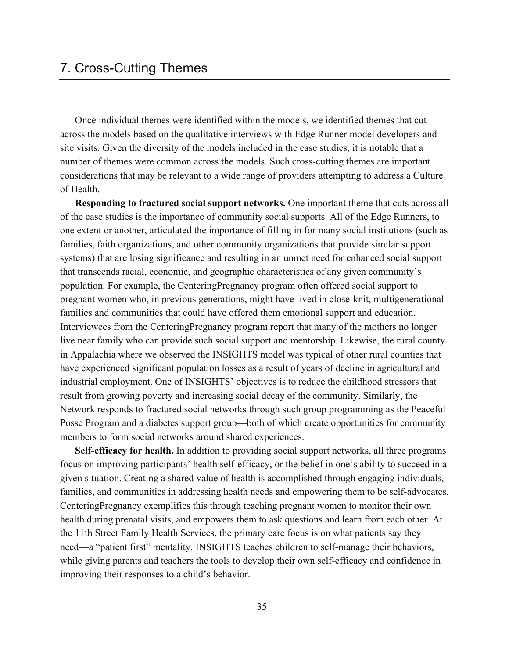Once individual themes were identified within the models, we identified themes that cut across the models based on the qualitative interviews with Edge Runner model developers and site visits. Given the diversity of the models included in the case studies, it is notable that a number of themes were common across the models. Such cross-cutting themes are important considerations that may be relevant to a wide range of providers attempting to address a Culture of Health.

**Responding to fractured social support networks.** One important theme that cuts across all of the case studies is the importance of community social supports. All of the Edge Runners, to one extent or another, articulated the importance of filling in for many social institutions (such as families, faith organizations, and other community organizations that provide similar support systems) that are losing significance and resulting in an unmet need for enhanced social support that transcends racial, economic, and geographic characteristics of any given community's population. For example, the CenteringPregnancy program often offered social support to pregnant women who, in previous generations, might have lived in close-knit, multigenerational families and communities that could have offered them emotional support and education. Interviewees from the CenteringPregnancy program report that many of the mothers no longer live near family who can provide such social support and mentorship. Likewise, the rural county in Appalachia where we observed the INSIGHTS model was typical of other rural counties that have experienced significant population losses as a result of years of decline in agricultural and industrial employment. One of INSIGHTS' objectives is to reduce the childhood stressors that result from growing poverty and increasing social decay of the community. Similarly, the Network responds to fractured social networks through such group programming as the Peaceful Posse Program and a diabetes support group—both of which create opportunities for community members to form social networks around shared experiences.

**Self-efficacy for health.** In addition to providing social support networks, all three programs focus on improving participants' health self-efficacy, or the belief in one's ability to succeed in a given situation. Creating a shared value of health is accomplished through engaging individuals, families, and communities in addressing health needs and empowering them to be self-advocates. CenteringPregnancy exemplifies this through teaching pregnant women to monitor their own health during prenatal visits, and empowers them to ask questions and learn from each other. At the 11th Street Family Health Services, the primary care focus is on what patients say they need—a "patient first" mentality. INSIGHTS teaches children to self-manage their behaviors, while giving parents and teachers the tools to develop their own self-efficacy and confidence in improving their responses to a child's behavior.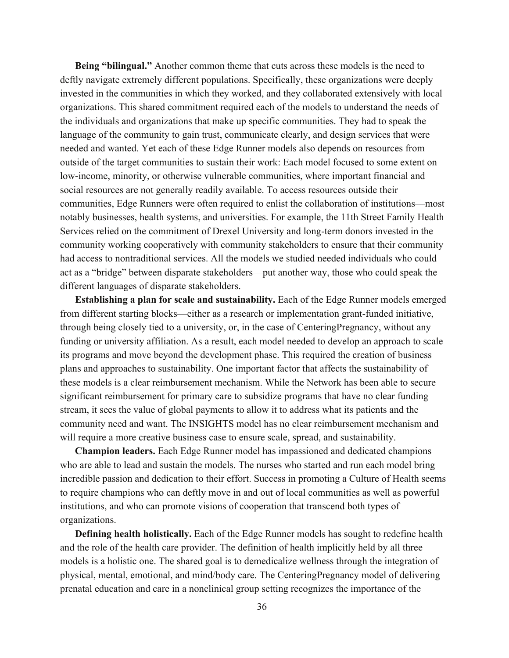**Being "bilingual."** Another common theme that cuts across these models is the need to deftly navigate extremely different populations. Specifically, these organizations were deeply invested in the communities in which they worked, and they collaborated extensively with local organizations. This shared commitment required each of the models to understand the needs of the individuals and organizations that make up specific communities. They had to speak the language of the community to gain trust, communicate clearly, and design services that were needed and wanted. Yet each of these Edge Runner models also depends on resources from outside of the target communities to sustain their work: Each model focused to some extent on low-income, minority, or otherwise vulnerable communities, where important financial and social resources are not generally readily available. To access resources outside their communities, Edge Runners were often required to enlist the collaboration of institutions—most notably businesses, health systems, and universities. For example, the 11th Street Family Health Services relied on the commitment of Drexel University and long-term donors invested in the community working cooperatively with community stakeholders to ensure that their community had access to nontraditional services. All the models we studied needed individuals who could act as a "bridge" between disparate stakeholders—put another way, those who could speak the different languages of disparate stakeholders.

**Establishing a plan for scale and sustainability.** Each of the Edge Runner models emerged from different starting blocks—either as a research or implementation grant-funded initiative, through being closely tied to a university, or, in the case of CenteringPregnancy, without any funding or university affiliation. As a result, each model needed to develop an approach to scale its programs and move beyond the development phase. This required the creation of business plans and approaches to sustainability. One important factor that affects the sustainability of these models is a clear reimbursement mechanism. While the Network has been able to secure significant reimbursement for primary care to subsidize programs that have no clear funding stream, it sees the value of global payments to allow it to address what its patients and the community need and want. The INSIGHTS model has no clear reimbursement mechanism and will require a more creative business case to ensure scale, spread, and sustainability.

**Champion leaders.** Each Edge Runner model has impassioned and dedicated champions who are able to lead and sustain the models. The nurses who started and run each model bring incredible passion and dedication to their effort. Success in promoting a Culture of Health seems to require champions who can deftly move in and out of local communities as well as powerful institutions, and who can promote visions of cooperation that transcend both types of organizations.

**Defining health holistically.** Each of the Edge Runner models has sought to redefine health and the role of the health care provider. The definition of health implicitly held by all three models is a holistic one. The shared goal is to demedicalize wellness through the integration of physical, mental, emotional, and mind/body care. The CenteringPregnancy model of delivering prenatal education and care in a nonclinical group setting recognizes the importance of the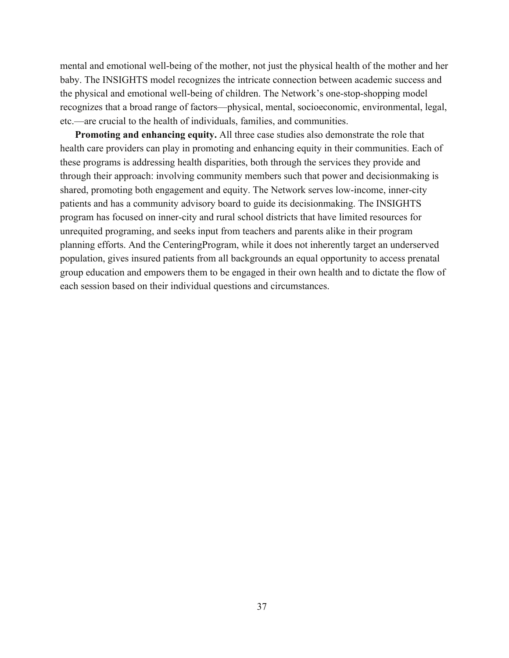mental and emotional well-being of the mother, not just the physical health of the mother and her baby. The INSIGHTS model recognizes the intricate connection between academic success and the physical and emotional well-being of children. The Network's one-stop-shopping model recognizes that a broad range of factors—physical, mental, socioeconomic, environmental, legal, etc.—are crucial to the health of individuals, families, and communities.

**Promoting and enhancing equity.** All three case studies also demonstrate the role that health care providers can play in promoting and enhancing equity in their communities. Each of these programs is addressing health disparities, both through the services they provide and through their approach: involving community members such that power and decisionmaking is shared, promoting both engagement and equity. The Network serves low-income, inner-city patients and has a community advisory board to guide its decisionmaking. The INSIGHTS program has focused on inner-city and rural school districts that have limited resources for unrequited programing, and seeks input from teachers and parents alike in their program planning efforts. And the CenteringProgram, while it does not inherently target an underserved population, gives insured patients from all backgrounds an equal opportunity to access prenatal group education and empowers them to be engaged in their own health and to dictate the flow of each session based on their individual questions and circumstances.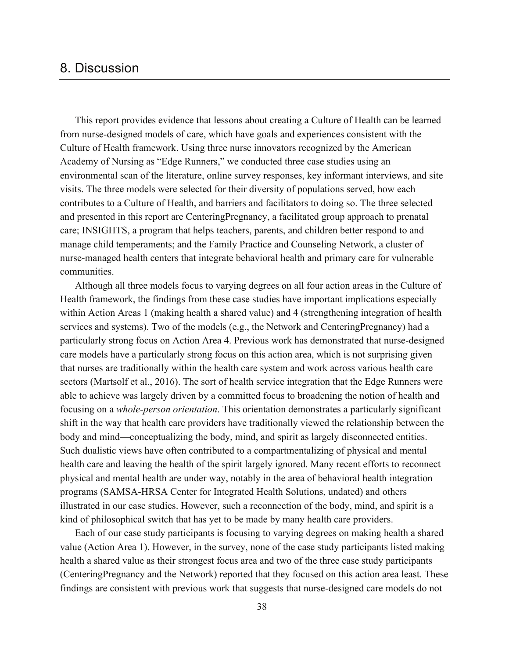# 8. Discussion

This report provides evidence that lessons about creating a Culture of Health can be learned from nurse-designed models of care, which have goals and experiences consistent with the Culture of Health framework. Using three nurse innovators recognized by the American Academy of Nursing as "Edge Runners," we conducted three case studies using an environmental scan of the literature, online survey responses, key informant interviews, and site visits. The three models were selected for their diversity of populations served, how each contributes to a Culture of Health, and barriers and facilitators to doing so. The three selected and presented in this report are CenteringPregnancy, a facilitated group approach to prenatal care; INSIGHTS, a program that helps teachers, parents, and children better respond to and manage child temperaments; and the Family Practice and Counseling Network, a cluster of nurse-managed health centers that integrate behavioral health and primary care for vulnerable communities.

Although all three models focus to varying degrees on all four action areas in the Culture of Health framework, the findings from these case studies have important implications especially within Action Areas 1 (making health a shared value) and 4 (strengthening integration of health services and systems). Two of the models (e.g., the Network and CenteringPregnancy) had a particularly strong focus on Action Area 4. Previous work has demonstrated that nurse-designed care models have a particularly strong focus on this action area, which is not surprising given that nurses are traditionally within the health care system and work across various health care sectors (Martsolf et al., 2016). The sort of health service integration that the Edge Runners were able to achieve was largely driven by a committed focus to broadening the notion of health and focusing on a *whole-person orientation*. This orientation demonstrates a particularly significant shift in the way that health care providers have traditionally viewed the relationship between the body and mind—conceptualizing the body, mind, and spirit as largely disconnected entities. Such dualistic views have often contributed to a compartmentalizing of physical and mental health care and leaving the health of the spirit largely ignored. Many recent efforts to reconnect physical and mental health are under way, notably in the area of behavioral health integration programs (SAMSA-HRSA Center for Integrated Health Solutions, undated) and others illustrated in our case studies. However, such a reconnection of the body, mind, and spirit is a kind of philosophical switch that has yet to be made by many health care providers.

Each of our case study participants is focusing to varying degrees on making health a shared value (Action Area 1). However, in the survey, none of the case study participants listed making health a shared value as their strongest focus area and two of the three case study participants (CenteringPregnancy and the Network) reported that they focused on this action area least. These findings are consistent with previous work that suggests that nurse-designed care models do not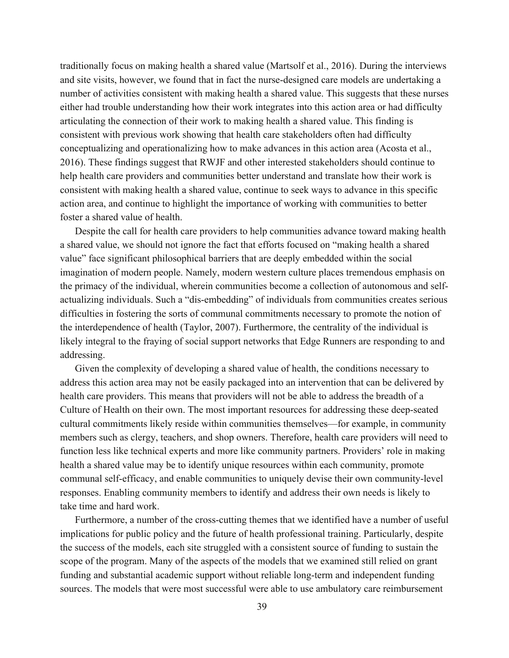traditionally focus on making health a shared value (Martsolf et al., 2016). During the interviews and site visits, however, we found that in fact the nurse-designed care models are undertaking a number of activities consistent with making health a shared value. This suggests that these nurses either had trouble understanding how their work integrates into this action area or had difficulty articulating the connection of their work to making health a shared value. This finding is consistent with previous work showing that health care stakeholders often had difficulty conceptualizing and operationalizing how to make advances in this action area (Acosta et al., 2016). These findings suggest that RWJF and other interested stakeholders should continue to help health care providers and communities better understand and translate how their work is consistent with making health a shared value, continue to seek ways to advance in this specific action area, and continue to highlight the importance of working with communities to better foster a shared value of health.

Despite the call for health care providers to help communities advance toward making health a shared value, we should not ignore the fact that efforts focused on "making health a shared value" face significant philosophical barriers that are deeply embedded within the social imagination of modern people. Namely, modern western culture places tremendous emphasis on the primacy of the individual, wherein communities become a collection of autonomous and selfactualizing individuals. Such a "dis-embedding" of individuals from communities creates serious difficulties in fostering the sorts of communal commitments necessary to promote the notion of the interdependence of health (Taylor, 2007). Furthermore, the centrality of the individual is likely integral to the fraying of social support networks that Edge Runners are responding to and addressing.

Given the complexity of developing a shared value of health, the conditions necessary to address this action area may not be easily packaged into an intervention that can be delivered by health care providers. This means that providers will not be able to address the breadth of a Culture of Health on their own. The most important resources for addressing these deep-seated cultural commitments likely reside within communities themselves—for example, in community members such as clergy, teachers, and shop owners. Therefore, health care providers will need to function less like technical experts and more like community partners. Providers' role in making health a shared value may be to identify unique resources within each community, promote communal self-efficacy, and enable communities to uniquely devise their own community-level responses. Enabling community members to identify and address their own needs is likely to take time and hard work.

Furthermore, a number of the cross-cutting themes that we identified have a number of useful implications for public policy and the future of health professional training. Particularly, despite the success of the models, each site struggled with a consistent source of funding to sustain the scope of the program. Many of the aspects of the models that we examined still relied on grant funding and substantial academic support without reliable long-term and independent funding sources. The models that were most successful were able to use ambulatory care reimbursement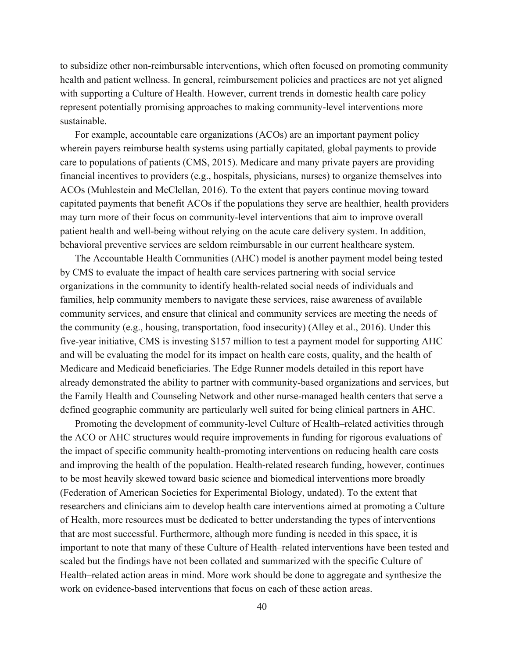to subsidize other non-reimbursable interventions, which often focused on promoting community health and patient wellness. In general, reimbursement policies and practices are not yet aligned with supporting a Culture of Health. However, current trends in domestic health care policy represent potentially promising approaches to making community-level interventions more sustainable.

For example, accountable care organizations (ACOs) are an important payment policy wherein payers reimburse health systems using partially capitated, global payments to provide care to populations of patients (CMS, 2015). Medicare and many private payers are providing financial incentives to providers (e.g., hospitals, physicians, nurses) to organize themselves into ACOs (Muhlestein and McClellan, 2016). To the extent that payers continue moving toward capitated payments that benefit ACOs if the populations they serve are healthier, health providers may turn more of their focus on community-level interventions that aim to improve overall patient health and well-being without relying on the acute care delivery system. In addition, behavioral preventive services are seldom reimbursable in our current healthcare system.

The Accountable Health Communities (AHC) model is another payment model being tested by CMS to evaluate the impact of health care services partnering with social service organizations in the community to identify health-related social needs of individuals and families, help community members to navigate these services, raise awareness of available community services, and ensure that clinical and community services are meeting the needs of the community (e.g., housing, transportation, food insecurity) (Alley et al., 2016). Under this five-year initiative, CMS is investing \$157 million to test a payment model for supporting AHC and will be evaluating the model for its impact on health care costs, quality, and the health of Medicare and Medicaid beneficiaries. The Edge Runner models detailed in this report have already demonstrated the ability to partner with community-based organizations and services, but the Family Health and Counseling Network and other nurse-managed health centers that serve a defined geographic community are particularly well suited for being clinical partners in AHC.

Promoting the development of community-level Culture of Health–related activities through the ACO or AHC structures would require improvements in funding for rigorous evaluations of the impact of specific community health-promoting interventions on reducing health care costs and improving the health of the population. Health-related research funding, however, continues to be most heavily skewed toward basic science and biomedical interventions more broadly (Federation of American Societies for Experimental Biology, undated). To the extent that researchers and clinicians aim to develop health care interventions aimed at promoting a Culture of Health, more resources must be dedicated to better understanding the types of interventions that are most successful. Furthermore, although more funding is needed in this space, it is important to note that many of these Culture of Health–related interventions have been tested and scaled but the findings have not been collated and summarized with the specific Culture of Health–related action areas in mind. More work should be done to aggregate and synthesize the work on evidence-based interventions that focus on each of these action areas.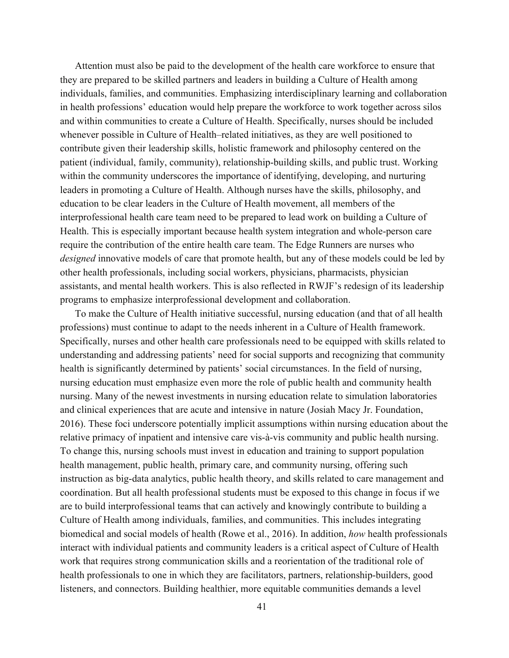Attention must also be paid to the development of the health care workforce to ensure that they are prepared to be skilled partners and leaders in building a Culture of Health among individuals, families, and communities. Emphasizing interdisciplinary learning and collaboration in health professions' education would help prepare the workforce to work together across silos and within communities to create a Culture of Health. Specifically, nurses should be included whenever possible in Culture of Health–related initiatives, as they are well positioned to contribute given their leadership skills, holistic framework and philosophy centered on the patient (individual, family, community), relationship-building skills, and public trust. Working within the community underscores the importance of identifying, developing, and nurturing leaders in promoting a Culture of Health. Although nurses have the skills, philosophy, and education to be clear leaders in the Culture of Health movement, all members of the interprofessional health care team need to be prepared to lead work on building a Culture of Health. This is especially important because health system integration and whole-person care require the contribution of the entire health care team. The Edge Runners are nurses who *designed* innovative models of care that promote health, but any of these models could be led by other health professionals, including social workers, physicians, pharmacists, physician assistants, and mental health workers. This is also reflected in RWJF's redesign of its leadership programs to emphasize interprofessional development and collaboration.

To make the Culture of Health initiative successful, nursing education (and that of all health professions) must continue to adapt to the needs inherent in a Culture of Health framework. Specifically, nurses and other health care professionals need to be equipped with skills related to understanding and addressing patients' need for social supports and recognizing that community health is significantly determined by patients' social circumstances. In the field of nursing, nursing education must emphasize even more the role of public health and community health nursing. Many of the newest investments in nursing education relate to simulation laboratories and clinical experiences that are acute and intensive in nature (Josiah Macy Jr. Foundation, 2016). These foci underscore potentially implicit assumptions within nursing education about the relative primacy of inpatient and intensive care vis-à-vis community and public health nursing. To change this, nursing schools must invest in education and training to support population health management, public health, primary care, and community nursing, offering such instruction as big-data analytics, public health theory, and skills related to care management and coordination. But all health professional students must be exposed to this change in focus if we are to build interprofessional teams that can actively and knowingly contribute to building a Culture of Health among individuals, families, and communities. This includes integrating biomedical and social models of health (Rowe et al., 2016). In addition, *how* health professionals interact with individual patients and community leaders is a critical aspect of Culture of Health work that requires strong communication skills and a reorientation of the traditional role of health professionals to one in which they are facilitators, partners, relationship-builders, good listeners, and connectors. Building healthier, more equitable communities demands a level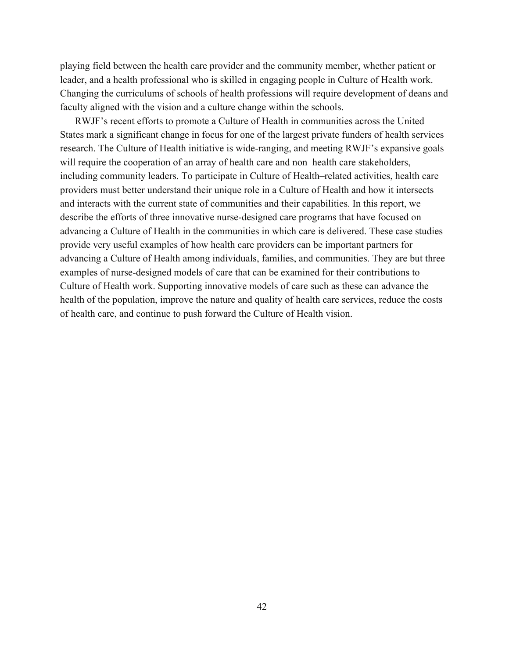playing field between the health care provider and the community member, whether patient or leader, and a health professional who is skilled in engaging people in Culture of Health work. Changing the curriculums of schools of health professions will require development of deans and faculty aligned with the vision and a culture change within the schools.

RWJF's recent efforts to promote a Culture of Health in communities across the United States mark a significant change in focus for one of the largest private funders of health services research. The Culture of Health initiative is wide-ranging, and meeting RWJF's expansive goals will require the cooperation of an array of health care and non–health care stakeholders, including community leaders. To participate in Culture of Health–related activities, health care providers must better understand their unique role in a Culture of Health and how it intersects and interacts with the current state of communities and their capabilities. In this report, we describe the efforts of three innovative nurse-designed care programs that have focused on advancing a Culture of Health in the communities in which care is delivered. These case studies provide very useful examples of how health care providers can be important partners for advancing a Culture of Health among individuals, families, and communities. They are but three examples of nurse-designed models of care that can be examined for their contributions to Culture of Health work. Supporting innovative models of care such as these can advance the health of the population, improve the nature and quality of health care services, reduce the costs of health care, and continue to push forward the Culture of Health vision.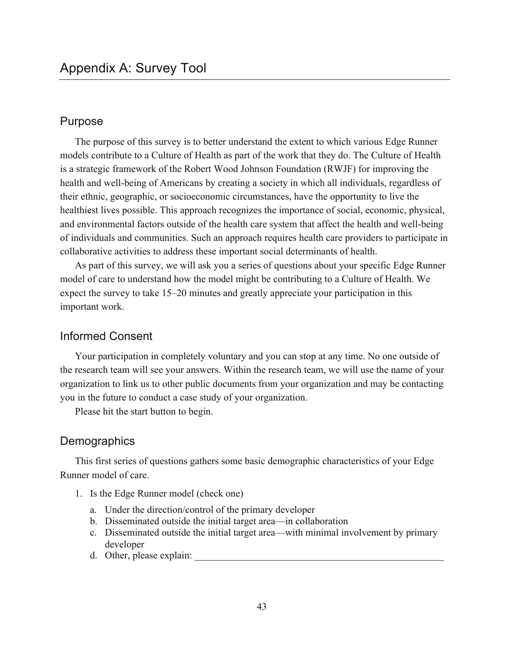# Purpose

The purpose of this survey is to better understand the extent to which various Edge Runner models contribute to a Culture of Health as part of the work that they do. The Culture of Health is a strategic framework of the Robert Wood Johnson Foundation (RWJF) for improving the health and well-being of Americans by creating a society in which all individuals, regardless of their ethnic, geographic, or socioeconomic circumstances, have the opportunity to live the healthiest lives possible. This approach recognizes the importance of social, economic, physical, and environmental factors outside of the health care system that affect the health and well-being of individuals and communities. Such an approach requires health care providers to participate in collaborative activities to address these important social determinants of health.

As part of this survey, we will ask you a series of questions about your specific Edge Runner model of care to understand how the model might be contributing to a Culture of Health. We expect the survey to take 15–20 minutes and greatly appreciate your participation in this important work.

## Informed Consent

Your participation in completely voluntary and you can stop at any time. No one outside of the research team will see your answers. Within the research team, we will use the name of your organization to link us to other public documents from your organization and may be contacting you in the future to conduct a case study of your organization.

Please hit the start button to begin.

# **Demographics**

This first series of questions gathers some basic demographic characteristics of your Edge Runner model of care.

- 1. Is the Edge Runner model (check one)
	- a. Under the direction/control of the primary developer
	- b. Disseminated outside the initial target area—in collaboration
	- c. Disseminated outside the initial target area—with minimal involvement by primary developer
	- d. Other, please explain: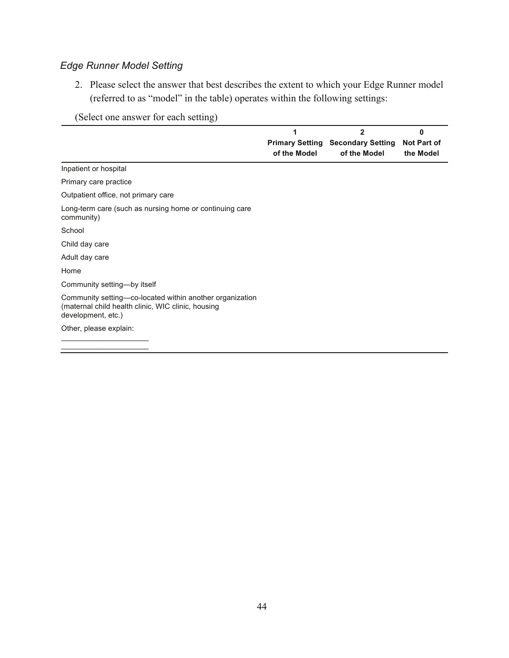# *Edge Runner Model Setting*

2. Please select the answer that best describes the extent to which your Edge Runner model (referred to as "model" in the table) operates within the following settings:

# (Select one answer for each setting)

|                                                                                                                                      | 1<br><b>Primary Setting</b><br>of the Model | $\mathbf{2}$<br><b>Secondary Setting</b><br>of the Model | O<br><b>Not Part of</b><br>the Model |
|--------------------------------------------------------------------------------------------------------------------------------------|---------------------------------------------|----------------------------------------------------------|--------------------------------------|
| Inpatient or hospital                                                                                                                |                                             |                                                          |                                      |
| Primary care practice                                                                                                                |                                             |                                                          |                                      |
| Outpatient office, not primary care                                                                                                  |                                             |                                                          |                                      |
| Long-term care (such as nursing home or continuing care<br>community)                                                                |                                             |                                                          |                                      |
| School                                                                                                                               |                                             |                                                          |                                      |
| Child day care                                                                                                                       |                                             |                                                          |                                      |
| Adult day care                                                                                                                       |                                             |                                                          |                                      |
| Home                                                                                                                                 |                                             |                                                          |                                      |
| Community setting-by itself                                                                                                          |                                             |                                                          |                                      |
| Community setting—co-located within another organization<br>(maternal child health clinic, WIC clinic, housing<br>development, etc.) |                                             |                                                          |                                      |
| Other, please explain:                                                                                                               |                                             |                                                          |                                      |
|                                                                                                                                      |                                             |                                                          |                                      |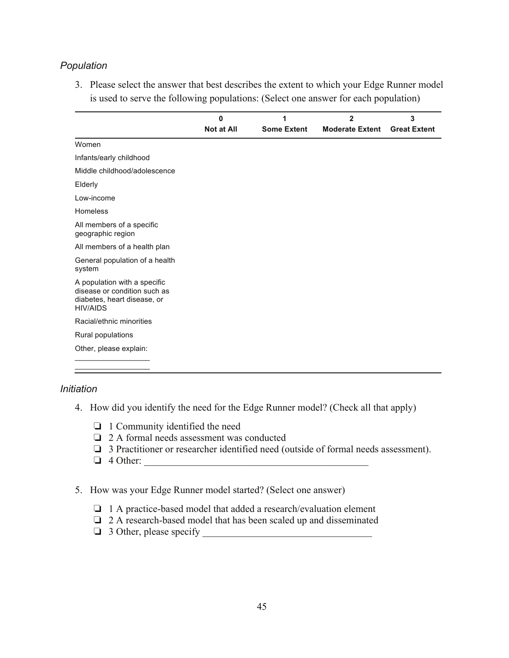# *Population*

3. Please select the answer that best describes the extent to which your Edge Runner model is used to serve the following populations: (Select one answer for each population)

|                                                                                                                | $\bf{0}$          | 1                  | $\overline{2}$         | 3                   |
|----------------------------------------------------------------------------------------------------------------|-------------------|--------------------|------------------------|---------------------|
|                                                                                                                | <b>Not at All</b> | <b>Some Extent</b> | <b>Moderate Extent</b> | <b>Great Extent</b> |
| Women                                                                                                          |                   |                    |                        |                     |
| Infants/early childhood                                                                                        |                   |                    |                        |                     |
| Middle childhood/adolescence                                                                                   |                   |                    |                        |                     |
| Elderly                                                                                                        |                   |                    |                        |                     |
| Low-income                                                                                                     |                   |                    |                        |                     |
| Homeless                                                                                                       |                   |                    |                        |                     |
| All members of a specific<br>geographic region                                                                 |                   |                    |                        |                     |
| All members of a health plan                                                                                   |                   |                    |                        |                     |
| General population of a health<br>system                                                                       |                   |                    |                        |                     |
| A population with a specific<br>disease or condition such as<br>diabetes, heart disease, or<br><b>HIV/AIDS</b> |                   |                    |                        |                     |
| Racial/ethnic minorities                                                                                       |                   |                    |                        |                     |
| Rural populations                                                                                              |                   |                    |                        |                     |
| Other, please explain:                                                                                         |                   |                    |                        |                     |
|                                                                                                                |                   |                    |                        |                     |

## *Initiation*

- 4. How did you identify the need for the Edge Runner model? (Check all that apply)
	- ❏ 1 Community identified the need
	- ❏ 2 A formal needs assessment was conducted
	- ❏ 3 Practitioner or researcher identified need (outside of formal needs assessment).
	- $\Box$  4 Other:
- 5. How was your Edge Runner model started? (Select one answer)
	- ❏ 1 A practice-based model that added a research/evaluation element
	- ❏ 2 A research-based model that has been scaled up and disseminated
	- $\Box$  3 Other, please specify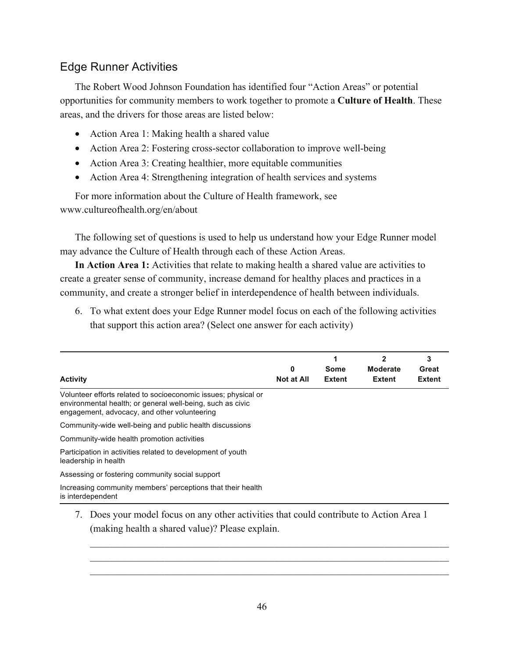# Edge Runner Activities

The Robert Wood Johnson Foundation has identified four "Action Areas" or potential opportunities for community members to work together to promote a **Culture of Health**. These areas, and the drivers for those areas are listed below:

- Action Area 1: Making health a shared value
- Action Area 2: Fostering cross-sector collaboration to improve well-being
- Action Area 3: Creating healthier, more equitable communities
- Action Area 4: Strengthening integration of health services and systems

For more information about the Culture of Health framework, see [www.cultureofhealth.org/en/about](http://www.cultureofhealth.org/en/about)

The following set of questions is used to help us understand how your Edge Runner model may advance the Culture of Health through each of these Action Areas.

**In Action Area 1:** Activities that relate to making health a shared value are activities to create a greater sense of community, increase demand for healthy places and practices in a community, and create a stronger belief in interdependence of health between individuals.

6. To what extent does your Edge Runner model focus on each of the following activities that support this action area? (Select one answer for each activity)

| <b>Activity</b>                                                                                                                                                              | 0<br><b>Not at All</b> | Some<br><b>Extent</b> | $\mathbf{2}$<br><b>Moderate</b><br><b>Extent</b> | 3<br>Great<br><b>Extent</b> |
|------------------------------------------------------------------------------------------------------------------------------------------------------------------------------|------------------------|-----------------------|--------------------------------------------------|-----------------------------|
| Volunteer efforts related to socioeconomic issues; physical or<br>environmental health; or general well-being, such as civic<br>engagement, advocacy, and other volunteering |                        |                       |                                                  |                             |
| Community-wide well-being and public health discussions                                                                                                                      |                        |                       |                                                  |                             |
| Community-wide health promotion activities                                                                                                                                   |                        |                       |                                                  |                             |
| Participation in activities related to development of youth<br>leadership in health                                                                                          |                        |                       |                                                  |                             |
| Assessing or fostering community social support                                                                                                                              |                        |                       |                                                  |                             |
| Increasing community members' perceptions that their health<br>is interdependent                                                                                             |                        |                       |                                                  |                             |
| Does your model focus on any other activities that could contribute to Action Area 1                                                                                         |                        |                       |                                                  |                             |

(making health a shared value)? Please explain.

 $\_$  , and the set of the set of the set of the set of the set of the set of the set of the set of the set of the set of the set of the set of the set of the set of the set of the set of the set of the set of the set of th  $\_$  , and the set of the set of the set of the set of the set of the set of the set of the set of the set of the set of the set of the set of the set of the set of the set of the set of the set of the set of the set of th  $\_$  , and the set of the set of the set of the set of the set of the set of the set of the set of the set of the set of the set of the set of the set of the set of the set of the set of the set of the set of the set of th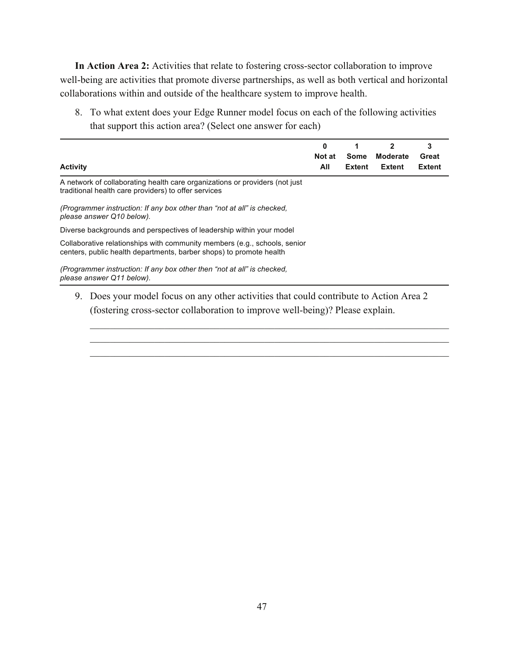**In Action Area 2:** Activities that relate to fostering cross-sector collaboration to improve well-being are activities that promote diverse partnerships, as well as both vertical and horizontal collaborations within and outside of the healthcare system to improve health.

8. To what extent does your Edge Runner model focus on each of the following activities that support this action area? (Select one answer for each)

| <b>Activity</b>                                                                                                                                  | 0<br>Not at<br>All | Some<br><b>Extent</b> | 2<br><b>Moderate</b><br>Extent | 3<br>Great<br><b>Extent</b> |
|--------------------------------------------------------------------------------------------------------------------------------------------------|--------------------|-----------------------|--------------------------------|-----------------------------|
| A network of collaborating health care organizations or providers (not just<br>traditional health care providers) to offer services              |                    |                       |                                |                             |
| (Programmer instruction: If any box other than "not at all" is checked,<br>please answer Q10 below).                                             |                    |                       |                                |                             |
| Diverse backgrounds and perspectives of leadership within your model                                                                             |                    |                       |                                |                             |
| Collaborative relationships with community members (e.g., schools, senior<br>centers, public health departments, barber shops) to promote health |                    |                       |                                |                             |
| (Programmer instruction: If any box other then "not at all" is checked,<br>please answer Q11 below).                                             |                    |                       |                                |                             |

9. Does your model focus on any other activities that could contribute to Action Area 2 (fostering cross-sector collaboration to improve well-being)? Please explain.

 $\_$  , and the set of the set of the set of the set of the set of the set of the set of the set of the set of the set of the set of the set of the set of the set of the set of the set of the set of the set of the set of th  $\_$  , and the set of the set of the set of the set of the set of the set of the set of the set of the set of the set of the set of the set of the set of the set of the set of the set of the set of the set of the set of th  $\_$  , and the set of the set of the set of the set of the set of the set of the set of the set of the set of the set of the set of the set of the set of the set of the set of the set of the set of the set of the set of th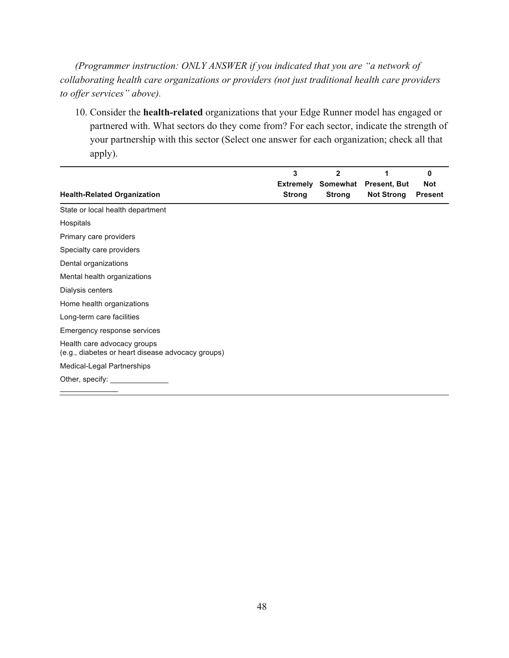*(Programmer instruction: ONLY ANSWER if you indicated that you are "a network of collaborating health care organizations or providers (not just traditional health care providers to offer services" above).* 

10. Consider the **health-related** organizations that your Edge Runner model has engaged or partnered with. What sectors do they come from? For each sector, indicate the strength of your partnership with this sector (Select one answer for each organization; check all that apply).

|                                                                                  | 3<br><b>Extremely</b> | $\mathbf{2}$ | 1<br>Somewhat Present, But | 0<br><b>Not</b> |
|----------------------------------------------------------------------------------|-----------------------|--------------|----------------------------|-----------------|
| <b>Health-Related Organization</b>                                               | <b>Strong</b>         | Strong       | <b>Not Strong</b>          | <b>Present</b>  |
| State or local health department                                                 |                       |              |                            |                 |
| Hospitals                                                                        |                       |              |                            |                 |
| Primary care providers                                                           |                       |              |                            |                 |
| Specialty care providers                                                         |                       |              |                            |                 |
| Dental organizations                                                             |                       |              |                            |                 |
| Mental health organizations                                                      |                       |              |                            |                 |
| Dialysis centers                                                                 |                       |              |                            |                 |
| Home health organizations                                                        |                       |              |                            |                 |
| Long-term care facilities                                                        |                       |              |                            |                 |
| Emergency response services                                                      |                       |              |                            |                 |
| Health care advocacy groups<br>(e.g., diabetes or heart disease advocacy groups) |                       |              |                            |                 |
| Medical-Legal Partnerships                                                       |                       |              |                            |                 |
| Other, specify:                                                                  |                       |              |                            |                 |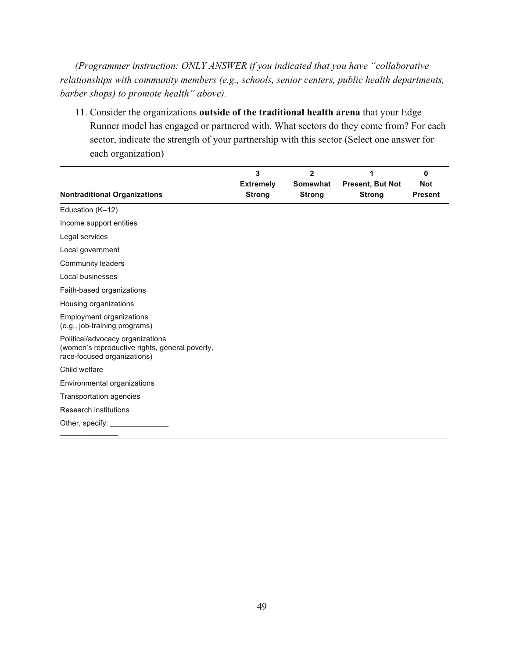*(Programmer instruction: ONLY ANSWER if you indicated that you have "collaborative relationships with community members (e.g., schools, senior centers, public health departments, barber shops) to promote health" above).* 

11. Consider the organizations **outside of the traditional health arena** that your Edge Runner model has engaged or partnered with. What sectors do they come from? For each sector, indicate the strength of your partnership with this sector (Select one answer for each organization)

|                                                                                                                   | 3                                 | $\overline{2}$            | 1                                        | 0                            |
|-------------------------------------------------------------------------------------------------------------------|-----------------------------------|---------------------------|------------------------------------------|------------------------------|
| <b>Nontraditional Organizations</b>                                                                               | <b>Extremely</b><br><b>Strong</b> | Somewhat<br><b>Strong</b> | <b>Present, But Not</b><br><b>Strong</b> | <b>Not</b><br><b>Present</b> |
| Education (K-12)                                                                                                  |                                   |                           |                                          |                              |
| Income support entities                                                                                           |                                   |                           |                                          |                              |
| Legal services                                                                                                    |                                   |                           |                                          |                              |
| Local government                                                                                                  |                                   |                           |                                          |                              |
| Community leaders                                                                                                 |                                   |                           |                                          |                              |
| Local businesses                                                                                                  |                                   |                           |                                          |                              |
| Faith-based organizations                                                                                         |                                   |                           |                                          |                              |
| Housing organizations                                                                                             |                                   |                           |                                          |                              |
| <b>Employment organizations</b><br>(e.g., job-training programs)                                                  |                                   |                           |                                          |                              |
| Political/advocacy organizations<br>(women's reproductive rights, general poverty,<br>race-focused organizations) |                                   |                           |                                          |                              |
| Child welfare                                                                                                     |                                   |                           |                                          |                              |
| Environmental organizations                                                                                       |                                   |                           |                                          |                              |
| Transportation agencies                                                                                           |                                   |                           |                                          |                              |
| Research institutions                                                                                             |                                   |                           |                                          |                              |
| Other, specify: __                                                                                                |                                   |                           |                                          |                              |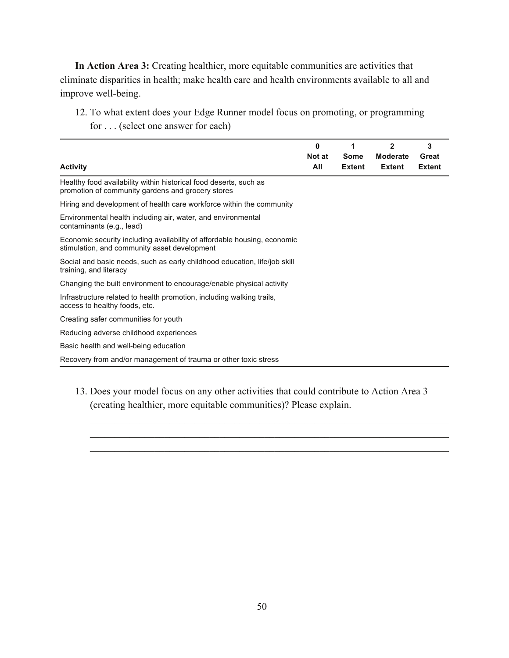**In Action Area 3:** Creating healthier, more equitable communities are activities that eliminate disparities in health; make health care and health environments available to all and improve well-being.

12. To what extent does your Edge Runner model focus on promoting, or programming for . . . (select one answer for each)

|                                                                                                                          | 0<br>Not at | 1<br>Some     | $\mathbf{2}$<br><b>Moderate</b> | 3<br>Great    |
|--------------------------------------------------------------------------------------------------------------------------|-------------|---------------|---------------------------------|---------------|
| <b>Activity</b>                                                                                                          | All         | <b>Extent</b> | <b>Extent</b>                   | <b>Extent</b> |
| Healthy food availability within historical food deserts, such as<br>promotion of community gardens and grocery stores   |             |               |                                 |               |
| Hiring and development of health care workforce within the community                                                     |             |               |                                 |               |
| Environmental health including air, water, and environmental<br>contaminants (e.g., lead)                                |             |               |                                 |               |
| Economic security including availability of affordable housing, economic<br>stimulation, and community asset development |             |               |                                 |               |
| Social and basic needs, such as early childhood education, life/job skill<br>training, and literacy                      |             |               |                                 |               |
| Changing the built environment to encourage/enable physical activity                                                     |             |               |                                 |               |
| Infrastructure related to health promotion, including walking trails,<br>access to healthy foods, etc.                   |             |               |                                 |               |
| Creating safer communities for youth                                                                                     |             |               |                                 |               |
| Reducing adverse childhood experiences                                                                                   |             |               |                                 |               |
| Basic health and well-being education                                                                                    |             |               |                                 |               |
| Recovery from and/or management of trauma or other toxic stress                                                          |             |               |                                 |               |

13. Does your model focus on any other activities that could contribute to Action Area 3 (creating healthier, more equitable communities)? Please explain.

 $\_$  , and the set of the set of the set of the set of the set of the set of the set of the set of the set of the set of the set of the set of the set of the set of the set of the set of the set of the set of the set of th  $\_$  , and the set of the set of the set of the set of the set of the set of the set of the set of the set of the set of the set of the set of the set of the set of the set of the set of the set of the set of the set of th  $\_$  , and the set of the set of the set of the set of the set of the set of the set of the set of the set of the set of the set of the set of the set of the set of the set of the set of the set of the set of the set of th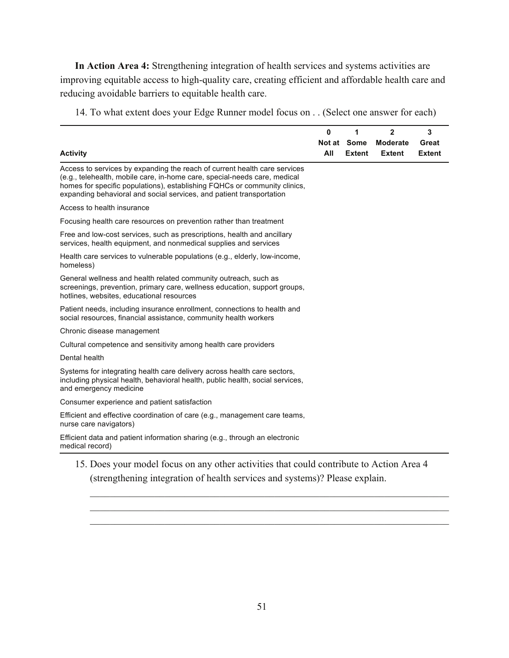**In Action Area 4:** Strengthening integration of health services and systems activities are improving equitable access to high-quality care, creating efficient and affordable health care and reducing avoidable barriers to equitable health care.

14. To what extent does your Edge Runner model focus on . . (Select one answer for each)

| <b>Activity</b>                                                                                                                                                                                                                                                                                             | 0<br>All | 1<br>Not at Some<br><b>Extent</b> | 2<br><b>Moderate</b><br><b>Extent</b> | 3<br>Great<br><b>Extent</b> |
|-------------------------------------------------------------------------------------------------------------------------------------------------------------------------------------------------------------------------------------------------------------------------------------------------------------|----------|-----------------------------------|---------------------------------------|-----------------------------|
| Access to services by expanding the reach of current health care services<br>(e.g., telehealth, mobile care, in-home care, special-needs care, medical<br>homes for specific populations), establishing FQHCs or community clinics,<br>expanding behavioral and social services, and patient transportation |          |                                   |                                       |                             |
| Access to health insurance                                                                                                                                                                                                                                                                                  |          |                                   |                                       |                             |
| Focusing health care resources on prevention rather than treatment                                                                                                                                                                                                                                          |          |                                   |                                       |                             |
| Free and low-cost services, such as prescriptions, health and ancillary<br>services, health equipment, and nonmedical supplies and services                                                                                                                                                                 |          |                                   |                                       |                             |
| Health care services to vulnerable populations (e.g., elderly, low-income,<br>homeless)                                                                                                                                                                                                                     |          |                                   |                                       |                             |
| General wellness and health related community outreach, such as<br>screenings, prevention, primary care, wellness education, support groups,<br>hotlines, websites, educational resources                                                                                                                   |          |                                   |                                       |                             |
| Patient needs, including insurance enrollment, connections to health and<br>social resources, financial assistance, community health workers                                                                                                                                                                |          |                                   |                                       |                             |
| Chronic disease management                                                                                                                                                                                                                                                                                  |          |                                   |                                       |                             |
| Cultural competence and sensitivity among health care providers                                                                                                                                                                                                                                             |          |                                   |                                       |                             |
| Dental health                                                                                                                                                                                                                                                                                               |          |                                   |                                       |                             |
| Systems for integrating health care delivery across health care sectors,<br>including physical health, behavioral health, public health, social services,<br>and emergency medicine                                                                                                                         |          |                                   |                                       |                             |
| Consumer experience and patient satisfaction                                                                                                                                                                                                                                                                |          |                                   |                                       |                             |
| Efficient and effective coordination of care (e.g., management care teams,<br>nurse care navigators)                                                                                                                                                                                                        |          |                                   |                                       |                             |
| Efficient data and patient information sharing (e.g., through an electronic<br>medical record)                                                                                                                                                                                                              |          |                                   |                                       |                             |

(strengthening integration of health services and systems)? Please explain.

 $\_$  , and the set of the set of the set of the set of the set of the set of the set of the set of the set of the set of the set of the set of the set of the set of the set of the set of the set of the set of the set of th  $\_$  , and the set of the set of the set of the set of the set of the set of the set of the set of the set of the set of the set of the set of the set of the set of the set of the set of the set of the set of the set of th  $\_$  , and the set of the set of the set of the set of the set of the set of the set of the set of the set of the set of the set of the set of the set of the set of the set of the set of the set of the set of the set of th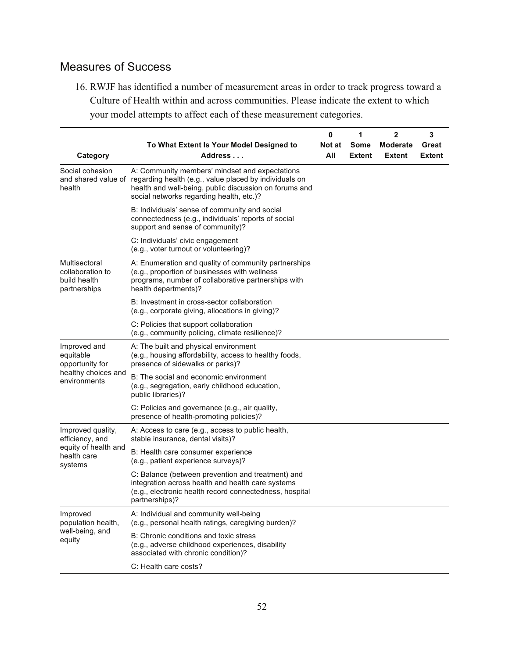# Measures of Success

16. RWJF has identified a number of measurement areas in order to track progress toward a Culture of Health within and across communities. Please indicate the extent to which your model attempts to affect each of these measurement categories.

|                                                                   |                                                                                                                                                                                                                                    | 0             | 1              | $\mathbf 2$               | $\mathbf 3$            |
|-------------------------------------------------------------------|------------------------------------------------------------------------------------------------------------------------------------------------------------------------------------------------------------------------------------|---------------|----------------|---------------------------|------------------------|
| Category                                                          | To What Extent Is Your Model Designed to<br>Address                                                                                                                                                                                | Not at<br>All | Some<br>Extent | <b>Moderate</b><br>Extent | Great<br><b>Extent</b> |
| Social cohesion<br>health                                         | A: Community members' mindset and expectations<br>and shared value of regarding health (e.g., value placed by individuals on<br>health and well-being, public discussion on forums and<br>social networks regarding health, etc.)? |               |                |                           |                        |
|                                                                   | B: Individuals' sense of community and social<br>connectedness (e.g., individuals' reports of social<br>support and sense of community)?                                                                                           |               |                |                           |                        |
|                                                                   | C: Individuals' civic engagement<br>(e.g., voter turnout or volunteering)?                                                                                                                                                         |               |                |                           |                        |
| Multisectoral<br>collaboration to<br>build health<br>partnerships | A: Enumeration and quality of community partnerships<br>(e.g., proportion of businesses with wellness<br>programs, number of collaborative partnerships with<br>health departments)?                                               |               |                |                           |                        |
|                                                                   | B: Investment in cross-sector collaboration<br>(e.g., corporate giving, allocations in giving)?                                                                                                                                    |               |                |                           |                        |
|                                                                   | C: Policies that support collaboration<br>(e.g., community policing, climate resilience)?                                                                                                                                          |               |                |                           |                        |
| Improved and<br>equitable<br>opportunity for                      | A: The built and physical environment<br>(e.g., housing affordability, access to healthy foods,<br>presence of sidewalks or parks)?                                                                                                |               |                |                           |                        |
| healthy choices and<br>environments                               | B: The social and economic environment<br>(e.g., segregation, early childhood education,<br>public libraries)?                                                                                                                     |               |                |                           |                        |
|                                                                   | C: Policies and governance (e.g., air quality,<br>presence of health-promoting policies)?                                                                                                                                          |               |                |                           |                        |
| Improved quality,<br>efficiency, and                              | A: Access to care (e.g., access to public health,<br>stable insurance, dental visits)?                                                                                                                                             |               |                |                           |                        |
| equity of health and<br>health care<br>systems                    | B: Health care consumer experience<br>(e.g., patient experience surveys)?                                                                                                                                                          |               |                |                           |                        |
|                                                                   | C: Balance (between prevention and treatment) and<br>integration across health and health care systems<br>(e.g., electronic health record connectedness, hospital<br>partnerships)?                                                |               |                |                           |                        |
| Improved<br>population health,                                    | A: Individual and community well-being<br>(e.g., personal health ratings, caregiving burden)?                                                                                                                                      |               |                |                           |                        |
| well-being, and<br>equity                                         | B: Chronic conditions and toxic stress<br>(e.g., adverse childhood experiences, disability<br>associated with chronic condition)?                                                                                                  |               |                |                           |                        |
|                                                                   | C: Health care costs?                                                                                                                                                                                                              |               |                |                           |                        |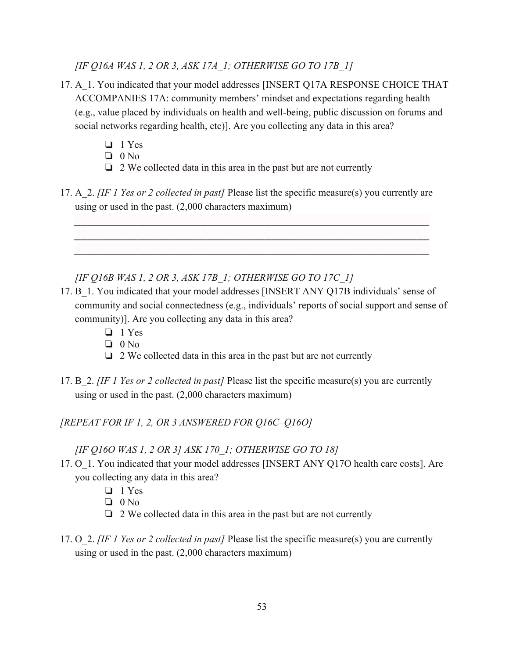*[IF Q16A WAS 1, 2 OR 3, ASK 17A\_1; OTHERWISE GO TO 17B\_1]* 

- 17. A\_1. You indicated that your model addresses [INSERT Q17A RESPONSE CHOICE THAT ACCOMPANIES 17A: community members' mindset and expectations regarding health (e.g., value placed by individuals on health and well-being, public discussion on forums and social networks regarding health, etc)]. Are you collecting any data in this area?
	- ❏ 1 Yes
	- ❏ 0 No
	- $\Box$  2 We collected data in this area in the past but are not currently
- 17. A\_2. *[IF 1 Yes or 2 collected in past]* Please list the specific measure(s) you currently are using or used in the past. (2,000 characters maximum)

*\_\_\_\_\_\_\_\_\_\_\_\_\_\_\_\_\_\_\_\_\_\_\_\_\_\_\_\_\_\_\_\_\_\_\_\_\_\_\_\_\_\_\_\_\_\_\_\_\_\_\_\_\_\_\_\_ \_\_\_\_\_\_\_\_\_\_\_\_\_\_\_\_\_\_\_\_\_\_\_\_\_\_\_\_\_\_\_\_\_\_\_\_\_\_\_\_\_\_\_\_\_\_\_\_\_\_\_\_\_\_\_\_ \_\_\_\_\_\_\_\_\_\_\_\_\_\_\_\_\_\_\_\_\_\_\_\_\_\_\_\_\_\_\_\_\_\_\_\_\_\_\_\_\_\_\_\_\_\_\_\_\_\_\_\_\_\_\_\_*

*[IF Q16B WAS 1, 2 OR 3, ASK 17B\_1; OTHERWISE GO TO 17C\_1]* 

- 17. B 1. You indicated that your model addresses [INSERT ANY Q17B individuals' sense of community and social connectedness (e.g., individuals' reports of social support and sense of community)]. Are you collecting any data in this area?
	- ❏ 1 Yes
	- ❏ 0 No
	- $\Box$  2 We collected data in this area in the past but are not currently
- 17. B\_2. *[IF 1 Yes or 2 collected in past]* Please list the specific measure(s) you are currently using or used in the past. (2,000 characters maximum)

*[REPEAT FOR IF 1, 2, OR 3 ANSWERED FOR Q16C–Q16O]* 

*[IF Q16O WAS 1, 2 OR 3] ASK 170\_1; OTHERWISE GO TO 18]* 

- 17. O\_1. You indicated that your model addresses [INSERT ANY Q17O health care costs]. Are you collecting any data in this area?
	- ❏ 1 Yes
	- ❏ 0 No
	- ❏ 2 We collected data in this area in the past but are not currently
- 17. O\_2. *[IF 1 Yes or 2 collected in past]* Please list the specific measure(s) you are currently using or used in the past. (2,000 characters maximum)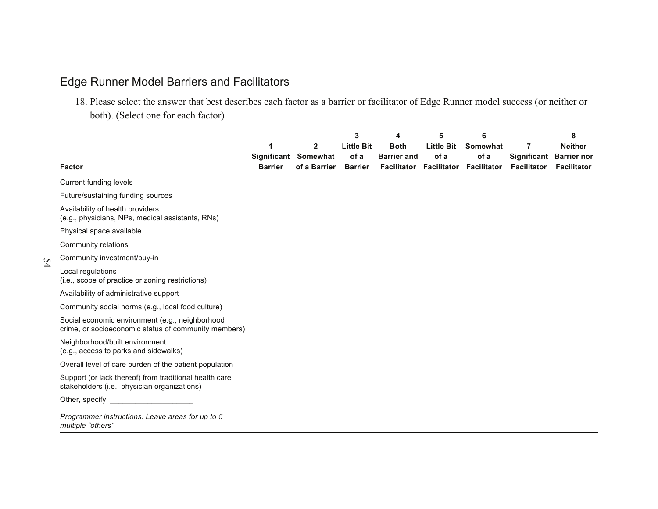# Edge Runner Model Barriers and Facilitators

5 4

18. Please select the answer that best describes each factor as a barrier or facilitator of Edge Runner model success (or neither or both). (Select one for each factor)

|                                                                                                         |                |                                      | 3                      | 4                  | 5                 | 6                                                  |                    | 8                                             |
|---------------------------------------------------------------------------------------------------------|----------------|--------------------------------------|------------------------|--------------------|-------------------|----------------------------------------------------|--------------------|-----------------------------------------------|
|                                                                                                         |                | 2                                    | <b>Little Bit</b>      | <b>Both</b>        | <b>Little Bit</b> | Somewhat                                           | 7                  | <b>Neither</b>                                |
| <b>Factor</b>                                                                                           | <b>Barrier</b> | Significant Somewhat<br>of a Barrier | of a<br><b>Barrier</b> | <b>Barrier and</b> | of a              | of a<br><b>Facilitator Facilitator Facilitator</b> | <b>Facilitator</b> | Significant Barrier nor<br><b>Facilitator</b> |
| Current funding levels                                                                                  |                |                                      |                        |                    |                   |                                                    |                    |                                               |
| Future/sustaining funding sources                                                                       |                |                                      |                        |                    |                   |                                                    |                    |                                               |
| Availability of health providers<br>(e.g., physicians, NPs, medical assistants, RNs)                    |                |                                      |                        |                    |                   |                                                    |                    |                                               |
| Physical space available                                                                                |                |                                      |                        |                    |                   |                                                    |                    |                                               |
| Community relations                                                                                     |                |                                      |                        |                    |                   |                                                    |                    |                                               |
| Community investment/buy-in                                                                             |                |                                      |                        |                    |                   |                                                    |                    |                                               |
| Local regulations<br>(i.e., scope of practice or zoning restrictions)                                   |                |                                      |                        |                    |                   |                                                    |                    |                                               |
| Availability of administrative support                                                                  |                |                                      |                        |                    |                   |                                                    |                    |                                               |
| Community social norms (e.g., local food culture)                                                       |                |                                      |                        |                    |                   |                                                    |                    |                                               |
| Social economic environment (e.g., neighborhood<br>crime, or socioeconomic status of community members) |                |                                      |                        |                    |                   |                                                    |                    |                                               |
| Neighborhood/built environment<br>(e.g., access to parks and sidewalks)                                 |                |                                      |                        |                    |                   |                                                    |                    |                                               |
| Overall level of care burden of the patient population                                                  |                |                                      |                        |                    |                   |                                                    |                    |                                               |
| Support (or lack thereof) from traditional health care<br>stakeholders (i.e., physician organizations)  |                |                                      |                        |                    |                   |                                                    |                    |                                               |
| Other, specify:                                                                                         |                |                                      |                        |                    |                   |                                                    |                    |                                               |
| Programmer instructions: Leave areas for up to 5<br>multiple "others"                                   |                |                                      |                        |                    |                   |                                                    |                    |                                               |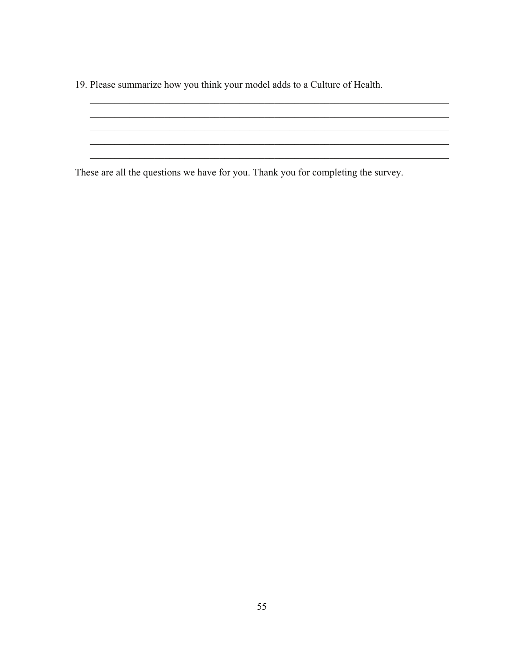19. Please summarize how you think your model adds to a Culture of Health.

These are all the questions we have for you. Thank you for completing the survey.

<u> 1989 - Johann Stoff, amerikansk politiker (d. 1989)</u>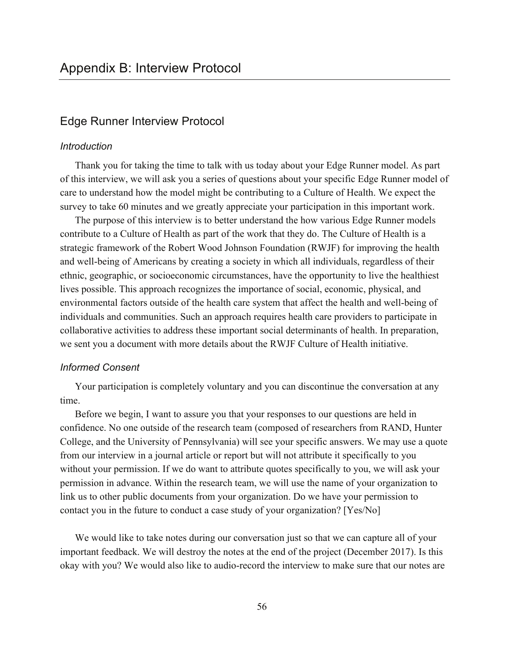# Edge Runner Interview Protocol

### *Introduction*

Thank you for taking the time to talk with us today about your Edge Runner model. As part of this interview, we will ask you a series of questions about your specific Edge Runner model of care to understand how the model might be contributing to a Culture of Health. We expect the survey to take 60 minutes and we greatly appreciate your participation in this important work.

The purpose of this interview is to better understand the how various Edge Runner models contribute to a Culture of Health as part of the work that they do. The Culture of Health is a strategic framework of the Robert Wood Johnson Foundation (RWJF) for improving the health and well-being of Americans by creating a society in which all individuals, regardless of their ethnic, geographic, or socioeconomic circumstances, have the opportunity to live the healthiest lives possible. This approach recognizes the importance of social, economic, physical, and environmental factors outside of the health care system that affect the health and well-being of individuals and communities. Such an approach requires health care providers to participate in collaborative activities to address these important social determinants of health. In preparation, we sent you a document with more details about the RWJF Culture of Health initiative.

#### *Informed Consent*

Your participation is completely voluntary and you can discontinue the conversation at any time.

Before we begin, I want to assure you that your responses to our questions are held in confidence. No one outside of the research team (composed of researchers from RAND, Hunter College, and the University of Pennsylvania) will see your specific answers. We may use a quote from our interview in a journal article or report but will not attribute it specifically to you without your permission. If we do want to attribute quotes specifically to you, we will ask your permission in advance. Within the research team, we will use the name of your organization to link us to other public documents from your organization. Do we have your permission to contact you in the future to conduct a case study of your organization? [Yes/No]

We would like to take notes during our conversation just so that we can capture all of your important feedback. We will destroy the notes at the end of the project (December 2017). Is this okay with you? We would also like to audio-record the interview to make sure that our notes are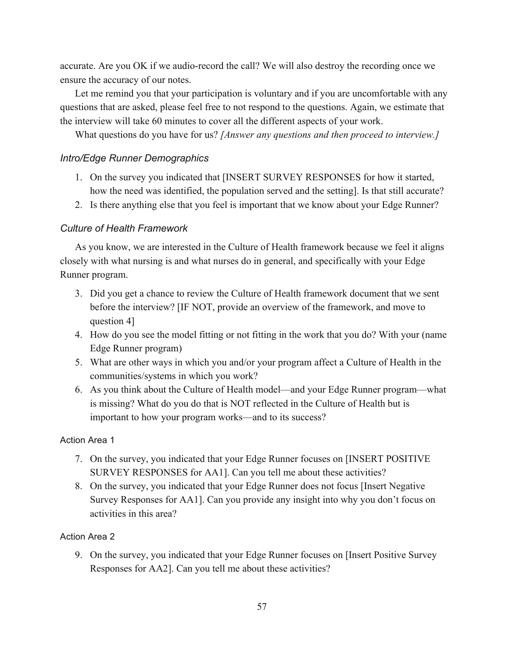accurate. Are you OK if we audio-record the call? We will also destroy the recording once we ensure the accuracy of our notes.

Let me remind you that your participation is voluntary and if you are uncomfortable with any questions that are asked, please feel free to not respond to the questions. Again, we estimate that the interview will take 60 minutes to cover all the different aspects of your work.

What questions do you have for us? *[Answer any questions and then proceed to interview.]*

## *Intro/Edge Runner Demographics*

- 1. On the survey you indicated that [INSERT SURVEY RESPONSES for how it started, how the need was identified, the population served and the setting]. Is that still accurate?
- 2. Is there anything else that you feel is important that we know about your Edge Runner?

## *Culture of Health Framework*

As you know, we are interested in the Culture of Health framework because we feel it aligns closely with what nursing is and what nurses do in general, and specifically with your Edge Runner program.

- 3. Did you get a chance to review the Culture of Health framework document that we sent before the interview? [IF NOT, provide an overview of the framework, and move to question 4]
- 4. How do you see the model fitting or not fitting in the work that you do? With your (name Edge Runner program)
- 5. What are other ways in which you and/or your program affect a Culture of Health in the communities/systems in which you work?
- 6. As you think about the Culture of Health model—and your Edge Runner program—what is missing? What do you do that is NOT reflected in the Culture of Health but is important to how your program works—and to its success?

### Action Area 1

- 7. On the survey, you indicated that your Edge Runner focuses on [INSERT POSITIVE SURVEY RESPONSES for AA1]. Can you tell me about these activities?
- 8. On the survey, you indicated that your Edge Runner does not focus [Insert Negative Survey Responses for AA1]. Can you provide any insight into why you don't focus on activities in this area?

## Action Area 2

9. On the survey, you indicated that your Edge Runner focuses on [Insert Positive Survey Responses for AA2]. Can you tell me about these activities?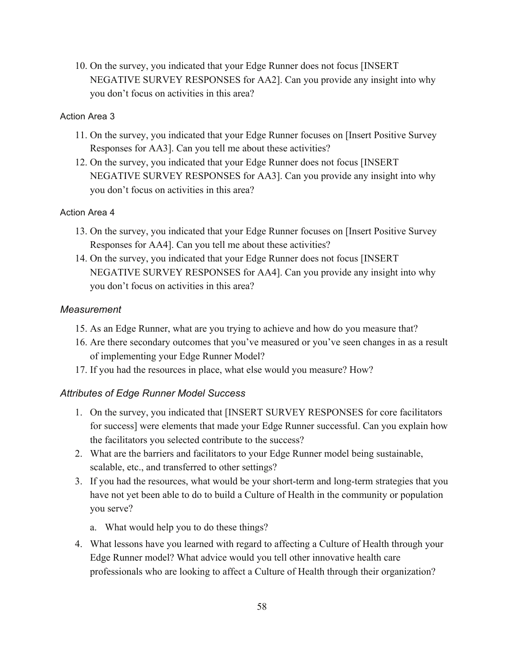10. On the survey, you indicated that your Edge Runner does not focus [INSERT NEGATIVE SURVEY RESPONSES for AA2]. Can you provide any insight into why you don't focus on activities in this area?

# Action Area 3

- 11. On the survey, you indicated that your Edge Runner focuses on [Insert Positive Survey Responses for AA3]. Can you tell me about these activities?
- 12. On the survey, you indicated that your Edge Runner does not focus [INSERT NEGATIVE SURVEY RESPONSES for AA3]. Can you provide any insight into why you don't focus on activities in this area?

# Action Area 4

- 13. On the survey, you indicated that your Edge Runner focuses on [Insert Positive Survey Responses for AA4]. Can you tell me about these activities?
- 14. On the survey, you indicated that your Edge Runner does not focus [INSERT NEGATIVE SURVEY RESPONSES for AA4]. Can you provide any insight into why you don't focus on activities in this area?

# *Measurement*

- 15. As an Edge Runner, what are you trying to achieve and how do you measure that?
- 16. Are there secondary outcomes that you've measured or you've seen changes in as a result of implementing your Edge Runner Model?
- 17. If you had the resources in place, what else would you measure? How?

# *Attributes of Edge Runner Model Success*

- 1. On the survey, you indicated that [INSERT SURVEY RESPONSES for core facilitators for success] were elements that made your Edge Runner successful. Can you explain how the facilitators you selected contribute to the success?
- 2. What are the barriers and facilitators to your Edge Runner model being sustainable, scalable, etc., and transferred to other settings?
- 3. If you had the resources, what would be your short-term and long-term strategies that you have not yet been able to do to build a Culture of Health in the community or population you serve?
	- a. What would help you to do these things?
- 4. What lessons have you learned with regard to affecting a Culture of Health through your Edge Runner model? What advice would you tell other innovative health care professionals who are looking to affect a Culture of Health through their organization?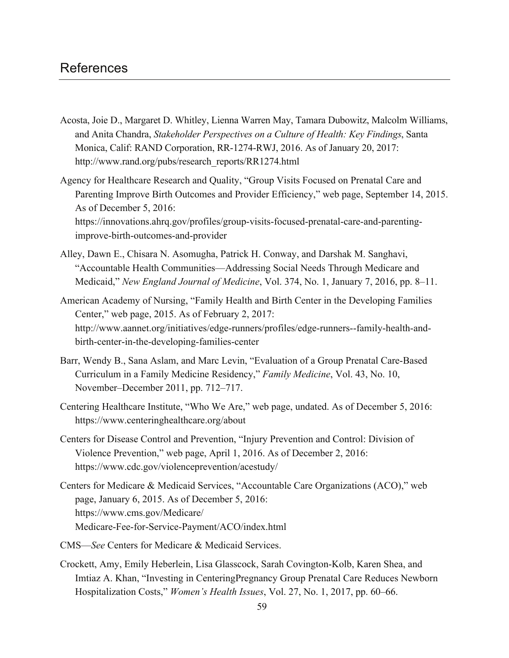# References

- Acosta, Joie D., Margaret D. Whitley, Lienna Warren May, Tamara Dubowitz, Malcolm Williams, and Anita Chandra, *Stakeholder Perspectives on a Culture of Health: Key Findings*, Santa Monica, Calif: RAND Corporation, RR-1274-RWJ, 2016. As of January 20, 2017: [http://www.rand.org/pubs/research\\_reports/RR1274.html](http://www.rand.org/pubs/research_reports/RR1274.html)
- Agency for Healthcare Research and Quality, "Group Visits Focused on Prenatal Care and Parenting Improve Birth Outcomes and Provider Efficiency," web page, September 14, 2015. As of December 5, 2016: [https://innovations.ahrq.gov/profiles/group-visits-focused-prenatal-care-and-parenting](https://innovations.ahrq.gov/profiles/group-visits-focused-prenatal-care-and-parenting-improve-birth-outcomes-and-provider)improve-birth-outcomes-and-provider
- Alley, Dawn E., Chisara N. Asomugha, Patrick H. Conway, and Darshak M. Sanghavi, "Accountable Health Communities—Addressing Social Needs Through Medicare and Medicaid," *New England Journal of Medicine*, Vol. 374, No. 1, January 7, 2016, pp. 8–11.
- American Academy of Nursing, "Family Health and Birth Center in the Developing Families Center," web page, 2015. As of February 2, 2017: [http://www.aannet.org/initiatives/edge-runners/profiles/edge-runners--family-health-and](http://www.aannet.org/initiatives/edge-runners/profiles/edge-runners--family-health-and-birth-center-in-the-developing-families-center)birth-center-in-the-developing-families-center
- Barr, Wendy B., Sana Aslam, and Marc Levin, "Evaluation of a Group Prenatal Care-Based Curriculum in a Family Medicine Residency," *Family Medicine*, Vol. 43, No. 10, November–December 2011, pp. 712–717.
- Centering Healthcare Institute, "Who We Are," web page, undated. As of December 5, 2016: <https://www.centeringhealthcare.org/about>
- Centers for Disease Control and Prevention, "Injury Prevention and Control: Division of Violence Prevention," web page, April 1, 2016. As of December 2, 2016: <https://www.cdc.gov/violenceprevention/acestudy/>
- Centers for Medicare & Medicaid Services, "Accountable Care Organizations (ACO)," web page, January 6, 2015. As of December 5, 2016: https://www.cms.gov/Medicare/ [Medicare-Fee-for-Service-Payment/ACO/index.html](https://www.cms.gov/Medicare/Medicare-Fee-for-Service-Payment/ACO/index.html)
- CMS—*See* Centers for Medicare & Medicaid Services.
- Crockett, Amy, Emily Heberlein, Lisa Glasscock, Sarah Covington-Kolb, Karen Shea, and Imtiaz A. Khan, "Investing in CenteringPregnancy Group Prenatal Care Reduces Newborn Hospitalization Costs," *Women's Health Issues*, Vol. 27, No. 1, 2017, pp. 60–66.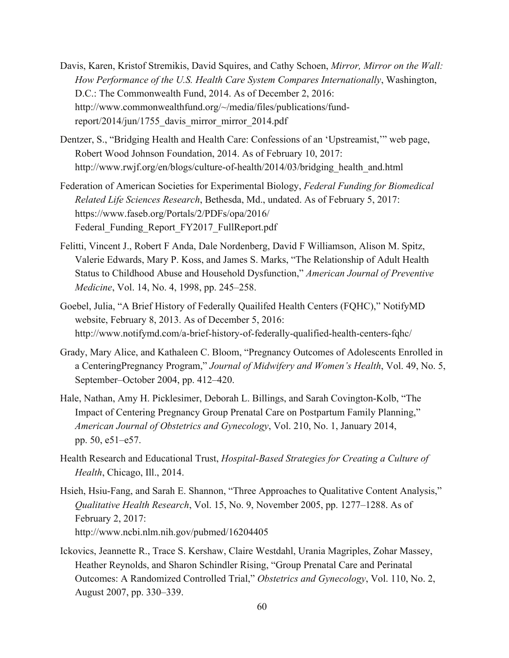- Davis, Karen, Kristof Stremikis, David Squires, and Cathy Schoen, *Mirror, Mirror on the Wall: How Performance of the U.S. Health Care System Compares Internationally*, Washington, D.C.: The Commonwealth Fund, 2014. As of December 2, 2016: [http://www.commonwealthfund.org/~/media/files/publications/fund](http://www.commonwealthfund.org/~/media/files/publications/fund-report/2014/jun/1755_davis_mirror_mirror_2014.pdf)report/2014/jun/1755\_davis\_mirror\_mirror\_2014.pdf
- Dentzer, S., "Bridging Health and Health Care: Confessions of an 'Upstreamist,'" web page, Robert Wood Johnson Foundation, 2014. As of February 10, 2017: [http://www.rwjf.org/en/blogs/culture-of-health/2014/03/bridging\\_health\\_and.html](http://www.rwjf.org/en/blogs/culture-of-health/2014/03/bridging_health_and.html)
- Federation of American Societies for Experimental Biology, *Federal Funding for Biomedical Related Life Sciences Research*, Bethesda, Md., undated. As of February 5, 2017: https://www.faseb.org/Portals/2/PDFs/opa/2016/ Federal Funding Report FY2017 FullReport.pdf
- Felitti, Vincent J., Robert F Anda, Dale Nordenberg, David F Williamson, Alison M. Spitz, Valerie Edwards, Mary P. Koss, and James S. Marks, "The Relationship of Adult Health Status to Childhood Abuse and Household Dysfunction," *American Journal of Preventive Medicine*, Vol. 14, No. 4, 1998, pp. 245–258.
- Goebel, Julia, "A Brief History of Federally Quailifed Health Centers (FQHC)," NotifyMD website, February 8, 2013. As of December 5, 2016: <http://www.notifymd.com/a-brief-history-of-federally-qualified-health-centers-fqhc/>
- Grady, Mary Alice, and Kathaleen C. Bloom, "Pregnancy Outcomes of Adolescents Enrolled in a CenteringPregnancy Program," *Journal of Midwifery and Women's Health*, Vol. 49, No. 5, September–October 2004, pp. 412–420.
- Hale, Nathan, Amy H. Picklesimer, Deborah L. Billings, and Sarah Covington-Kolb, "The Impact of Centering Pregnancy Group Prenatal Care on Postpartum Family Planning," *American Journal of Obstetrics and Gynecology*, Vol. 210, No. 1, January 2014, pp. 50, e51–e57.
- Health Research and Educational Trust, *Hospital-Based Strategies for Creating a Culture of Health*, Chicago, Ill., 2014.
- Hsieh, Hsiu-Fang, and Sarah E. Shannon, "Three Approaches to Qualitative Content Analysis," *Qualitative Health Research*, Vol. 15, No. 9, November 2005, pp. 1277–1288. As of February 2, 2017: <http://www.ncbi.nlm.nih.gov/pubmed/16204405>
- Ickovics, Jeannette R., Trace S. Kershaw, Claire Westdahl, Urania Magriples, Zohar Massey, Heather Reynolds, and Sharon Schindler Rising, "Group Prenatal Care and Perinatal Outcomes: A Randomized Controlled Trial," *Obstetrics and Gynecology*, Vol. 110, No. 2, August 2007, pp. 330–339.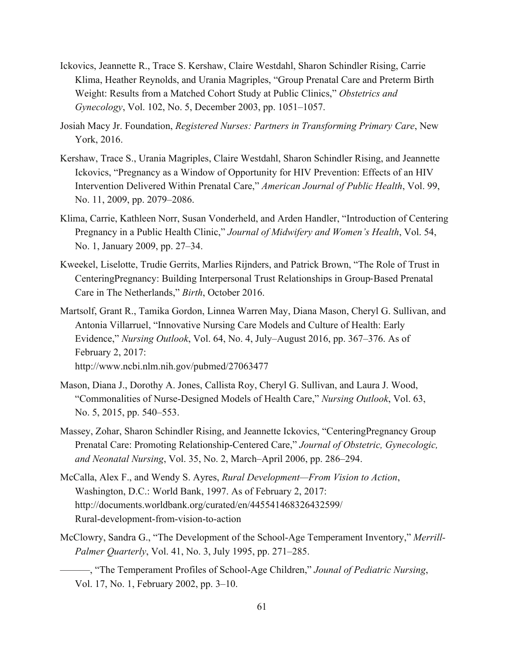- Ickovics, Jeannette R., Trace S. Kershaw, Claire Westdahl, Sharon Schindler Rising, Carrie Klima, Heather Reynolds, and Urania Magriples, "Group Prenatal Care and Preterm Birth Weight: Results from a Matched Cohort Study at Public Clinics," *Obstetrics and Gynecology*, Vol. 102, No. 5, December 2003, pp. 1051–1057.
- Josiah Macy Jr. Foundation, *Registered Nurses: Partners in Transforming Primary Care*, New York, 2016.
- Kershaw, Trace S., Urania Magriples, Claire Westdahl, Sharon Schindler Rising, and Jeannette Ickovics, "Pregnancy as a Window of Opportunity for HIV Prevention: Effects of an HIV Intervention Delivered Within Prenatal Care," *American Journal of Public Health*, Vol. 99, No. 11, 2009, pp. 2079–2086.
- Klima, Carrie, Kathleen Norr, Susan Vonderheld, and Arden Handler, "Introduction of Centering Pregnancy in a Public Health Clinic," *Journal of Midwifery and Women's Health*, Vol. 54, No. 1, January 2009, pp. 27–34.
- Kweekel, Liselotte, Trudie Gerrits, Marlies Rijnders, and Patrick Brown, "The Role of Trust in CenteringPregnancy: Building Interpersonal Trust Relationships in Group-Based Prenatal Care in The Netherlands," *Birth*, October 2016.
- Martsolf, Grant R., Tamika Gordon, Linnea Warren May, Diana Mason, Cheryl G. Sullivan, and Antonia Villarruel, "Innovative Nursing Care Models and Culture of Health: Early Evidence," *Nursing Outlook*, Vol. 64, No. 4, July–August 2016, pp. 367–376. As of February 2, 2017: <http://www.ncbi.nlm.nih.gov/pubmed/27063477>
- Mason, Diana J., Dorothy A. Jones, Callista Roy, Cheryl G. Sullivan, and Laura J. Wood, "Commonalities of Nurse-Designed Models of Health Care," *Nursing Outlook*, Vol. 63, No. 5, 2015, pp. 540–553.
- Massey, Zohar, Sharon Schindler Rising, and Jeannette Ickovics, "CenteringPregnancy Group Prenatal Care: Promoting Relationship-Centered Care," *Journal of Obstetric, Gynecologic, and Neonatal Nursing*, Vol. 35, No. 2, March–April 2006, pp. 286–294.
- McCalla, Alex F., and Wendy S. Ayres, *Rural Development—From Vision to Action*, Washington, D.C.: World Bank, 1997. As of February 2, 2017: [http://documents.worldbank.org/curated/en/445541468326432599/](http://documents.worldbank.org/curated/en/445541468326432599/Rural-development-from-vision-to-action)  Rural-development-from-vision-to-action
- McClowry, Sandra G., "The Development of the School-Age Temperament Inventory," *Merrill-Palmer Quarterly*, Vol. 41, No. 3, July 1995, pp. 271–285.

———, "The Temperament Profiles of School-Age Children," *Jounal of Pediatric Nursing*, Vol. 17, No. 1, February 2002, pp. 3–10.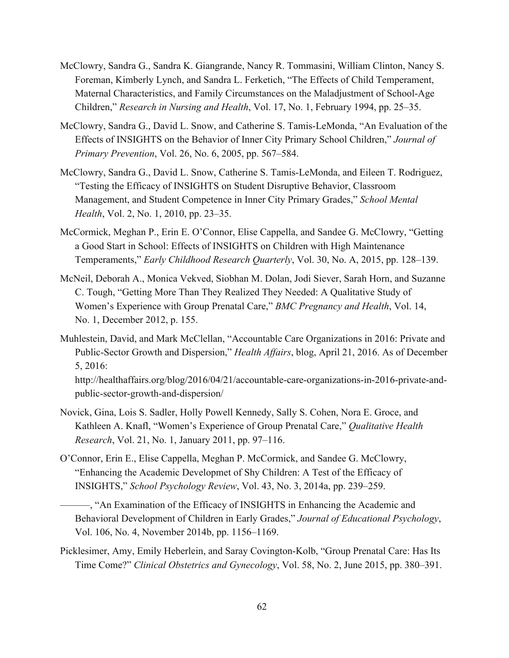- McClowry, Sandra G., Sandra K. Giangrande, Nancy R. Tommasini, William Clinton, Nancy S. Foreman, Kimberly Lynch, and Sandra L. Ferketich, "The Effects of Child Temperament, Maternal Characteristics, and Family Circumstances on the Maladjustment of School-Age Children," *Research in Nursing and Health*, Vol. 17, No. 1, February 1994, pp. 25–35.
- McClowry, Sandra G., David L. Snow, and Catherine S. Tamis-LeMonda, "An Evaluation of the Effects of INSIGHTS on the Behavior of Inner City Primary School Children," *Journal of Primary Prevention*, Vol. 26, No. 6, 2005, pp. 567–584.
- McClowry, Sandra G., David L. Snow, Catherine S. Tamis-LeMonda, and Eileen T. Rodriguez, "Testing the Efficacy of INSIGHTS on Student Disruptive Behavior, Classroom Management, and Student Competence in Inner City Primary Grades," *School Mental Health*, Vol. 2, No. 1, 2010, pp. 23–35.
- McCormick, Meghan P., Erin E. O'Connor, Elise Cappella, and Sandee G. McClowry, "Getting a Good Start in School: Effects of INSIGHTS on Children with High Maintenance Temperaments," *Early Childhood Research Quarterly*, Vol. 30, No. A, 2015, pp. 128–139.
- McNeil, Deborah A., Monica Vekved, Siobhan M. Dolan, Jodi Siever, Sarah Horn, and Suzanne C. Tough, "Getting More Than They Realized They Needed: A Qualitative Study of Women's Experience with Group Prenatal Care," *BMC Pregnancy and Health*, Vol. 14, No. 1, December 2012, p. 155.
- Muhlestein, David, and Mark McClellan, "Accountable Care Organizations in 2016: Private and Public-Sector Growth and Dispersion," *Health Affairs*, blog, April 21, 2016. As of December 5, 2016:

[http://healthaffairs.org/blog/2016/04/21/accountable-care-organizations-in-2016-private-and](http://healthaffairs.org/blog/2016/04/21/accountable-care-organizations-in-2016-private-and-public-sector-growth-and-dispersion/)public-sector-growth-and-dispersion/

- Novick, Gina, Lois S. Sadler, Holly Powell Kennedy, Sally S. Cohen, Nora E. Groce, and Kathleen A. Knafl, "Women's Experience of Group Prenatal Care," *Qualitative Health Research*, Vol. 21, No. 1, January 2011, pp. 97–116.
- O'Connor, Erin E., Elise Cappella, Meghan P. McCormick, and Sandee G. McClowry, "Enhancing the Academic Developmet of Shy Children: A Test of the Efficacy of INSIGHTS," *School Psychology Review*, Vol. 43, No. 3, 2014a, pp. 239–259.
	- ———, "An Examination of the Efficacy of INSIGHTS in Enhancing the Academic and Behavioral Development of Children in Early Grades," *Journal of Educational Psychology*, Vol. 106, No. 4, November 2014b, pp. 1156–1169.
- Picklesimer, Amy, Emily Heberlein, and Saray Covington-Kolb, "Group Prenatal Care: Has Its Time Come?" *Clinical Obstetrics and Gynecology*, Vol. 58, No. 2, June 2015, pp. 380–391.